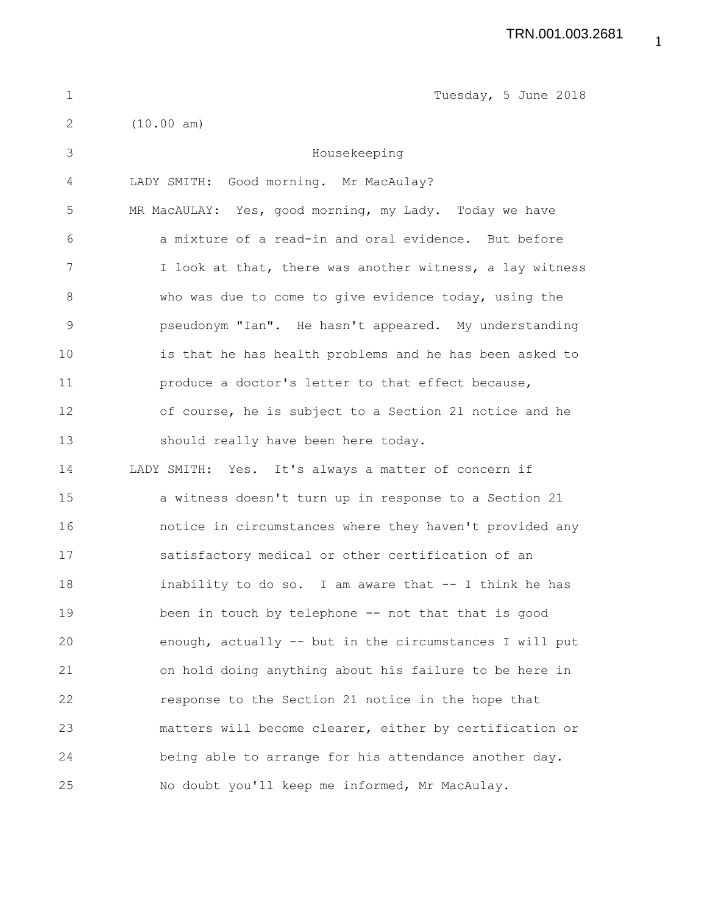| $\mathbf 1$ | Tuesday, 5 June 2018                                     |
|-------------|----------------------------------------------------------|
| 2           | (10.00 am)                                               |
| 3           | Housekeeping                                             |
| 4           | LADY SMITH: Good morning. Mr MacAulay?                   |
| 5           | MR MacAULAY: Yes, good morning, my Lady. Today we have   |
| $\sqrt{6}$  | a mixture of a read-in and oral evidence. But before     |
| 7           | I look at that, there was another witness, a lay witness |
| $\,8\,$     | who was due to come to give evidence today, using the    |
| $\mathsf 9$ | pseudonym "Ian". He hasn't appeared. My understanding    |
| 10          | is that he has health problems and he has been asked to  |
| 11          | produce a doctor's letter to that effect because,        |
| 12          | of course, he is subject to a Section 21 notice and he   |
| 13          | should really have been here today.                      |
| 14          | LADY SMITH: Yes. It's always a matter of concern if      |
| 15          | a witness doesn't turn up in response to a Section 21    |
| 16          | notice in circumstances where they haven't provided any  |
| 17          | satisfactory medical or other certification of an        |
| 18          | inability to do so. I am aware that -- I think he has    |
| 19          | been in touch by telephone -- not that that is good      |
| 20          | enough, actually -- but in the circumstances I will put  |
| 21          | on hold doing anything about his failure to be here in   |
| 22          | response to the Section 21 notice in the hope that       |
| 23          | matters will become clearer, either by certification or  |
| 24          | being able to arrange for his attendance another day.    |
| 25          | No doubt you'll keep me informed, Mr MacAulay.           |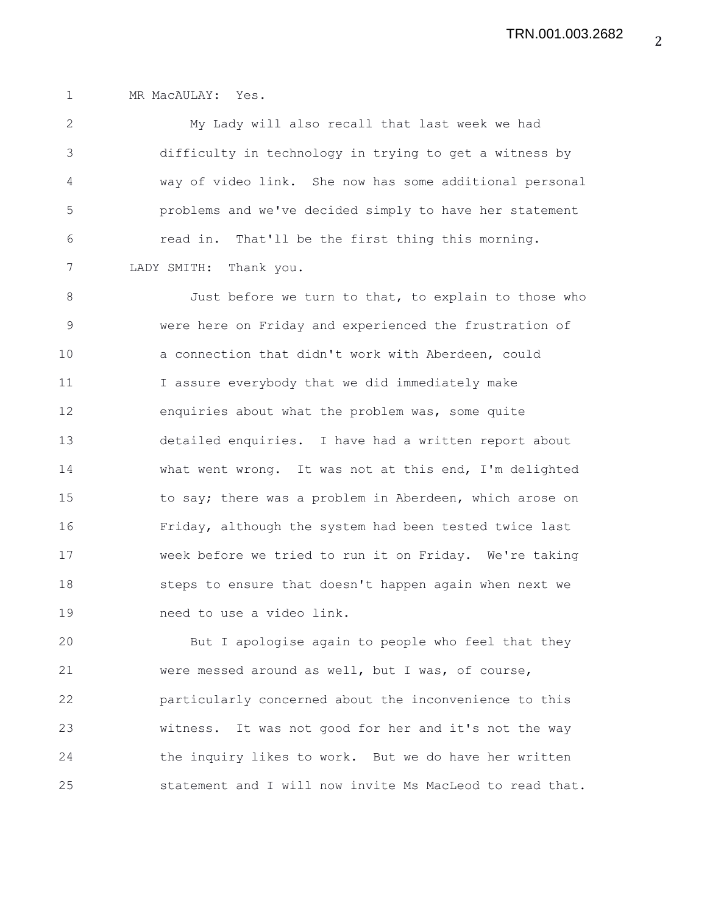1 MR MacAULAY: Yes.

2 My Lady will also recall that last week we had 3 difficulty in technology in trying to get a witness by 4 way of video link. She now has some additional personal 5 problems and we've decided simply to have her statement 6 read in. That'll be the first thing this morning. 7 LADY SMITH: Thank you.

8 Just before we turn to that, to explain to those who 9 were here on Friday and experienced the frustration of 10 a connection that didn't work with Aberdeen, could 11 I assure everybody that we did immediately make 12 enquiries about what the problem was, some quite 13 detailed enquiries. I have had a written report about 14 what went wrong. It was not at this end, I'm delighted 15 to say; there was a problem in Aberdeen, which arose on 16 Friday, although the system had been tested twice last 17 week before we tried to run it on Friday. We're taking 18 steps to ensure that doesn't happen again when next we 19 need to use a video link.

20 But I apologise again to people who feel that they 21 were messed around as well, but I was, of course, 22 particularly concerned about the inconvenience to this 23 witness. It was not good for her and it's not the way 24 the inquiry likes to work. But we do have her written 25 statement and I will now invite Ms MacLeod to read that.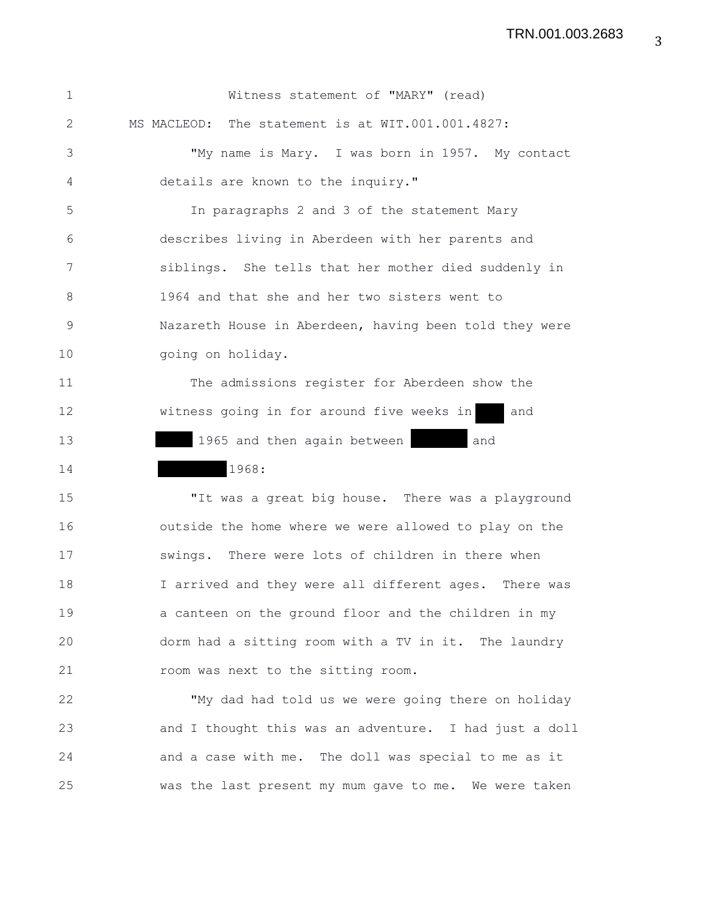| $\mathbf{1}$ | Witness statement of "MARY" (read)                     |
|--------------|--------------------------------------------------------|
| 2            | MS MACLEOD: The statement is at WIT.001.001.4827:      |
| 3            | "My name is Mary. I was born in 1957. My contact       |
| 4            | details are known to the inquiry."                     |
| 5            | In paragraphs 2 and 3 of the statement Mary            |
| 6            | describes living in Aberdeen with her parents and      |
| 7            | siblings. She tells that her mother died suddenly in   |
| 8            | 1964 and that she and her two sisters went to          |
| 9            | Nazareth House in Aberdeen, having been told they were |
| 10           | going on holiday.                                      |
| 11           | The admissions register for Aberdeen show the          |
| 12           | witness going in for around five weeks in<br>and       |
| 13           | 1965 and then again between<br>and                     |
| 14           | 1968:                                                  |
| 15           | "It was a great big house. There was a playground      |

16 outside the home where we were allowed to play on the 17 swings. There were lots of children in there when 18 I arrived and they were all different ages. There was 19 a canteen on the ground floor and the children in my 20 dorm had a sitting room with a TV in it. The laundry 21 room was next to the sitting room.

22 "My dad had told us we were going there on holiday 23 and I thought this was an adventure. I had just a doll 24 and a case with me. The doll was special to me as it 25 was the last present my mum gave to me. We were taken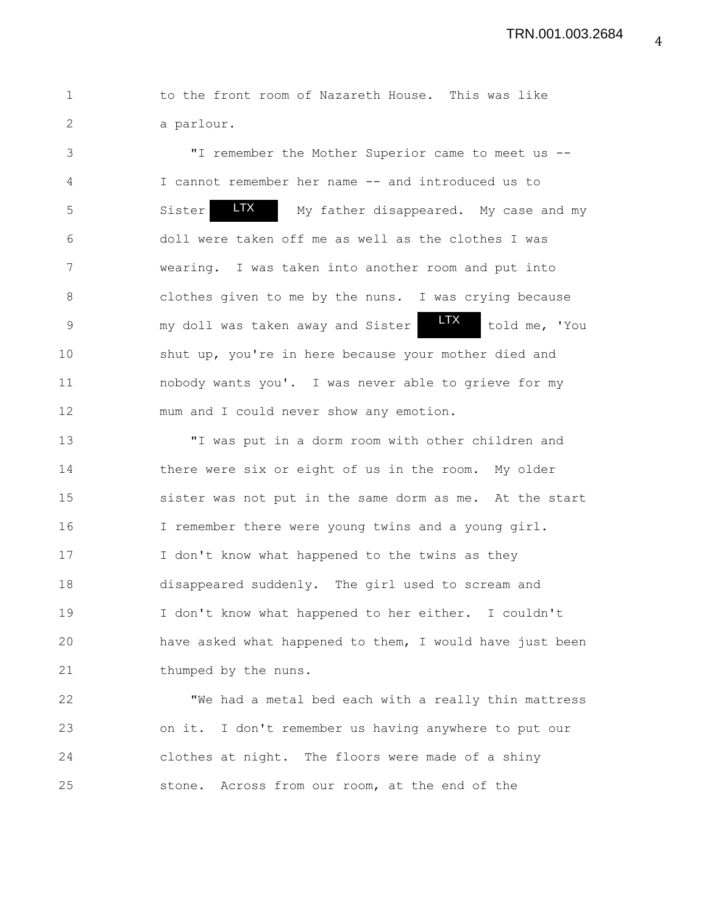1 to the front room of Nazareth House. This was like 2 a parlour.

3 "I remember the Mother Superior came to meet us -- 4 I cannot remember her name -- and introduced us to 5 Sister My father disappeared. My case and my 6 doll were taken off me as well as the clothes I was 7 wearing. I was taken into another room and put into 8 clothes given to me by the nuns. I was crying because 9 my doll was taken away and Sister **the Study me, 'You** 10 shut up, you're in here because your mother died and 11 nobody wants you'. I was never able to grieve for my 12 mum and I could never show any emotion. LTX Sister LTX

13 "I was put in a dorm room with other children and 14 there were six or eight of us in the room. My older 15 sister was not put in the same dorm as me. At the start 16 I remember there were young twins and a young girl. 17 I don't know what happened to the twins as they 18 disappeared suddenly. The girl used to scream and 19 I don't know what happened to her either. I couldn't 20 have asked what happened to them, I would have just been 21 thumped by the nuns.

22 "We had a metal bed each with a really thin mattress 23 on it. I don't remember us having anywhere to put our 24 clothes at night. The floors were made of a shiny 25 stone. Across from our room, at the end of the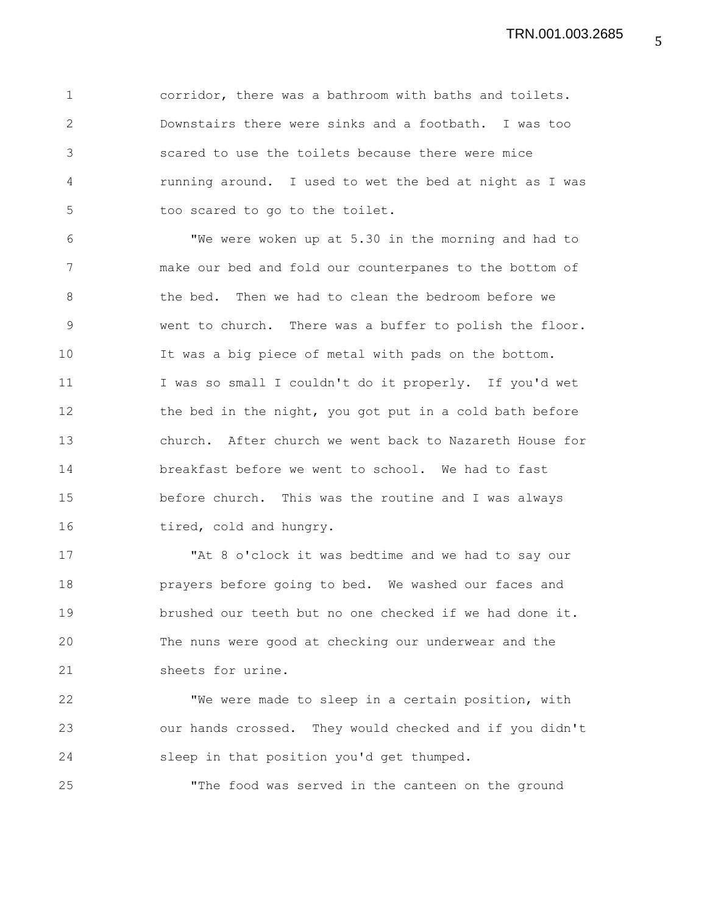1 corridor, there was a bathroom with baths and toilets. 2 Downstairs there were sinks and a footbath. I was too 3 scared to use the toilets because there were mice 4 running around. I used to wet the bed at night as I was 5 too scared to go to the toilet.

6 "We were woken up at 5.30 in the morning and had to 7 make our bed and fold our counterpanes to the bottom of 8 the bed. Then we had to clean the bedroom before we 9 went to church. There was a buffer to polish the floor. 10 It was a big piece of metal with pads on the bottom. 11 I was so small I couldn't do it properly. If you'd wet 12 the bed in the night, you got put in a cold bath before 13 church. After church we went back to Nazareth House for 14 breakfast before we went to school. We had to fast 15 before church. This was the routine and I was always 16 tired, cold and hungry.

17 "At 8 o'clock it was bedtime and we had to say our 18 prayers before going to bed. We washed our faces and 19 brushed our teeth but no one checked if we had done it. 20 The nuns were good at checking our underwear and the 21 sheets for urine.

22 "We were made to sleep in a certain position, with 23 our hands crossed. They would checked and if you didn't 24 sleep in that position you'd get thumped.

25 "The food was served in the canteen on the ground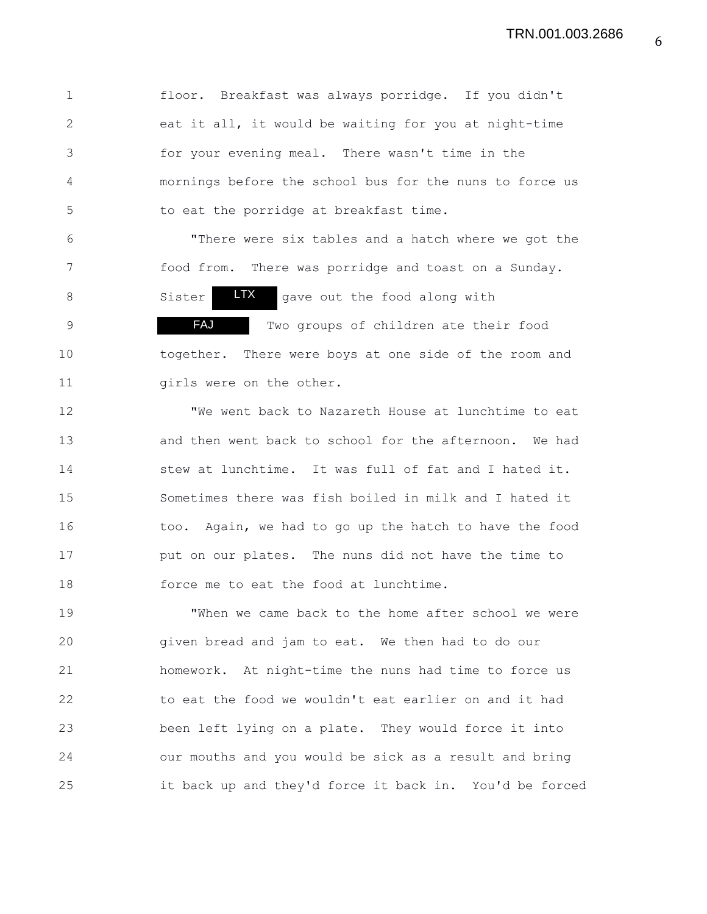1 floor. Breakfast was always porridge. If you didn't 2 eat it all, it would be waiting for you at night-time 3 for your evening meal. There wasn't time in the 4 mornings before the school bus for the nuns to force us 5 to eat the porridge at breakfast time.

6 "There were six tables and a hatch where we got the 7 food from. There was porridge and toast on a Sunday. 8 Sister **LTX** gave out the food along with 9 TWO groups of children ate their food 10 together. There were boys at one side of the room and 11 girls were on the other. FAJ LTX

12 "We went back to Nazareth House at lunchtime to eat 13 and then went back to school for the afternoon. We had 14 stew at lunchtime. It was full of fat and I hated it. 15 Sometimes there was fish boiled in milk and I hated it 16 too. Again, we had to go up the hatch to have the food 17 **put on our plates.** The nuns did not have the time to 18 force me to eat the food at lunchtime.

19 "When we came back to the home after school we were 20 given bread and jam to eat. We then had to do our 21 homework. At night-time the nuns had time to force us 22 to eat the food we wouldn't eat earlier on and it had 23 been left lying on a plate. They would force it into 24 our mouths and you would be sick as a result and bring 25 it back up and they'd force it back in. You'd be forced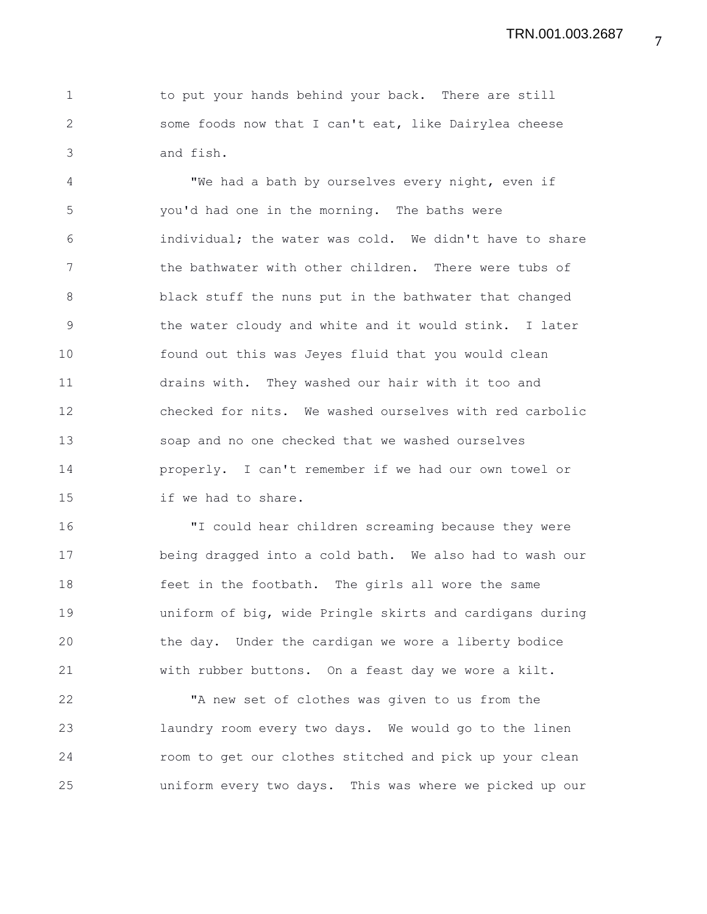1 to put your hands behind your back. There are still 2 some foods now that I can't eat, like Dairylea cheese 3 and fish.

4 "We had a bath by ourselves every night, even if 5 you'd had one in the morning. The baths were 6 individual; the water was cold. We didn't have to share 7 the bathwater with other children. There were tubs of 8 black stuff the nuns put in the bathwater that changed 9 the water cloudy and white and it would stink. I later 10 found out this was Jeyes fluid that you would clean 11 drains with. They washed our hair with it too and 12 checked for nits. We washed ourselves with red carbolic 13 soap and no one checked that we washed ourselves 14 properly. I can't remember if we had our own towel or 15 if we had to share.

16 "I could hear children screaming because they were 17 being dragged into a cold bath. We also had to wash our 18 feet in the footbath. The girls all wore the same 19 uniform of big, wide Pringle skirts and cardigans during 20 the day. Under the cardigan we wore a liberty bodice 21 with rubber buttons. On a feast day we wore a kilt.

22 "A new set of clothes was given to us from the 23 laundry room every two days. We would go to the linen 24 room to get our clothes stitched and pick up your clean 25 uniform every two days. This was where we picked up our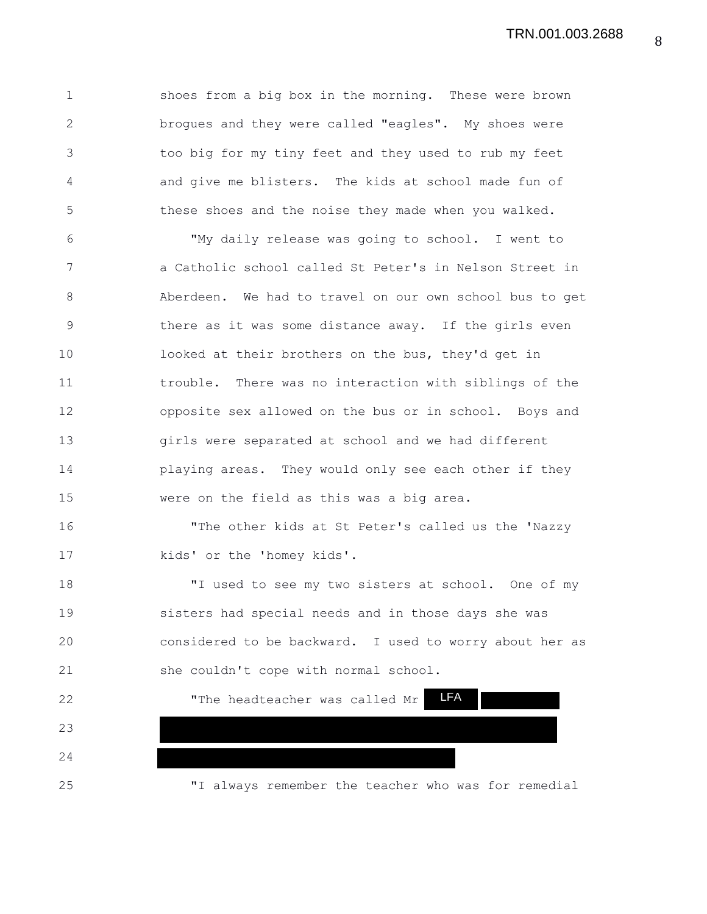TRN.001.003.2688

1 shoes from a big box in the morning. These were brown 2 brogues and they were called "eagles". My shoes were 3 too big for my tiny feet and they used to rub my feet 4 and give me blisters. The kids at school made fun of 5 these shoes and the noise they made when you walked.

6 "My daily release was going to school. I went to 7 a Catholic school called St Peter's in Nelson Street in 8 Aberdeen. We had to travel on our own school bus to get 9 there as it was some distance away. If the girls even 10 looked at their brothers on the bus, they'd get in 11 trouble. There was no interaction with siblings of the 12 opposite sex allowed on the bus or in school. Boys and 13 girls were separated at school and we had different 14 playing areas. They would only see each other if they 15 were on the field as this was a big area.

16 "The other kids at St Peter's called us the 'Nazzy 17 kids' or the 'homey kids'.

18 "I used to see my two sisters at school. One of my 19 sisters had special needs and in those days she was 20 considered to be backward. I used to worry about her as 21 she couldn't cope with normal school.

22 "The headteacher was called Mr 23 24 25 "I always remember the teacher who was for remedial LFA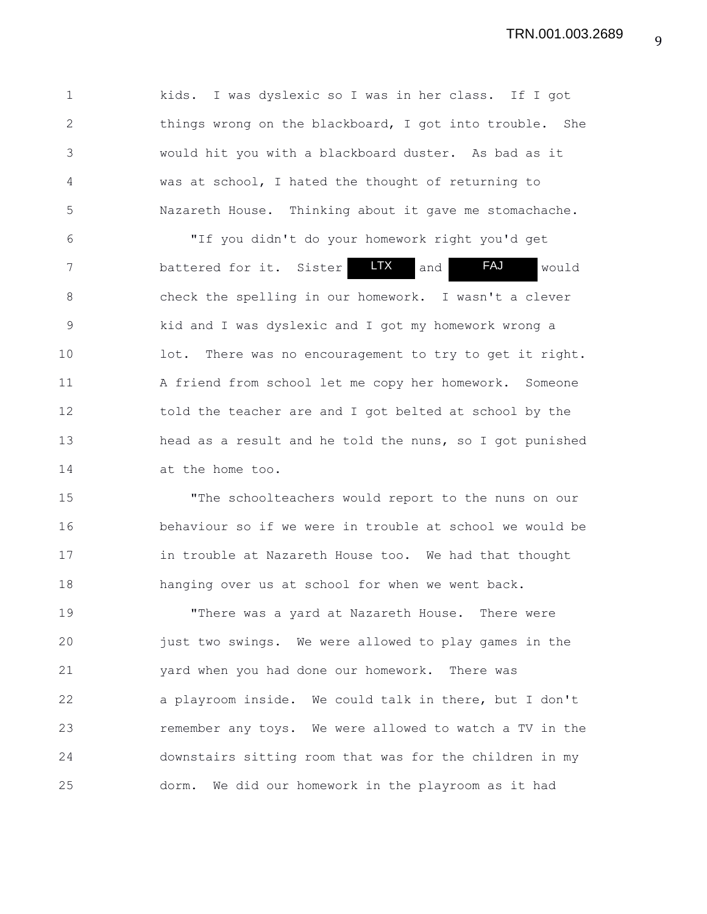1 kids. I was dyslexic so I was in her class. If I got 2 things wrong on the blackboard, I got into trouble. She 3 would hit you with a blackboard duster. As bad as it 4 was at school, I hated the thought of returning to 5 Nazareth House. Thinking about it gave me stomachache.

6 "If you didn't do your homework right you'd get 7 battered for it. Sister **LTX** and FAJ would 8 check the spelling in our homework. I wasn't a clever 9 kid and I was dyslexic and I got my homework wrong a 10 lot. There was no encouragement to try to get it right. 11 A friend from school let me copy her homework. Someone 12 told the teacher are and I got belted at school by the 13 head as a result and he told the nuns, so I got punished 14 at the home too. LTX

15 "The schoolteachers would report to the nuns on our 16 behaviour so if we were in trouble at school we would be 17 in trouble at Nazareth House too. We had that thought 18 hanging over us at school for when we went back.

19 "There was a yard at Nazareth House. There were 20 just two swings. We were allowed to play games in the 21 yard when you had done our homework. There was 22 a playroom inside. We could talk in there, but I don't 23 remember any toys. We were allowed to watch a TV in the 24 downstairs sitting room that was for the children in my 25 dorm. We did our homework in the playroom as it had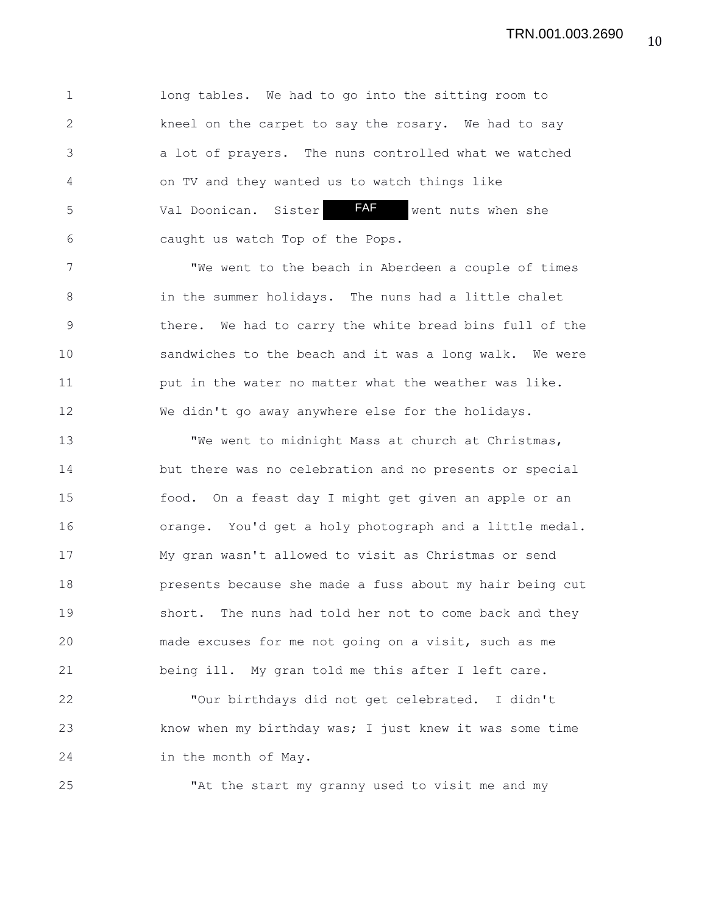1 long tables. We had to go into the sitting room to 2 kneel on the carpet to say the rosary. We had to say 3 a lot of prayers. The nuns controlled what we watched 4 on TV and they wanted us to watch things like 5 Val Doonican. Sister FAF went nuts when she 6 caught us watch Top of the Pops. FAF

7 "We went to the beach in Aberdeen a couple of times 8 in the summer holidays. The nuns had a little chalet 9 there. We had to carry the white bread bins full of the 10 sandwiches to the beach and it was a long walk. We were 11 put in the water no matter what the weather was like. 12 We didn't go away anywhere else for the holidays.

13 "We went to midnight Mass at church at Christmas, 14 but there was no celebration and no presents or special 15 food. On a feast day I might get given an apple or an 16 orange. You'd get a holy photograph and a little medal. 17 My gran wasn't allowed to visit as Christmas or send 18 presents because she made a fuss about my hair being cut 19 short. The nuns had told her not to come back and they 20 made excuses for me not going on a visit, such as me 21 being ill. My gran told me this after I left care.

22 "Our birthdays did not get celebrated. I didn't 23 know when my birthday was; I just knew it was some time 24 in the month of May.

25 "At the start my granny used to visit me and my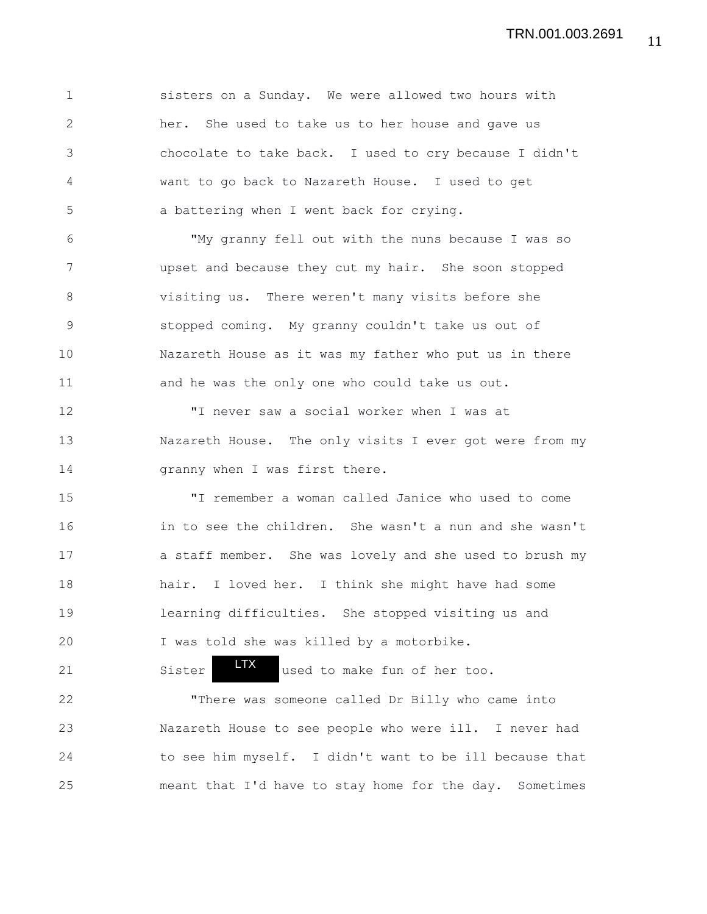1 sisters on a Sunday. We were allowed two hours with 2 her. She used to take us to her house and gave us 3 chocolate to take back. I used to cry because I didn't 4 want to go back to Nazareth House. I used to get 5 a battering when I went back for crying.

6 "My granny fell out with the nuns because I was so 7 upset and because they cut my hair. She soon stopped 8 visiting us. There weren't many visits before she 9 stopped coming. My granny couldn't take us out of 10 Nazareth House as it was my father who put us in there 11 and he was the only one who could take us out.

12 "I never saw a social worker when I was at 13 Nazareth House. The only visits I ever got were from my 14 Granny when I was first there.

15 "I remember a woman called Janice who used to come 16 in to see the children. She wasn't a nun and she wasn't 17 a staff member. She was lovely and she used to brush my 18 hair. I loved her. I think she might have had some 19 learning difficulties. She stopped visiting us and 20 I was told she was killed by a motorbike.

21 Sister **I'** used to make fun of her too. 22 "There was someone called Dr Billy who came into 23 Nazareth House to see people who were ill. I never had 24 to see him myself. I didn't want to be ill because that LTX

25 meant that I'd have to stay home for the day. Sometimes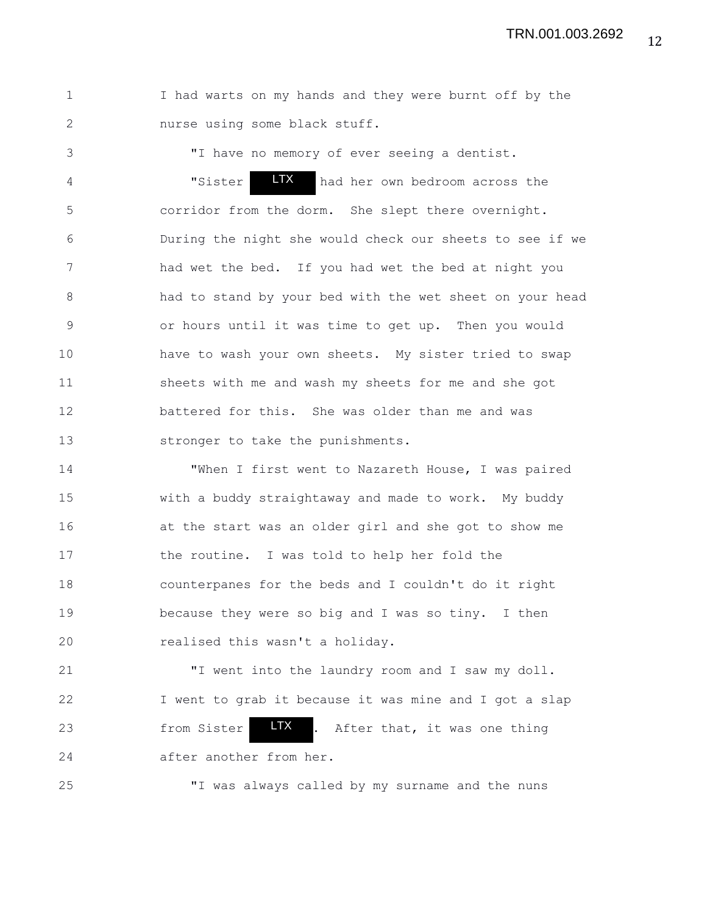1 I had warts on my hands and they were burnt off by the 2 nurse using some black stuff.

3 "I have no memory of ever seeing a dentist. 4 "Sister **LTX** had her own bedroom across the 5 corridor from the dorm. She slept there overnight. 6 During the night she would check our sheets to see if we 7 had wet the bed. If you had wet the bed at night you 8 had to stand by your bed with the wet sheet on your head 9 or hours until it was time to get up. Then you would 10 have to wash your own sheets. My sister tried to swap 11 sheets with me and wash my sheets for me and she got 12 battered for this. She was older than me and was 13 stronger to take the punishments. LTX

14 "When I first went to Nazareth House, I was paired 15 with a buddy straightaway and made to work. My buddy 16 at the start was an older girl and she got to show me 17 the routine. I was told to help her fold the 18 counterpanes for the beds and I couldn't do it right 19 because they were so big and I was so tiny. I then 20 realised this wasn't a holiday.

21 "I went into the laundry room and I saw my doll. 22 I went to grab it because it was mine and I got a slap 23 from Sister **LIX** . After that, it was one thing 24 after another from her. LTX

25 "I was always called by my surname and the nuns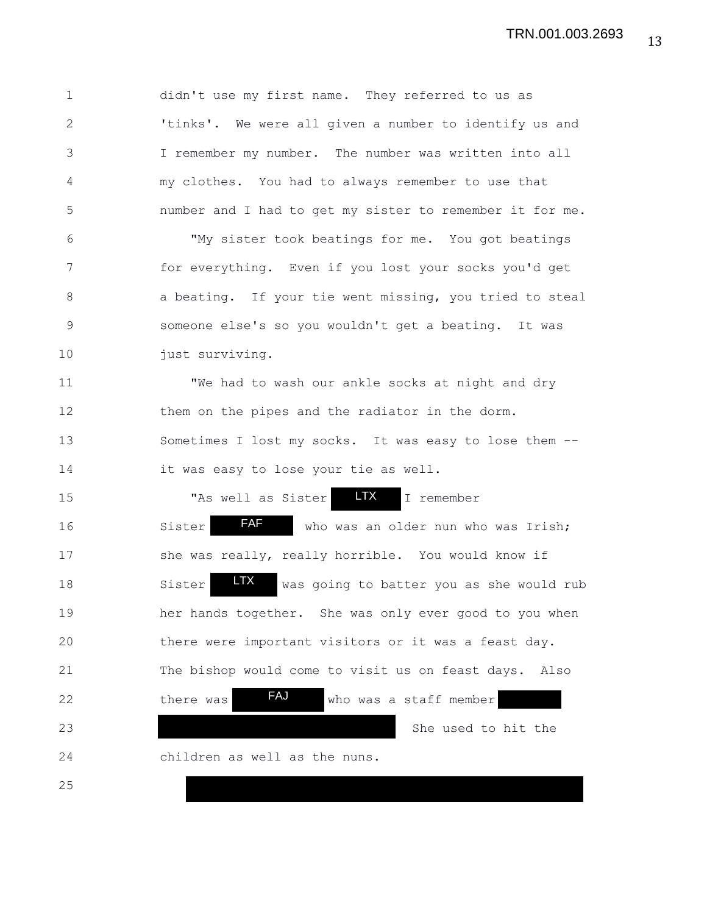1 didn't use my first name. They referred to us as 2 'tinks'. We were all given a number to identify us and 3 I remember my number. The number was written into all 4 my clothes. You had to always remember to use that 5 number and I had to get my sister to remember it for me. 6 "My sister took beatings for me. You got beatings 7 for everything. Even if you lost your socks you'd get 8 a beating. If your tie went missing, you tried to steal 9 someone else's so you wouldn't get a beating. It was 10 just surviving. 11 "We had to wash our ankle socks at night and dry 12 them on the pipes and the radiator in the dorm. 13 Sometimes I lost my socks. It was easy to lose them -- 14 it was easy to lose your tie as well. 15 "As well as Sister **LTX** I remember 16 Sister **AF** who was an older nun who was Irish; 17 she was really, really horrible. You would know if 18 Sister **W** was going to batter you as she would rub 19 her hands together. She was only ever good to you when 20 there were important visitors or it was a feast day. 21 The bishop would come to visit us on feast days. Also 22 there was **FAJ** who was a staff member 23 She used to hit the 24 children as well as the nuns. 25 LTX LTX FAJ FAF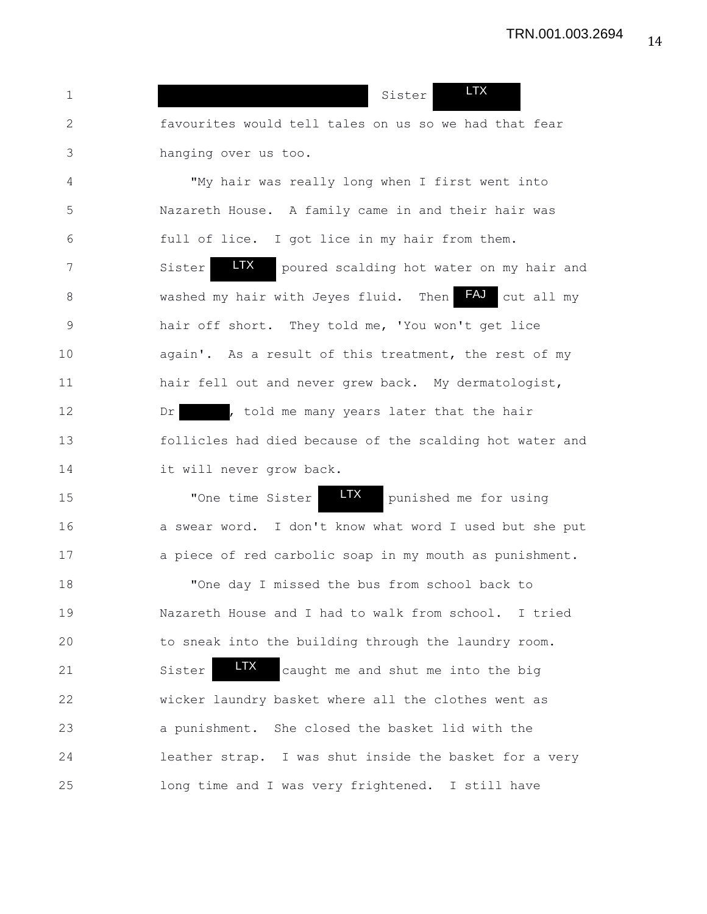| 1            | <b>LTX</b><br>Sister                                       |
|--------------|------------------------------------------------------------|
| $\mathbf{2}$ | favourites would tell tales on us so we had that fear      |
| 3            | hanging over us too.                                       |
| 4            | "My hair was really long when I first went into            |
| 5            | Nazareth House. A family came in and their hair was        |
| $6\,$        | full of lice. I got lice in my hair from them.             |
| 7            | LTX<br>Sister<br>poured scalding hot water on my hair and  |
| 8            | FAJ<br>washed my hair with Jeyes fluid. Then<br>cut all my |
| $\mathsf 9$  | hair off short. They told me, 'You won't get lice          |
| 10           | again'. As a result of this treatment, the rest of my      |
| 11           | hair fell out and never grew back. My dermatologist,       |
| 12           | , told me many years later that the hair<br>Dr             |
| 13           | follicles had died because of the scalding hot water and   |
| 14           | it will never grow back.                                   |
| 15           | <b>LTX</b><br>"One time Sister<br>punished me for using    |
| 16           | a swear word. I don't know what word I used but she put    |
| 17           | a piece of red carbolic soap in my mouth as punishment.    |
| 18           | "One day I missed the bus from school back to              |
| 19           | Nazareth House and I had to walk from school. I tried      |
| 20           | to sneak into the building through the laundry room.       |
| 21           | <b>LTX</b><br>Sister<br>caught me and shut me into the big |
| 22           | wicker laundry basket where all the clothes went as        |
| 23           | a punishment. She closed the basket lid with the           |
| 24           | leather strap. I was shut inside the basket for a very     |
| 25           | long time and I was very frightened. I still have          |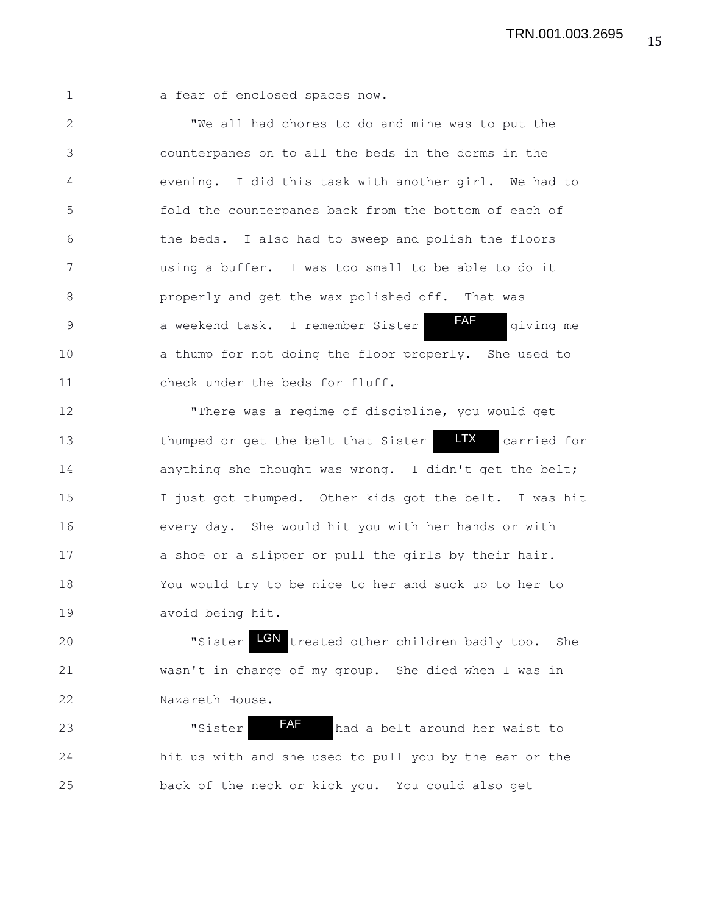1 a fear of enclosed spaces now.

2 "We all had chores to do and mine was to put the 3 counterpanes on to all the beds in the dorms in the 4 evening. I did this task with another girl. We had to 5 fold the counterpanes back from the bottom of each of 6 the beds. I also had to sweep and polish the floors 7 using a buffer. I was too small to be able to do it 8 properly and get the wax polished off. That was 9 a weekend task. I remember Sister **FAF** giving me 10 a thump for not doing the floor properly. She used to 11 check under the beds for fluff. FAF

12 "There was a regime of discipline, you would get 13 thumped or get the belt that Sister **LTX** carried for 14 anything she thought was wrong. I didn't get the belt; 15 I just got thumped. Other kids got the belt. I was hit 16 every day. She would hit you with her hands or with 17 a shoe or a slipper or pull the girls by their hair. 18 You would try to be nice to her and suck up to her to 19 avoid being hit. LTX

20 **S** The Teated other children badly too. She 21 wasn't in charge of my group. She died when I was in 22 Nazareth House.

23 **State International TAF** had a belt around her waist to 24 hit us with and she used to pull you by the ear or the 25 back of the neck or kick you. You could also get FAF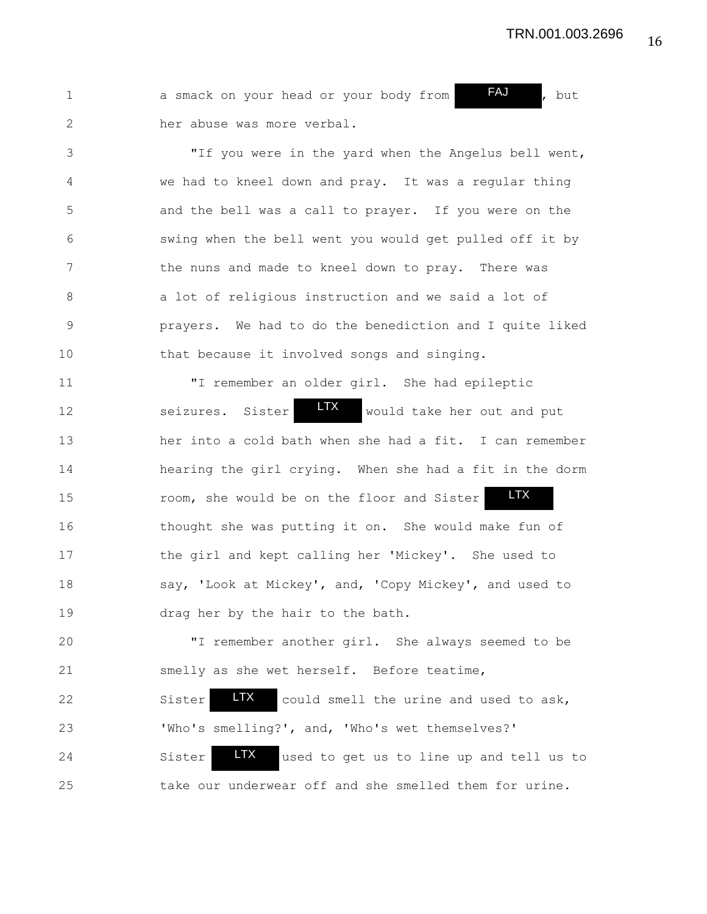| FAJ<br>but<br>a smack on your head or your body from |
|------------------------------------------------------|
| her abuse was more verbal.                           |

3 "If you were in the yard when the Angelus bell went, 4 we had to kneel down and pray. It was a regular thing 5 and the bell was a call to prayer. If you were on the 6 swing when the bell went you would get pulled off it by 7 the nuns and made to kneel down to pray. There was 8 a lot of religious instruction and we said a lot of 9 prayers. We had to do the benediction and I quite liked 10 that because it involved songs and singing.

11 "I remember an older girl. She had epileptic 12 seizures. Sister **LIX** would take her out and put 13 her into a cold bath when she had a fit. I can remember 14 hearing the girl crying. When she had a fit in the dorm 15 room, she would be on the floor and Sister 16 thought she was putting it on. She would make fun of 17 the girl and kept calling her 'Mickey'. She used to 18 say, 'Look at Mickey', and, 'Copy Mickey', and used to 19 drag her by the hair to the bath. LTX LTX

20 "I remember another girl. She always seemed to be 21 smelly as she wet herself. Before teatime,

22 Sister **IX** could smell the urine and used to ask, 23 'Who's smelling?', and, 'Who's wet themselves?' 24 Sister **LIX** used to get us to line up and tell us to 25 take our underwear off and she smelled them for urine. LTX LTX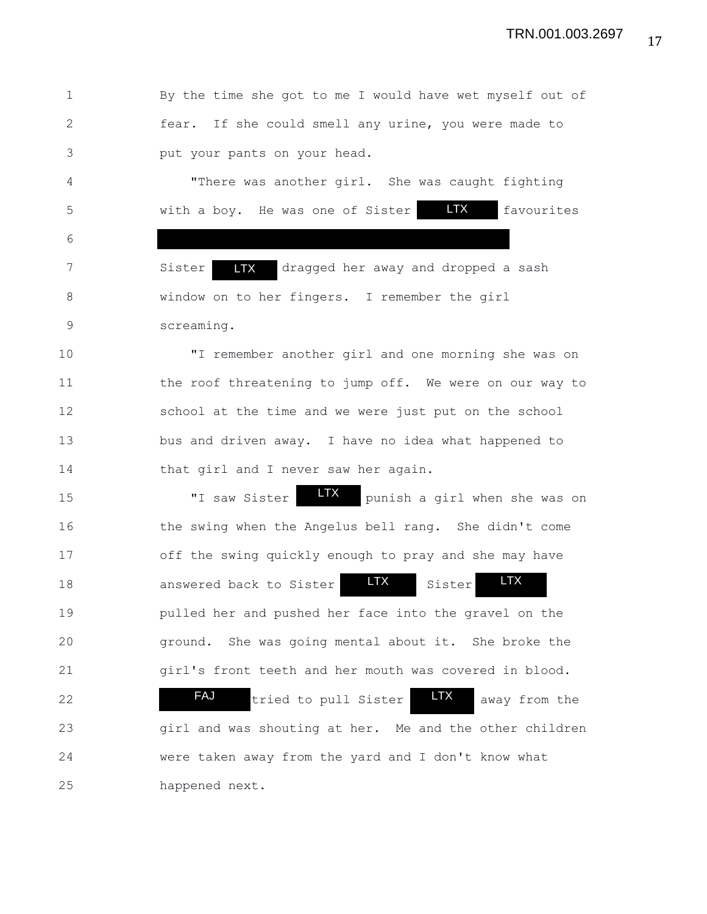17 TRN.001.003.2697

1 By the time she got to me I would have wet myself out of 2 fear. If she could smell any urine, you were made to 3 put your pants on your head.

4 "There was another girl. She was caught fighting 5 with a boy. He was one of Sister LTX favourites LTX

7 Sister LTX dragged her away and dropped a sash 8 window on to her fingers. I remember the girl 9 screaming. LTX

6

10 "I remember another girl and one morning she was on 11 the roof threatening to jump off. We were on our way to 12 school at the time and we were just put on the school 13 bus and driven away. I have no idea what happened to 14 that girl and I never saw her again.

15 TI saw Sister **LTX** punish a girl when she was on 16 the swing when the Angelus bell rang. She didn't come 17 off the swing quickly enough to pray and she may have 18 answered back to Sister **LTX** Sister 19 pulled her and pushed her face into the gravel on the 20 ground. She was going mental about it. She broke the 21 girl's front teeth and her mouth was covered in blood. LTX LTX

22 **TAU** tried to pull Sister TX away from the 23 girl and was shouting at her. Me and the other children 24 were taken away from the yard and I don't know what 25 happened next. FAJ LTX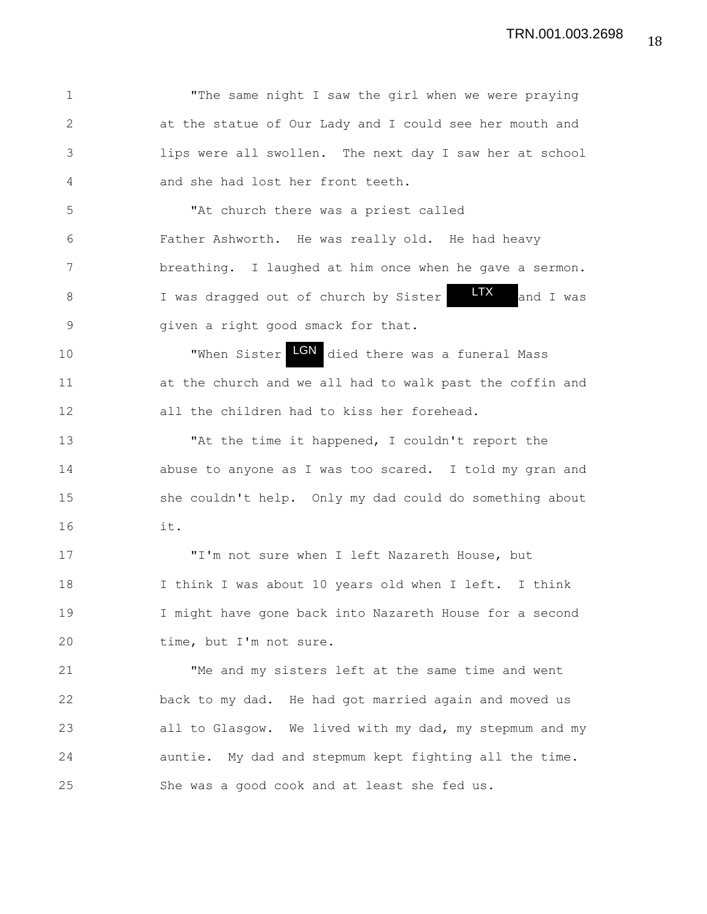1 "The same night I saw the girl when we were praying 2 at the statue of Our Lady and I could see her mouth and 3 lips were all swollen. The next day I saw her at school 4 and she had lost her front teeth. 5 "At church there was a priest called 6 Father Ashworth. He was really old. He had heavy 7 breathing. I laughed at him once when he gave a sermon. 8 I was dragged out of church by Sister **IX** and I was 9 given a right good smack for that. 10 **When Sister LGN** died there was a funeral Mass 11 at the church and we all had to walk past the coffin and 12 all the children had to kiss her forehead. 13 "At the time it happened, I couldn't report the 14 abuse to anyone as I was too scared. I told my gran and 15 she couldn't help. Only my dad could do something about 16 it. 17 "I'm not sure when I left Nazareth House, but 18 I think I was about 10 years old when I left. I think 19 I might have gone back into Nazareth House for a second 20 time, but I'm not sure. 21 "Me and my sisters left at the same time and went 22 back to my dad. He had got married again and moved us 23 all to Glasgow. We lived with my dad, my stepmum and my 24 auntie. My dad and stepmum kept fighting all the time. 25 She was a good cook and at least she fed us. LTX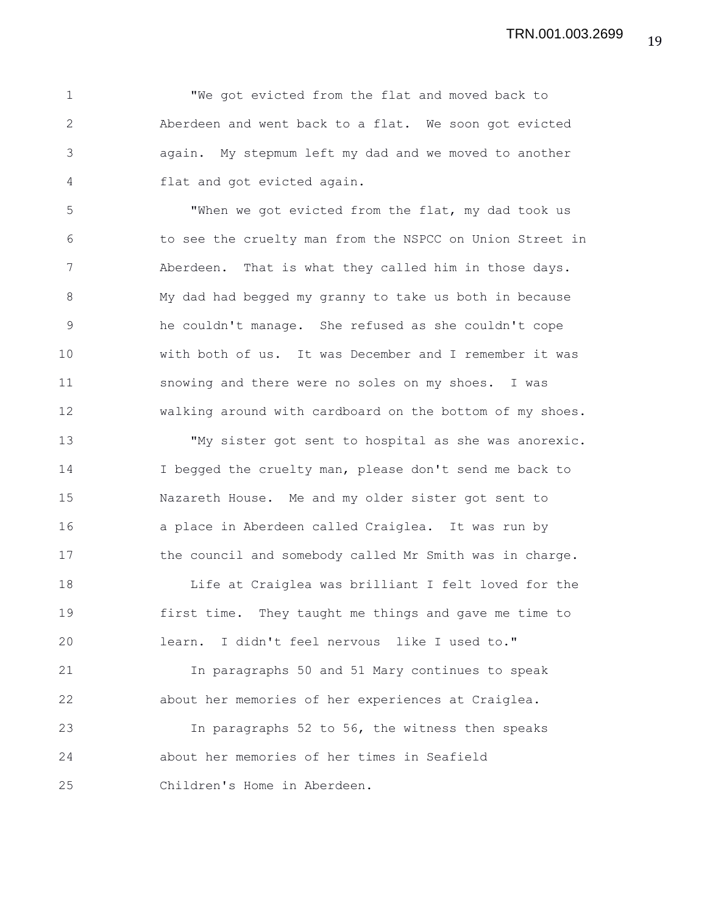1 "We got evicted from the flat and moved back to 2 Aberdeen and went back to a flat. We soon got evicted 3 again. My stepmum left my dad and we moved to another 4 flat and got evicted again.

5 "When we got evicted from the flat, my dad took us 6 to see the cruelty man from the NSPCC on Union Street in 7 Aberdeen. That is what they called him in those days. 8 My dad had begged my granny to take us both in because 9 he couldn't manage. She refused as she couldn't cope 10 with both of us. It was December and I remember it was 11 snowing and there were no soles on my shoes. I was 12 walking around with cardboard on the bottom of my shoes.

13 "My sister got sent to hospital as she was anorexic. 14 I begged the cruelty man, please don't send me back to 15 Nazareth House. Me and my older sister got sent to 16 a place in Aberdeen called Craiglea. It was run by 17 the council and somebody called Mr Smith was in charge.

18 Life at Craiglea was brilliant I felt loved for the 19 first time. They taught me things and gave me time to 20 learn. I didn't feel nervous like I used to."

21 In paragraphs 50 and 51 Mary continues to speak 22 about her memories of her experiences at Craiglea.

23 In paragraphs 52 to 56, the witness then speaks 24 about her memories of her times in Seafield 25 Children's Home in Aberdeen.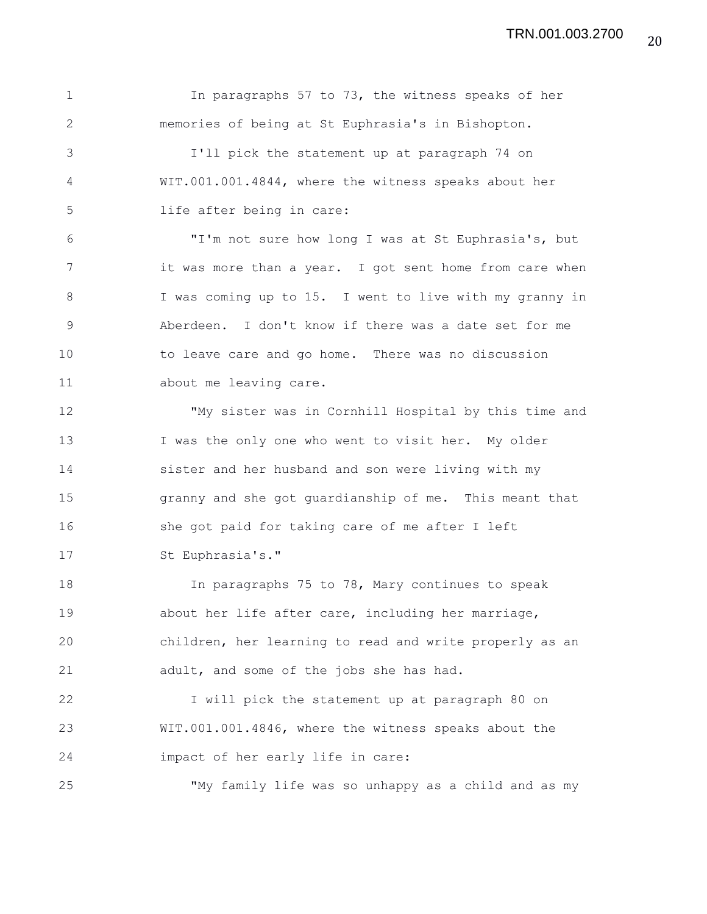1 In paragraphs 57 to 73, the witness speaks of her 2 memories of being at St Euphrasia's in Bishopton. 3 I'll pick the statement up at paragraph 74 on 4 WIT.001.001.4844, where the witness speaks about her 5 life after being in care: 6 "I'm not sure how long I was at St Euphrasia's, but 7 it was more than a year. I got sent home from care when 8 I was coming up to 15. I went to live with my granny in 9 Aberdeen. I don't know if there was a date set for me 10 to leave care and go home. There was no discussion 11 about me leaving care. 12 "My sister was in Cornhill Hospital by this time and 13 I was the only one who went to visit her. My older 14 sister and her husband and son were living with my 15 granny and she got guardianship of me. This meant that 16 she got paid for taking care of me after I left 17 St Euphrasia's." 18 In paragraphs 75 to 78, Mary continues to speak 19 about her life after care, including her marriage, 20 children, her learning to read and write properly as an 21 adult, and some of the jobs she has had. 22 I will pick the statement up at paragraph 80 on 23 WIT.001.001.4846, where the witness speaks about the 24 impact of her early life in care: 25 "My family life was so unhappy as a child and as my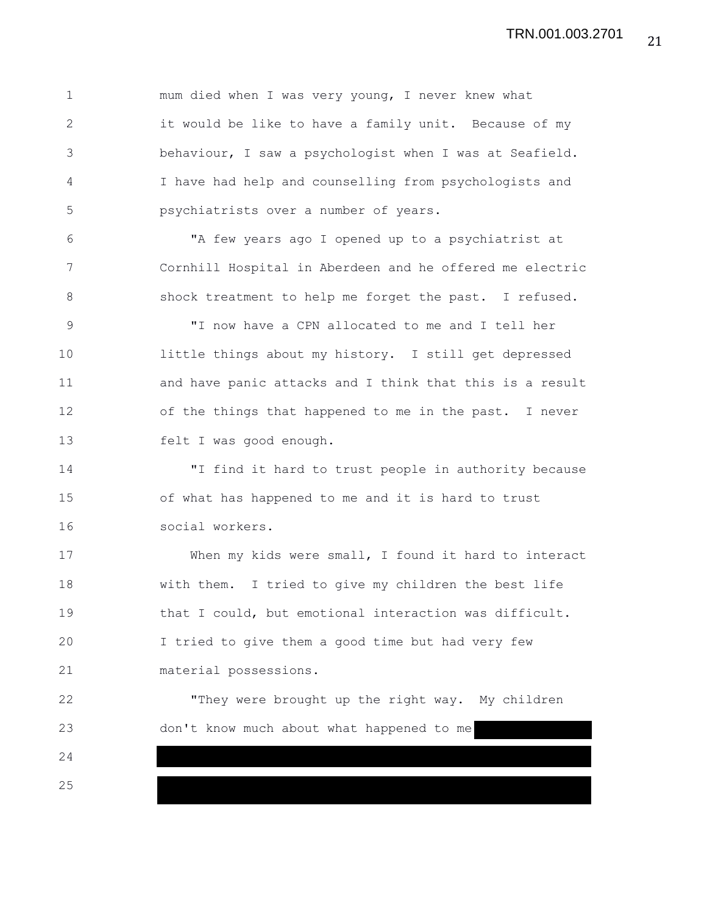1 mum died when I was very young, I never knew what 2 it would be like to have a family unit. Because of my 3 behaviour, I saw a psychologist when I was at Seafield. 4 I have had help and counselling from psychologists and 5 psychiatrists over a number of years. 6 "A few years ago I opened up to a psychiatrist at 7 Cornhill Hospital in Aberdeen and he offered me electric 8 shock treatment to help me forget the past. I refused. 9 "I now have a CPN allocated to me and I tell her 10 little things about my history. I still get depressed 11 and have panic attacks and I think that this is a result 12 of the things that happened to me in the past. I never 13 felt I was good enough. 14 "I find it hard to trust people in authority because 15 of what has happened to me and it is hard to trust 16 social workers. 17 When my kids were small, I found it hard to interact 18 with them. I tried to give my children the best life 19 that I could, but emotional interaction was difficult. 20 I tried to give them a good time but had very few 21 material possessions. 22 "They were brought up the right way. My children 23 don't know much about what happened to me 24 25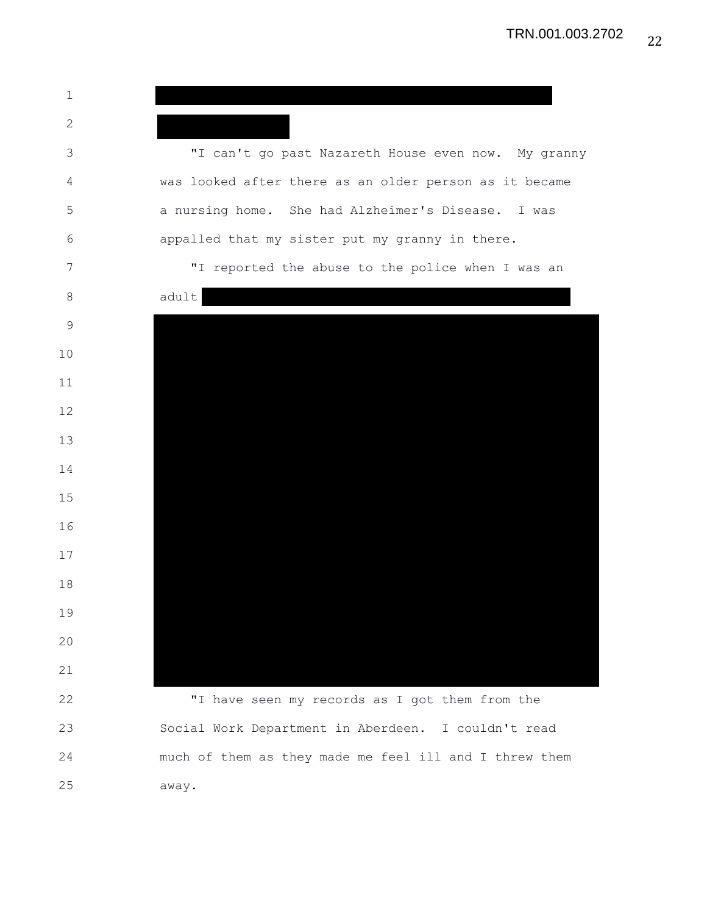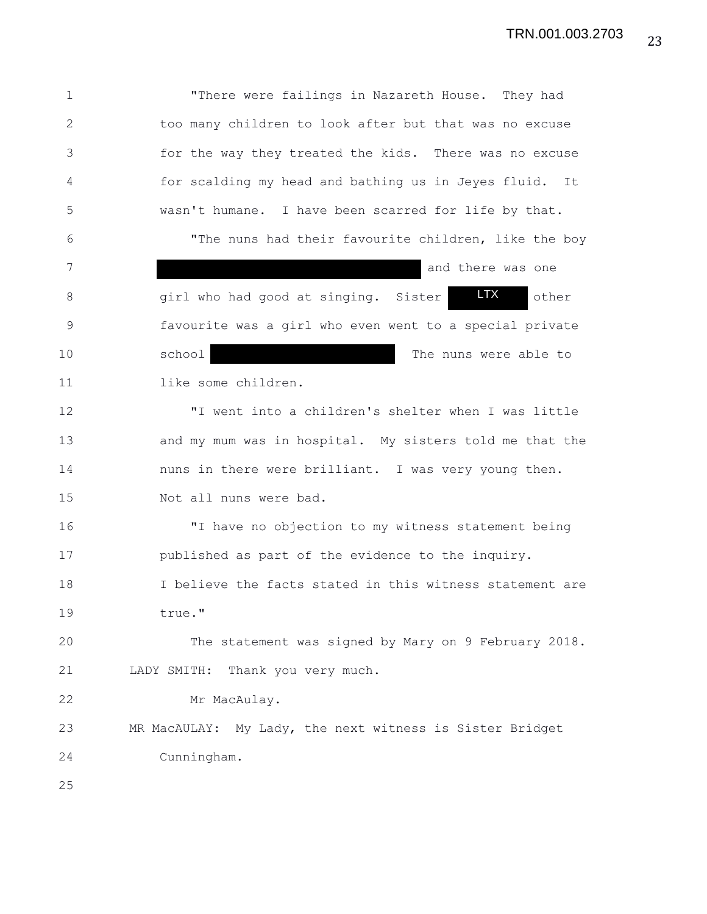1 "There were failings in Nazareth House. They had 2 too many children to look after but that was no excuse 3 for the way they treated the kids. There was no excuse 4 for scalding my head and bathing us in Jeyes fluid. It 5 wasn't humane. I have been scarred for life by that. 6 "The nuns had their favourite children, like the boy 7 and there was one and there was one 8 6 8 girl who had good at singing. Sister **LTX** other 9 favourite was a girl who even went to a special private 10 school school The nuns were able to 11 like some children. 12 "I went into a children's shelter when I was little 13 and my mum was in hospital. My sisters told me that the 14 nuns in there were brilliant. I was very young then. 15 Not all nuns were bad. 16 "I have no objection to my witness statement being 17 published as part of the evidence to the inquiry. 18 I believe the facts stated in this witness statement are 19 true." 20 The statement was signed by Mary on 9 February 2018. 21 LADY SMITH: Thank you very much. 22 Mr MacAulay. 23 MR MacAULAY: My Lady, the next witness is Sister Bridget 24 Cunningham. 25 LTX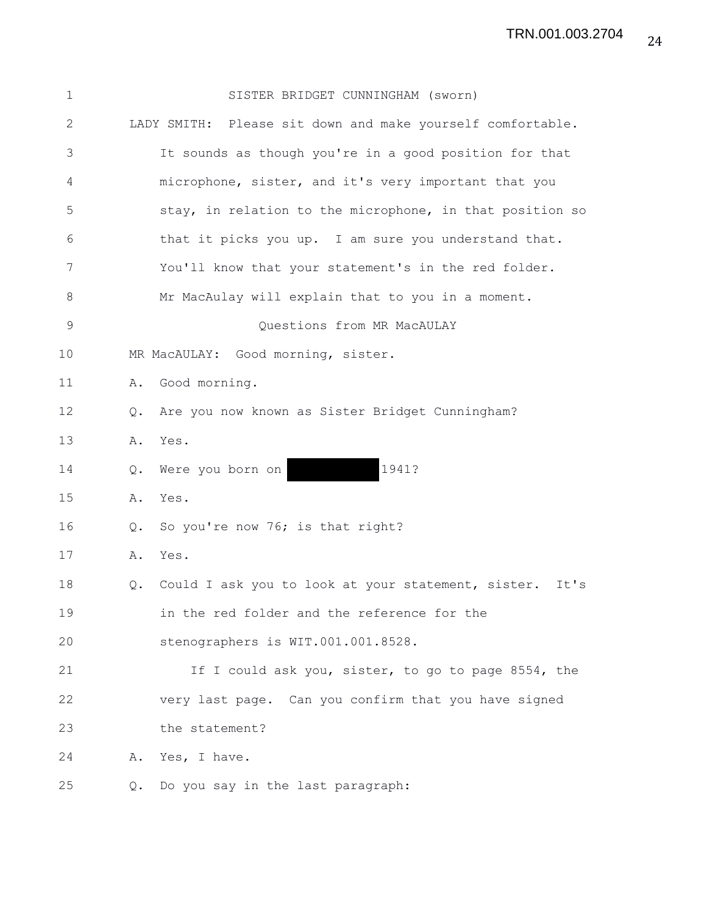| 1            |               | SISTER BRIDGET CUNNINGHAM (sworn)                          |
|--------------|---------------|------------------------------------------------------------|
| $\mathbf{2}$ |               | LADY SMITH: Please sit down and make yourself comfortable. |
| 3            |               | It sounds as though you're in a good position for that     |
| 4            |               | microphone, sister, and it's very important that you       |
| 5            |               | stay, in relation to the microphone, in that position so   |
| 6            |               | that it picks you up. I am sure you understand that.       |
| 7            |               | You'll know that your statement's in the red folder.       |
| 8            |               | Mr MacAulay will explain that to you in a moment.          |
| 9            |               | Questions from MR MacAULAY                                 |
| 10           |               | MR MacAULAY: Good morning, sister.                         |
| 11           | Α.            | Good morning.                                              |
| 12           | $Q_{\bullet}$ | Are you now known as Sister Bridget Cunningham?            |
| 13           |               | A. Yes.                                                    |
| 14           | Q.            | 1941?<br>Were you born on                                  |
| 15           |               | A. Yes.                                                    |
| 16           | Q.            | So you're now 76; is that right?                           |
| 17           | Α.            | Yes.                                                       |
| 18           | Q.            | Could I ask you to look at your statement, sister.<br>It's |
| 19           |               | in the red folder and the reference for the                |
| 20           |               | stenographers is WIT.001.001.8528.                         |
| 21           |               | If I could ask you, sister, to go to page 8554, the        |
| 22           |               | very last page. Can you confirm that you have signed       |
| 23           |               | the statement?                                             |
| 24           |               | A. Yes, I have.                                            |
|              |               |                                                            |

25 Q. Do you say in the last paragraph: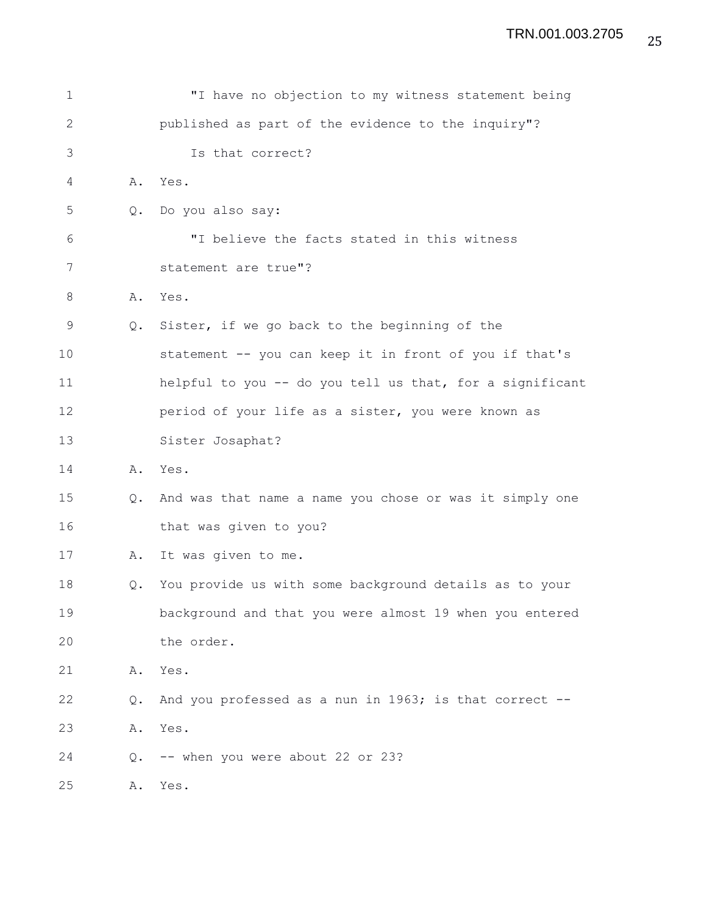| $\mathbf 1$  |               | "I have no objection to my witness statement being       |
|--------------|---------------|----------------------------------------------------------|
| $\mathbf{2}$ |               | published as part of the evidence to the inquiry"?       |
| 3            |               | Is that correct?                                         |
| 4            | Α.            | Yes.                                                     |
| 5            | $Q_{\bullet}$ | Do you also say:                                         |
| 6            |               | "I believe the facts stated in this witness              |
| 7            |               | statement are true"?                                     |
| 8            | Α.            | Yes.                                                     |
| 9            | $Q_{\bullet}$ | Sister, if we go back to the beginning of the            |
| 10           |               | statement -- you can keep it in front of you if that's   |
| 11           |               | helpful to you -- do you tell us that, for a significant |
| 12           |               | period of your life as a sister, you were known as       |
| 13           |               | Sister Josaphat?                                         |
| 14           | Α.            | Yes.                                                     |
| 15           | Q.            | And was that name a name you chose or was it simply one  |
| 16           |               | that was given to you?                                   |
| 17           | Α.            | It was given to me.                                      |
| 18           | Q.            | You provide us with some background details as to your   |
| 19           |               | background and that you were almost 19 when you entered  |
| 20           |               | the order.                                               |
| 21           | Α.            | Yes.                                                     |
| 22           | Q.            | And you professed as a nun in 1963; is that correct --   |
| 23           | Α.            | Yes.                                                     |
| 24           | Q.            | -- when you were about 22 or 23?                         |
| 25           | Α.            | Yes.                                                     |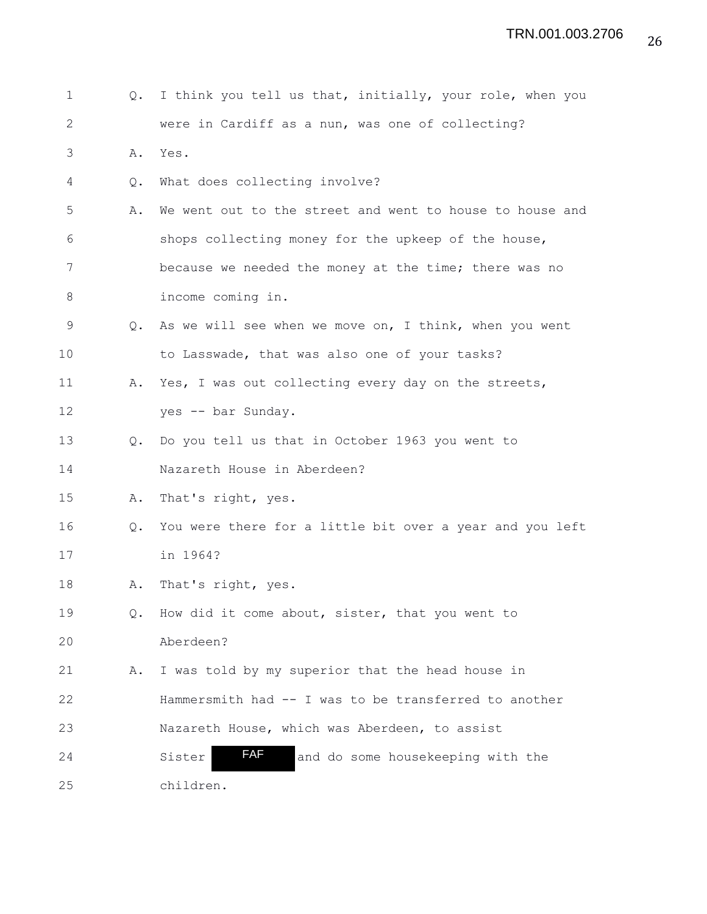1 Q. I think you tell us that, initially, your role, when you 2 were in Cardiff as a nun, was one of collecting? 3 A. Yes. 4 Q. What does collecting involve? 5 A. We went out to the street and went to house to house and 6 shops collecting money for the upkeep of the house, 7 because we needed the money at the time; there was no 8 income coming in. 9 Q. As we will see when we move on, I think, when you went 10 to Lasswade, that was also one of your tasks? 11 A. Yes, I was out collecting every day on the streets, 12 yes -- bar Sunday. 13 Q. Do you tell us that in October 1963 you went to 14 Nazareth House in Aberdeen? 15 A. That's right, yes. 16 Q. You were there for a little bit over a year and you left 17 in 1964? 18 A. That's right, yes. 19 Q. How did it come about, sister, that you went to 20 Aberdeen? 21 A. I was told by my superior that the head house in 22 Hammersmith had -- I was to be transferred to another 23 Nazareth House, which was Aberdeen, to assist 24 Sister **AF** and do some housekeeping with the 25 children. FAF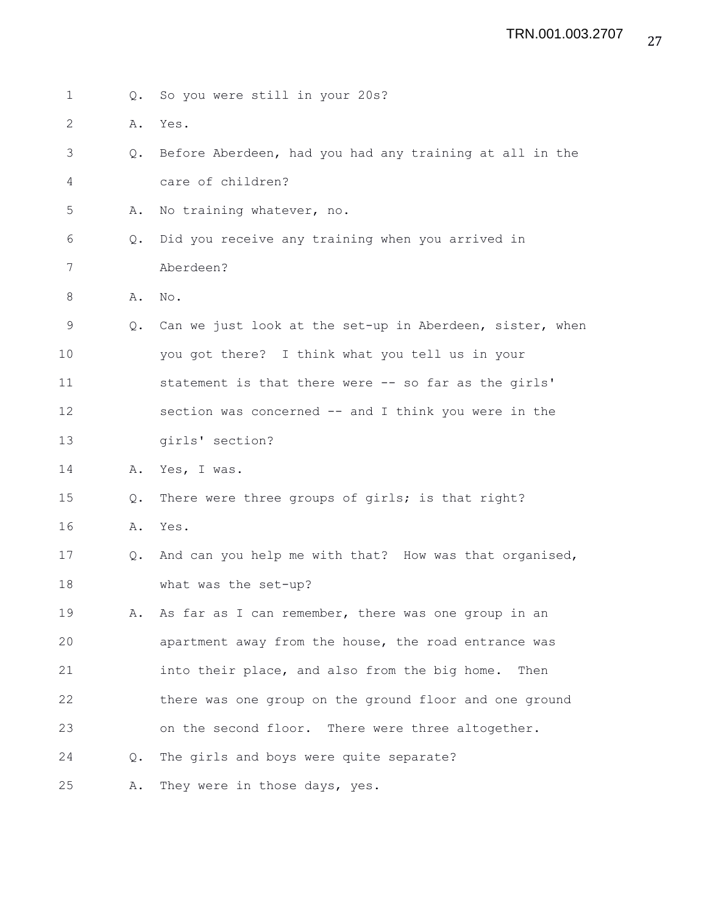| $\mathbf 1$  | $Q_{\bullet}$ | So you were still in your 20s?                           |
|--------------|---------------|----------------------------------------------------------|
| $\mathbf{2}$ | Α.            | Yes.                                                     |
| 3            | $Q_{\bullet}$ | Before Aberdeen, had you had any training at all in the  |
| 4            |               | care of children?                                        |
| 5            | Α.            | No training whatever, no.                                |
| 6            | $Q_{\bullet}$ | Did you receive any training when you arrived in         |
| 7            |               | Aberdeen?                                                |
| 8            | Α.            | No.                                                      |
| 9            | Q.            | Can we just look at the set-up in Aberdeen, sister, when |
| 10           |               | you got there? I think what you tell us in your          |
| 11           |               | statement is that there were -- so far as the girls'     |
| 12           |               | section was concerned -- and I think you were in the     |
| 13           |               | girls' section?                                          |
| 14           | Α.            | Yes, I was.                                              |
| 15           | Q.            | There were three groups of girls; is that right?         |
| 16           | Α.            | Yes.                                                     |
| 17           | Q.            | And can you help me with that? How was that organised,   |
| 18           |               | what was the set-up?                                     |
| 19           | Α.            | As far as I can remember, there was one group in an      |
| 20           |               | apartment away from the house, the road entrance was     |
| 21           |               | into their place, and also from the big home.<br>Then    |
| 22           |               | there was one group on the ground floor and one ground   |
| 23           |               | on the second floor. There were three altogether.        |
| 24           | $Q_{\bullet}$ | The girls and boys were quite separate?                  |
| 25           | Α.            | They were in those days, yes.                            |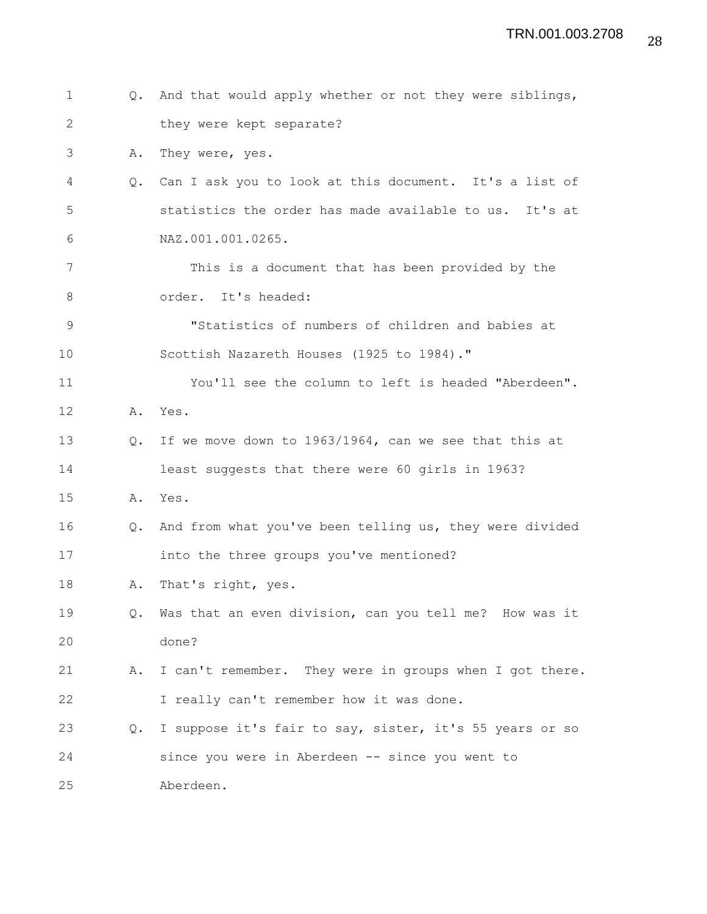| $\mathbf 1$  |               | Q. And that would apply whether or not they were siblings, |
|--------------|---------------|------------------------------------------------------------|
| $\mathbf{2}$ |               | they were kept separate?                                   |
| 3            | Α.            | They were, yes.                                            |
| 4            | $Q_{\bullet}$ | Can I ask you to look at this document. It's a list of     |
| 5            |               | statistics the order has made available to us. It's at     |
| 6            |               | NAZ.001.001.0265.                                          |
| 7            |               | This is a document that has been provided by the           |
| 8            |               | order. It's headed:                                        |
| $\mathsf 9$  |               | "Statistics of numbers of children and babies at           |
| 10           |               | Scottish Nazareth Houses (1925 to 1984)."                  |
| 11           |               | You'll see the column to left is headed "Aberdeen".        |
| 12           |               | A. Yes.                                                    |
| 13           | Q.            | If we move down to 1963/1964, can we see that this at      |
| 14           |               | least suggests that there were 60 girls in 1963?           |
| 15           | Α.            | Yes.                                                       |
| 16           | Q.            | And from what you've been telling us, they were divided    |
| 17           |               | into the three groups you've mentioned?                    |
| 18           | Α.            | That's right, yes.                                         |
| 19           | $Q_{\bullet}$ | Was that an even division, can you tell me? How was it     |
| 20           |               | done?                                                      |
| 21           | Α.            | I can't remember. They were in groups when I got there.    |
| 22           |               | I really can't remember how it was done.                   |
| 23           | Q.            | I suppose it's fair to say, sister, it's 55 years or so    |
| 24           |               | since you were in Aberdeen -- since you went to            |
| 25           |               | Aberdeen.                                                  |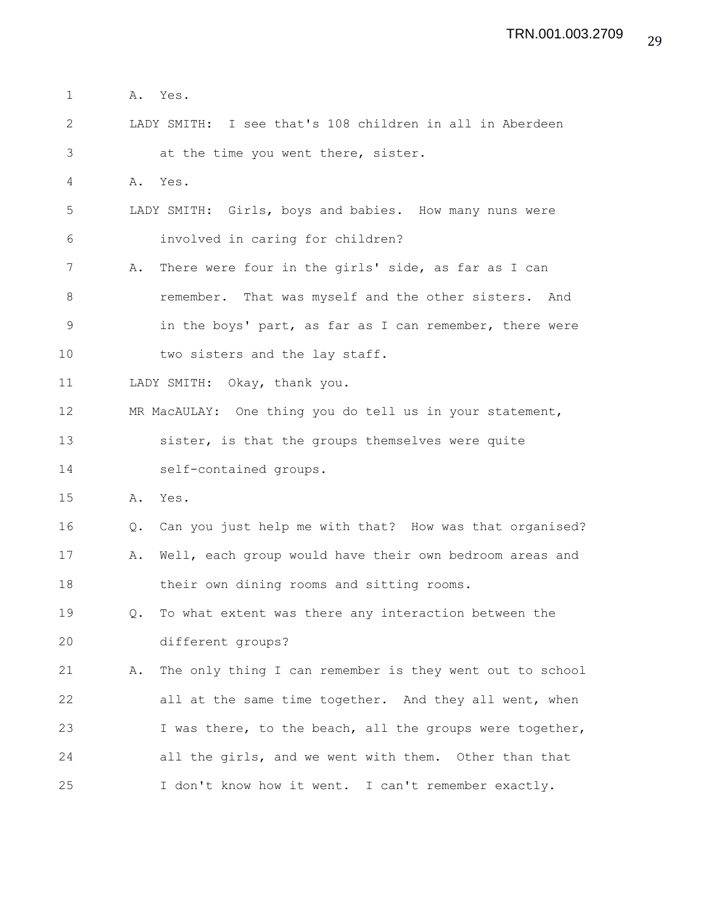- 1 A. Yes.
- 2 LADY SMITH: I see that's 108 children in all in Aberdeen 3 at the time you went there, sister.
- 4 A. Yes.
- 5 LADY SMITH: Girls, boys and babies. How many nuns were 6 involved in caring for children?
- 7 A. There were four in the girls' side, as far as I can 8 remember. That was myself and the other sisters. And 9 in the boys' part, as far as I can remember, there were 10 two sisters and the lay staff.
- 11 LADY SMITH: Okay, thank you.
- 12 MR MacAULAY: One thing you do tell us in your statement, 13 sister, is that the groups themselves were quite 14 self-contained groups.
- 15 A. Yes.
- 16 Q. Can you just help me with that? How was that organised?
- 17 A. Well, each group would have their own bedroom areas and 18 their own dining rooms and sitting rooms.
- 19 Q. To what extent was there any interaction between the 20 different groups?
- 21 A. The only thing I can remember is they went out to school 22 all at the same time together. And they all went, when 23 I was there, to the beach, all the groups were together, 24 all the girls, and we went with them. Other than that 25 I don't know how it went. I can't remember exactly.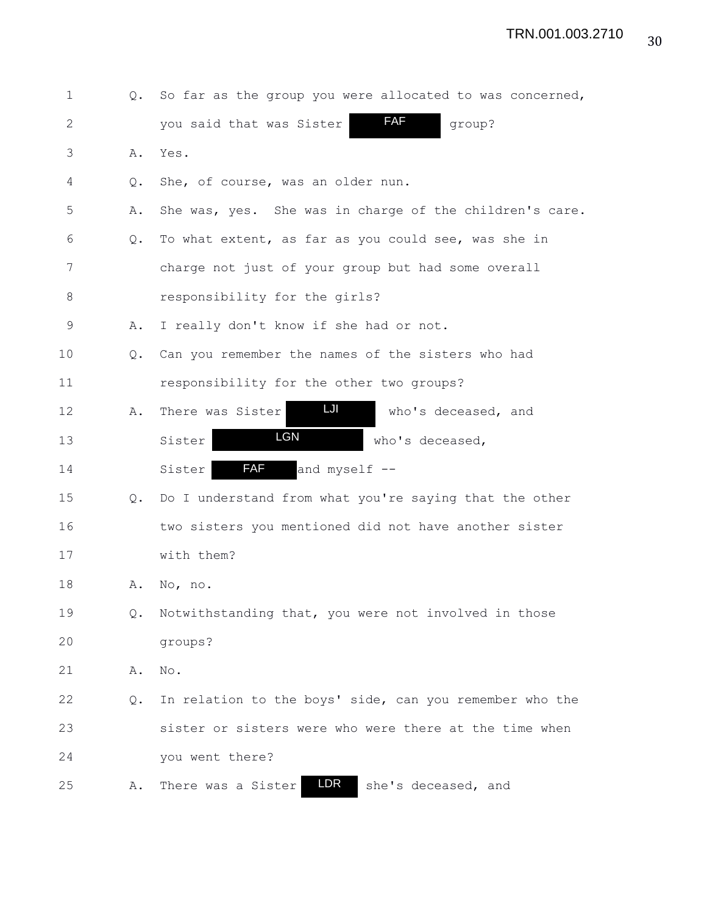| 1  | $Q_{\bullet}$ | So far as the group you were allocated to was concerned, |
|----|---------------|----------------------------------------------------------|
| 2  |               | <b>FAF</b><br>group?<br>you said that was Sister         |
| 3  | Α.            | Yes.                                                     |
| 4  | Q.            | She, of course, was an older nun.                        |
| 5  | Α.            | She was, yes. She was in charge of the children's care.  |
| 6  | $\circ$ .     | To what extent, as far as you could see, was she in      |
| 7  |               | charge not just of your group but had some overall       |
| 8  |               | responsibility for the girls?                            |
| 9  | Α.            | I really don't know if she had or not.                   |
| 10 | $Q_{\bullet}$ | Can you remember the names of the sisters who had        |
| 11 |               | responsibility for the other two groups?                 |
| 12 | Α.            | LJI<br>There was Sister<br>who's deceased, and           |
| 13 |               | <b>LGN</b><br>Sister<br>who's deceased,                  |
| 14 |               | <b>FAF</b><br>and myself --<br>Sister                    |
| 15 | Q.            | Do I understand from what you're saying that the other   |
| 16 |               | two sisters you mentioned did not have another sister    |
| 17 |               | with them?                                               |
| 18 | Α.            | No, no.                                                  |
| 19 | Q.            | Notwithstanding that, you were not involved in those     |
| 20 |               | groups?                                                  |
| 21 | Α.            | $\mathrm{No}$ .                                          |
| 22 | Q.            | In relation to the boys' side, can you remember who the  |
| 23 |               | sister or sisters were who were there at the time when   |
| 24 |               | you went there?                                          |
| 25 | Α.            | <b>LDR</b><br>There was a Sister<br>she's deceased, and  |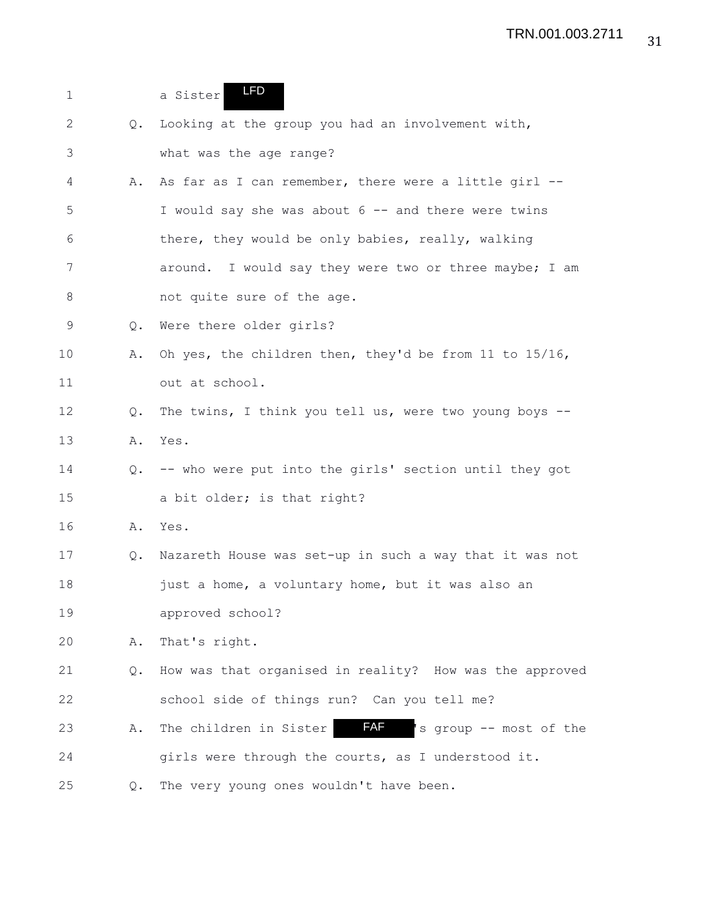| $\mathbf 1$ |               | <b>LFD</b><br>a Sister                                         |
|-------------|---------------|----------------------------------------------------------------|
| 2           | Q.            | Looking at the group you had an involvement with,              |
| 3           |               | what was the age range?                                        |
| 4           | Α.            | As far as I can remember, there were a little girl --          |
| 5           |               | I would say she was about 6 -- and there were twins            |
| 6           |               | there, they would be only babies, really, walking              |
| 7           |               | around. I would say they were two or three maybe; I am         |
| 8           |               | not quite sure of the age.                                     |
| 9           | $Q_{\bullet}$ | Were there older girls?                                        |
| 10          | Α.            | Oh yes, the children then, they'd be from 11 to $15/16$ ,      |
| 11          |               | out at school.                                                 |
| 12          | Q.            | The twins, I think you tell us, were two young boys --         |
| 13          | Α.            | Yes.                                                           |
| 14          | Q.            | -- who were put into the girls' section until they got         |
| 15          |               | a bit older; is that right?                                    |
| 16          | Α.            | Yes.                                                           |
| 17          | Q.            | Nazareth House was set-up in such a way that it was not        |
| 18          |               | just a home, a voluntary home, but it was also an              |
| 19          |               | approved school?                                               |
| 20          | Α.            | That's right.                                                  |
| 21          | Q.            | How was that organised in reality? How was the approved        |
| 22          |               | school side of things run? Can you tell me?                    |
| 23          | Α.            | <b>FAF</b><br>s group -- most of the<br>The children in Sister |
| 24          |               | girls were through the courts, as I understood it.             |
| 25          | Q.            | The very young ones wouldn't have been.                        |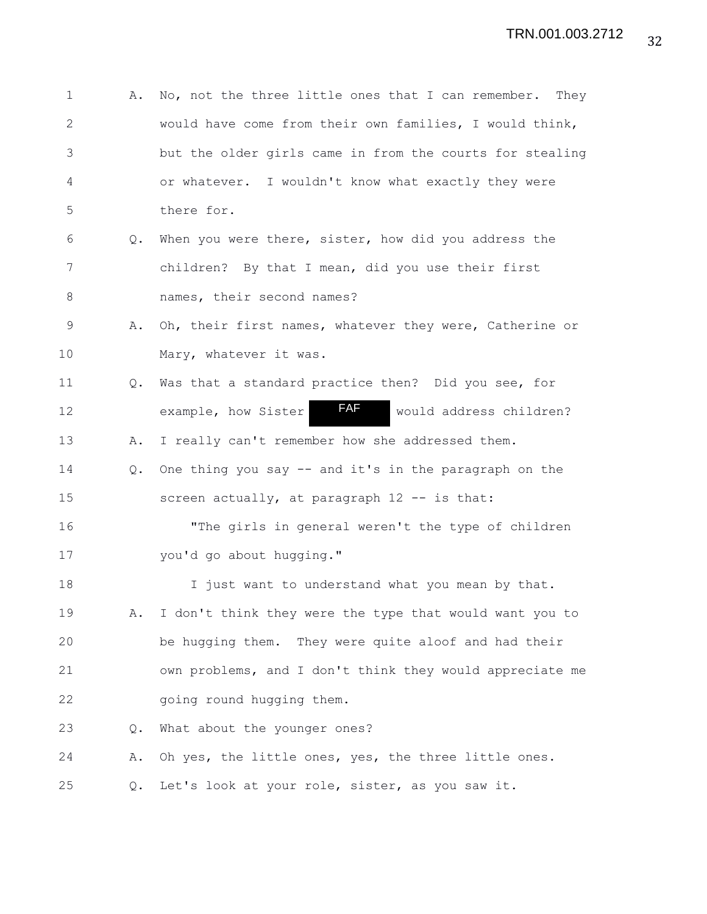| $\mathbf 1$  | Α.            | No, not the three little ones that I can remember.<br>They |
|--------------|---------------|------------------------------------------------------------|
| $\mathbf{2}$ |               | would have come from their own families, I would think,    |
| 3            |               | but the older girls came in from the courts for stealing   |
| 4            |               | or whatever. I wouldn't know what exactly they were        |
| 5            |               | there for.                                                 |
| 6            | Q.            | When you were there, sister, how did you address the       |
| 7            |               | children? By that I mean, did you use their first          |
| 8            |               | names, their second names?                                 |
| 9            | Α.            | Oh, their first names, whatever they were, Catherine or    |
| 10           |               | Mary, whatever it was.                                     |
| 11           | $Q_{\bullet}$ | Was that a standard practice then? Did you see, for        |
| 12           |               | FAF<br>example, how Sister<br>would address children?      |
| 13           | Α.            | I really can't remember how she addressed them.            |
| 14           | $Q_{\bullet}$ | One thing you say -- and it's in the paragraph on the      |
| 15           |               | screen actually, at paragraph 12 -- is that:               |
| 16           |               | "The girls in general weren't the type of children         |
| 17           |               | you'd go about hugging."                                   |
| 18           |               | I just want to understand what you mean by that.           |
| 19           | Α.            | I don't think they were the type that would want you to    |
| 20           |               | be hugging them. They were quite aloof and had their       |
| 21           |               | own problems, and I don't think they would appreciate me   |
| 22           |               | going round hugging them.                                  |
| 23           | $Q_{\bullet}$ | What about the younger ones?                               |
| 24           | Α.            | Oh yes, the little ones, yes, the three little ones.       |
| 25           | Q.            | Let's look at your role, sister, as you saw it.            |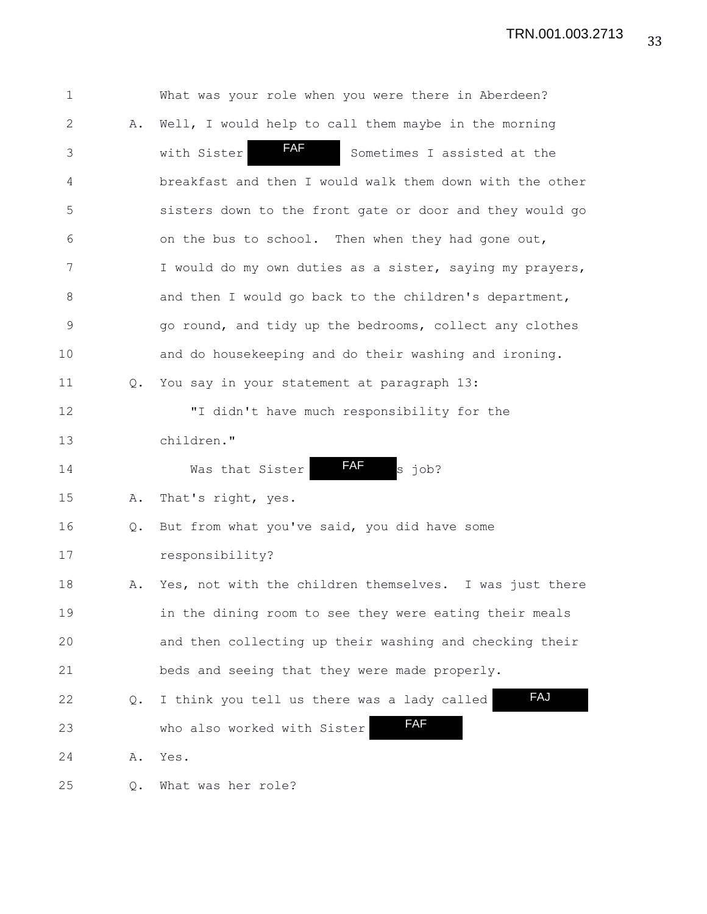| $\mathbf 1$    |               | What was your role when you were there in Aberdeen?      |
|----------------|---------------|----------------------------------------------------------|
| $\mathbf{2}$   | Α.            | Well, I would help to call them maybe in the morning     |
| $\mathfrak{Z}$ |               | <b>FAF</b><br>with Sister<br>Sometimes I assisted at the |
| 4              |               | breakfast and then I would walk them down with the other |
| 5              |               | sisters down to the front gate or door and they would go |
| 6              |               | on the bus to school. Then when they had gone out,       |
| 7              |               | I would do my own duties as a sister, saying my prayers, |
| $8\,$          |               | and then I would go back to the children's department,   |
| $\mathsf 9$    |               | go round, and tidy up the bedrooms, collect any clothes  |
| 10             |               | and do housekeeping and do their washing and ironing.    |
| 11             | $Q_{\bullet}$ | You say in your statement at paragraph 13:               |
| 12             |               | "I didn't have much responsibility for the               |
| 13             |               | children."                                               |
| 14             |               | FAF<br>s job?<br>Was that Sister                         |
| 15             | Α.            | That's right, yes.                                       |
| 16             | $Q_{\bullet}$ | But from what you've said, you did have some             |
| 17             |               | responsibility?                                          |
| 18             | Α.            | Yes, not with the children themselves. I was just there  |
| 19             |               | in the dining room to see they were eating their meals   |
| 20             |               | and then collecting up their washing and checking their  |
| 21             |               | beds and seeing that they were made properly.            |
| 22             | Q.            | FAJ<br>I think you tell us there was a lady called       |
| 23             |               | <b>FAF</b><br>who also worked with Sister                |
| 24             | Α.            | Yes.                                                     |
| 25             | Q.            | What was her role?                                       |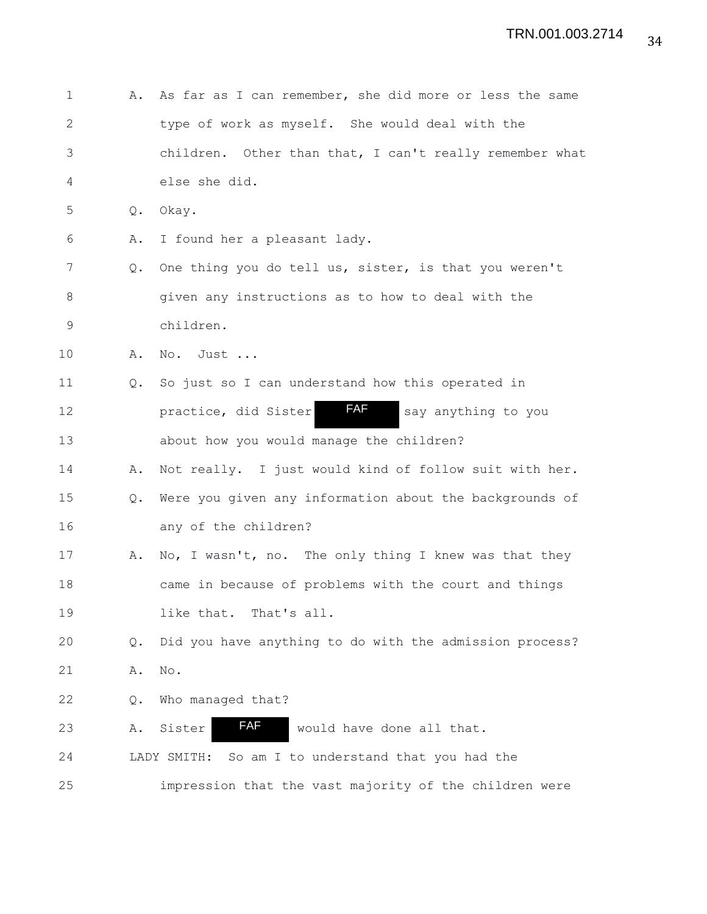| $\mathbf 1$ | Α.            | As far as I can remember, she did more or less the same |
|-------------|---------------|---------------------------------------------------------|
| 2           |               | type of work as myself. She would deal with the         |
| 3           |               | children. Other than that, I can't really remember what |
| 4           |               | else she did.                                           |
| 5           | Q.            | Okay.                                                   |
| 6           | Α.            | I found her a pleasant lady.                            |
| 7           | Q.            | One thing you do tell us, sister, is that you weren't   |
| 8           |               | given any instructions as to how to deal with the       |
| $\mathsf 9$ |               | children.                                               |
| 10          | Α.            | No. Just                                                |
| 11          | $Q_{\bullet}$ | So just so I can understand how this operated in        |
| 12          |               | FAF<br>practice, did Sister<br>say anything to you      |
| 13          |               | about how you would manage the children?                |
| 14          | Α.            | Not really. I just would kind of follow suit with her.  |
| 15          | Q.            | Were you given any information about the backgrounds of |
| 16          |               | any of the children?                                    |
| 17          | Α.            | No, I wasn't, no. The only thing I knew was that they   |
| 18          |               | came in because of problems with the court and things   |
| 19          |               | like that.<br>That's all.                               |
| 20          | $Q$ .         | Did you have anything to do with the admission process? |
| 21          | Α.            | No.                                                     |
| 22          | Q.            | Who managed that?                                       |
| 23          | Α.            | FAF<br>Sister<br>would have done all that.              |
| 24          |               | So am I to understand that you had the<br>LADY SMITH:   |
| 25          |               | impression that the vast majority of the children were  |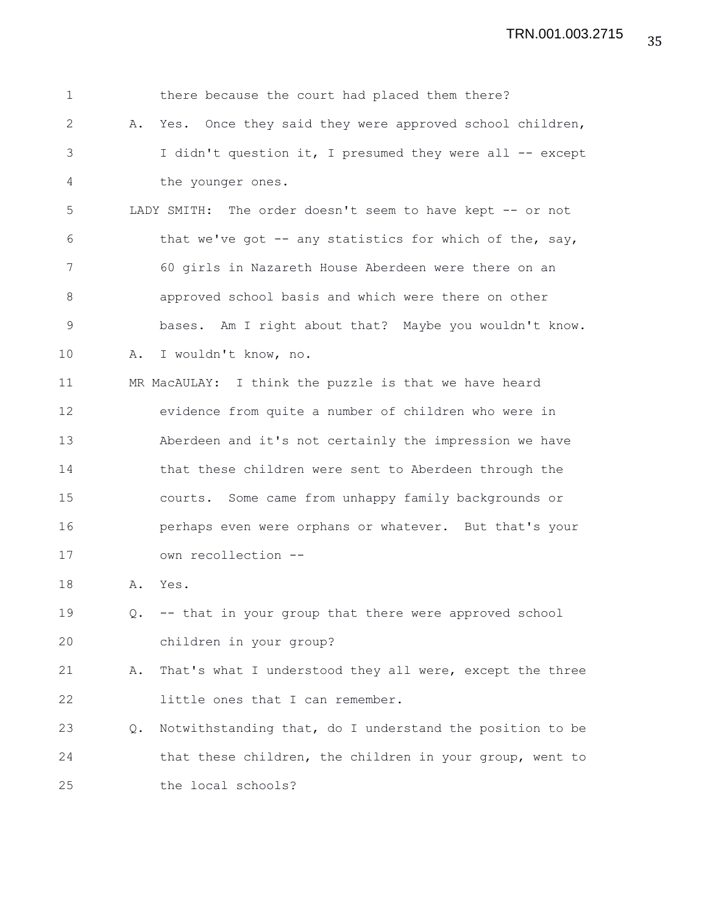| $\mathbf 1$  |           | there because the court had placed them there?            |
|--------------|-----------|-----------------------------------------------------------|
| $\mathbf{2}$ | Α.        | Yes. Once they said they were approved school children,   |
| 3            |           | I didn't question it, I presumed they were all -- except  |
| 4            |           | the younger ones.                                         |
| 5            |           | LADY SMITH: The order doesn't seem to have kept -- or not |
| 6            |           | that we've got -- any statistics for which of the, say,   |
| 7            |           | 60 girls in Nazareth House Aberdeen were there on an      |
| 8            |           | approved school basis and which were there on other       |
| 9            |           | bases. Am I right about that? Maybe you wouldn't know.    |
| 10           | Α.        | I wouldn't know, no.                                      |
| 11           |           | MR MacAULAY: I think the puzzle is that we have heard     |
| 12           |           | evidence from quite a number of children who were in      |
| 13           |           | Aberdeen and it's not certainly the impression we have    |
| 14           |           | that these children were sent to Aberdeen through the     |
| 15           |           | courts. Some came from unhappy family backgrounds or      |
| 16           |           | perhaps even were orphans or whatever. But that's your    |
| 17           |           | own recollection --                                       |
| 18           | Α.        | Yes.                                                      |
| 19           | $\circ$ . | -- that in your group that there were approved school     |
| 20           |           | children in your group?                                   |
| 21           | Α.        | That's what I understood they all were, except the three  |
| 22           |           | little ones that I can remember.                          |
| 23           | Q.        | Notwithstanding that, do I understand the position to be  |
| 24           |           | that these children, the children in your group, went to  |
| 25           |           | the local schools?                                        |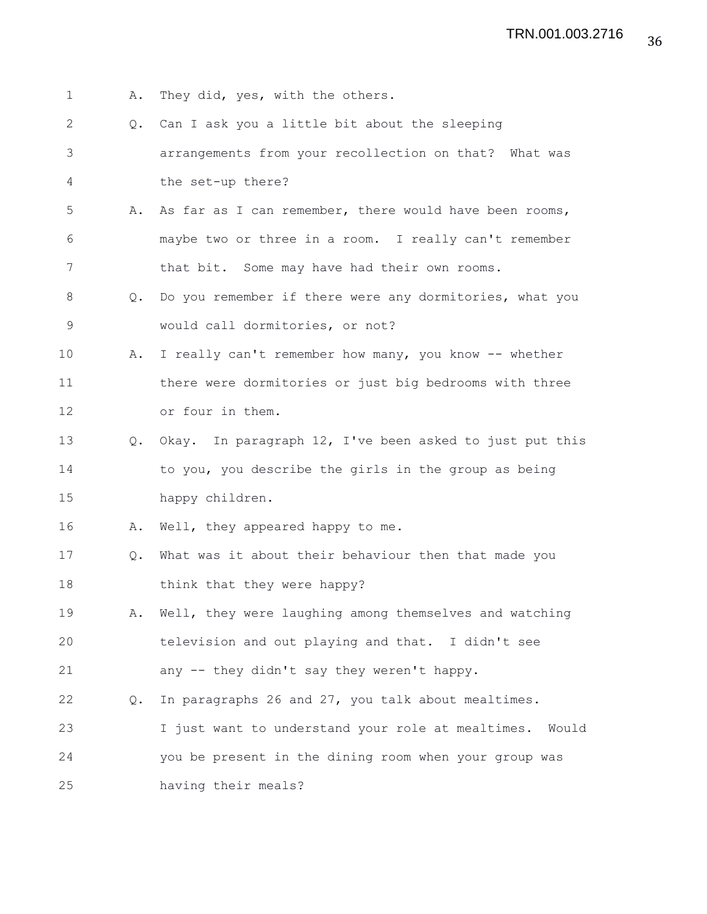- 1 A. They did, yes, with the others.
- 2 Q. Can I ask you a little bit about the sleeping 3 arrangements from your recollection on that? What was 4 the set-up there?
- 5 A. As far as I can remember, there would have been rooms, 6 maybe two or three in a room. I really can't remember 7 that bit. Some may have had their own rooms.
- 8 Q. Do you remember if there were any dormitories, what you 9 would call dormitories, or not?
- 10 A. I really can't remember how many, you know -- whether 11 there were dormitories or just big bedrooms with three 12 or four in them.
- 13 Q. Okay. In paragraph 12, I've been asked to just put this 14 to you, you describe the girls in the group as being 15 happy children.
- 16 A. Well, they appeared happy to me.
- 17 Q. What was it about their behaviour then that made you 18 think that they were happy?
- 19 A. Well, they were laughing among themselves and watching 20 television and out playing and that. I didn't see 21 any -- they didn't say they weren't happy.
- 22 Q. In paragraphs 26 and 27, you talk about mealtimes.
- 23 I just want to understand your role at mealtimes. Would 24 you be present in the dining room when your group was 25 having their meals?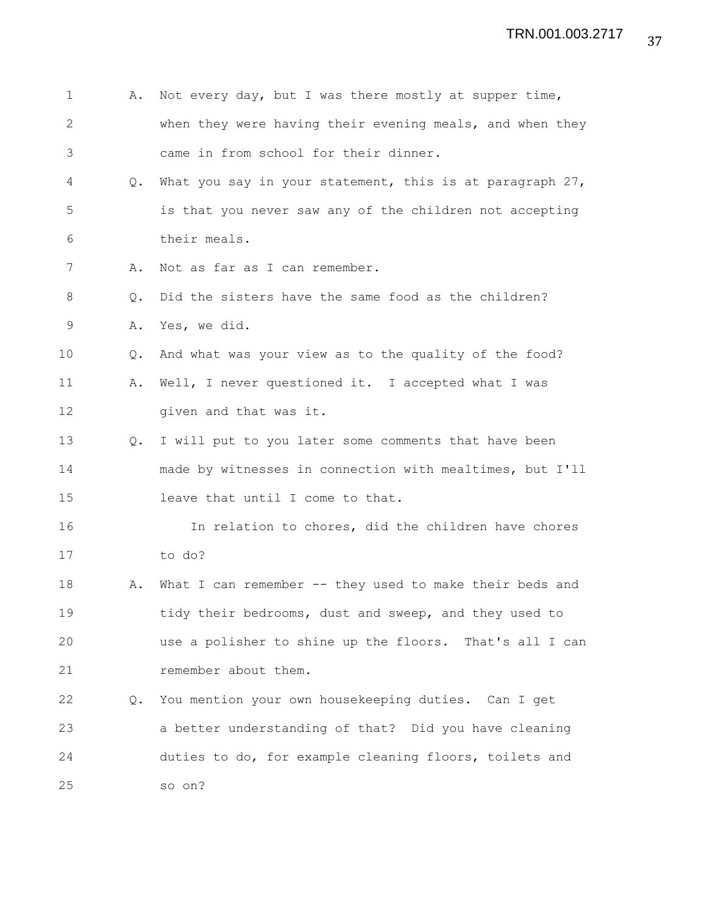| 1            | Α.            | Not every day, but I was there mostly at supper time,       |
|--------------|---------------|-------------------------------------------------------------|
| $\mathbf{2}$ |               | when they were having their evening meals, and when they    |
| 3            |               | came in from school for their dinner.                       |
| 4            | $Q_{\bullet}$ | What you say in your statement, this is at paragraph $27$ , |
| 5            |               | is that you never saw any of the children not accepting     |
| 6            |               | their meals.                                                |
| 7            | Α.            | Not as far as I can remember.                               |
| 8            | Q.            | Did the sisters have the same food as the children?         |
| 9            | Α.            | Yes, we did.                                                |
| 10           | Q.            | And what was your view as to the quality of the food?       |
| 11           | Α.            | Well, I never questioned it. I accepted what I was          |
| 12           |               | given and that was it.                                      |
| 13           | $Q_{\bullet}$ | I will put to you later some comments that have been        |
| 14           |               | made by witnesses in connection with mealtimes, but I'll    |
| 15           |               | leave that until I come to that.                            |
| 16           |               | In relation to chores, did the children have chores         |
| 17           |               | to do?                                                      |
| 18           | Α.            | What I can remember -- they used to make their beds and     |
| 19           |               | tidy their bedrooms, dust and sweep, and they used to       |
| 20           |               | use a polisher to shine up the floors. That's all I can     |
| 21           |               | remember about them.                                        |
| 22           | Q.            | You mention your own housekeeping duties. Can I get         |
| 23           |               | a better understanding of that? Did you have cleaning       |
| 24           |               | duties to do, for example cleaning floors, toilets and      |
| 25           |               | so on?                                                      |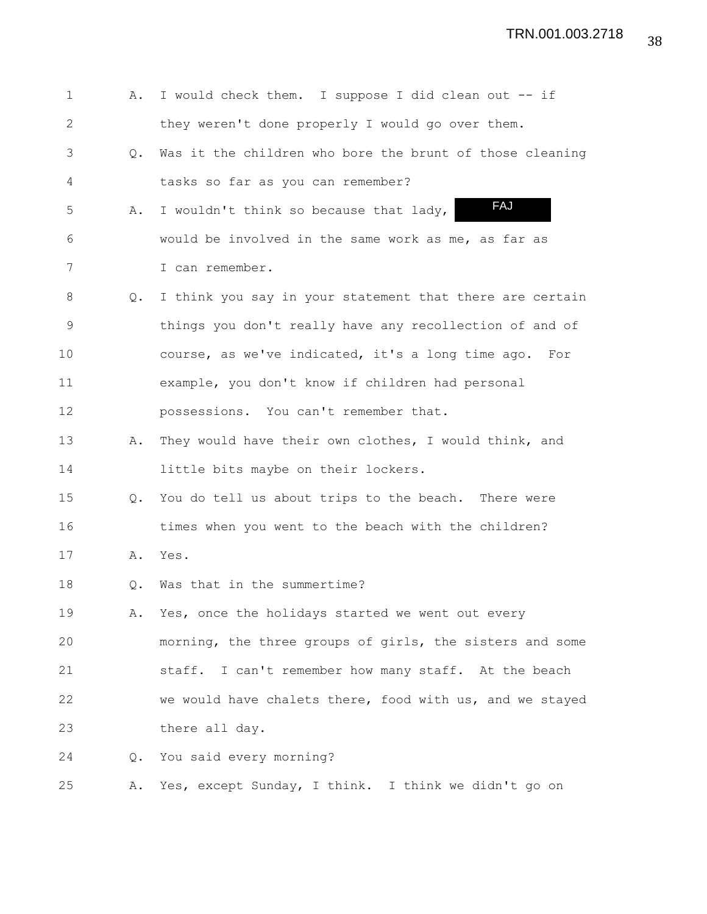| 1            | Α.            | I would check them. I suppose I did clean out -- if      |
|--------------|---------------|----------------------------------------------------------|
| $\mathbf{2}$ |               | they weren't done properly I would go over them.         |
| 3            | Q.            | Was it the children who bore the brunt of those cleaning |
| 4            |               | tasks so far as you can remember?                        |
| 5            | Α.            | FAJ<br>I wouldn't think so because that lady,            |
| 6            |               | would be involved in the same work as me, as far as      |
| 7            |               | I can remember.                                          |
| 8            | Q.            | I think you say in your statement that there are certain |
| 9            |               | things you don't really have any recollection of and of  |
| 10           |               | course, as we've indicated, it's a long time ago. For    |
| 11           |               | example, you don't know if children had personal         |
| 12           |               | possessions. You can't remember that.                    |
| 13           | Α.            | They would have their own clothes, I would think, and    |
| 14           |               | little bits maybe on their lockers.                      |
| 15           | Q.            | You do tell us about trips to the beach. There were      |
| 16           |               | times when you went to the beach with the children?      |
| 17           | Α.            | Yes.                                                     |
| 18           | Q.            | Was that in the summertime?                              |
| 19           | Α.            | Yes, once the holidays started we went out every         |
| 20           |               | morning, the three groups of girls, the sisters and some |
| 21           |               | staff. I can't remember how many staff. At the beach     |
| 22           |               | we would have chalets there, food with us, and we stayed |
| 23           |               | there all day.                                           |
| 24           | $Q_{\bullet}$ | You said every morning?                                  |
| 25           | Α.            | Yes, except Sunday, I think. I think we didn't go on     |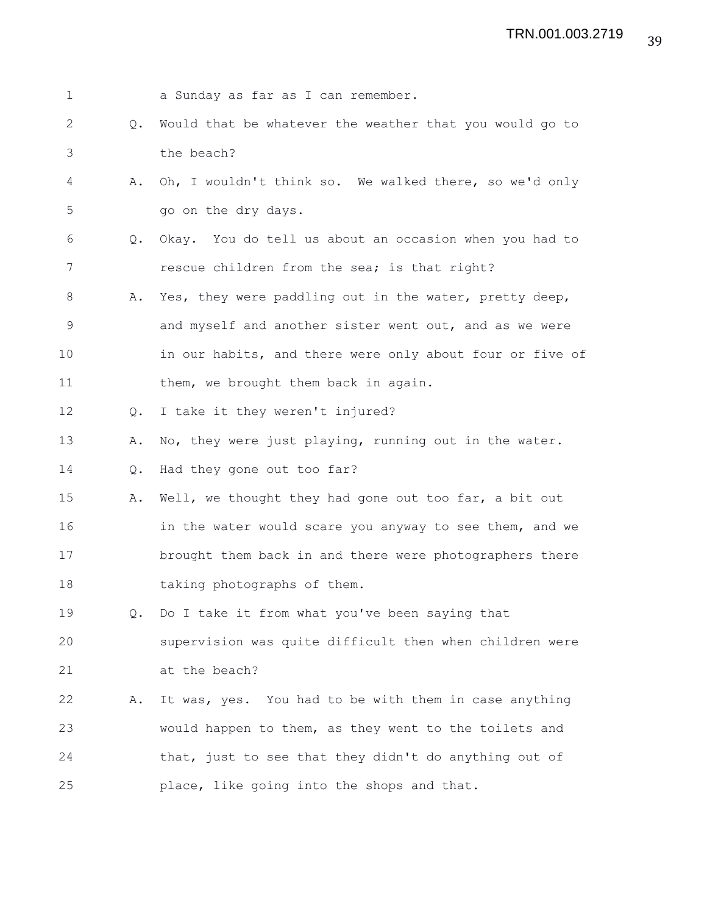| $\mathbf 1$ |               | a Sunday as far as I can remember.                       |
|-------------|---------------|----------------------------------------------------------|
| 2           | $Q_{\bullet}$ | Would that be whatever the weather that you would go to  |
| 3           |               | the beach?                                               |
| 4           | Α.            | Oh, I wouldn't think so. We walked there, so we'd only   |
| 5           |               | go on the dry days.                                      |
| 6           | $Q_{\bullet}$ | Okay. You do tell us about an occasion when you had to   |
| 7           |               | rescue children from the sea; is that right?             |
| 8           | Α.            | Yes, they were paddling out in the water, pretty deep,   |
| 9           |               | and myself and another sister went out, and as we were   |
| 10          |               | in our habits, and there were only about four or five of |
| 11          |               | them, we brought them back in again.                     |
| 12          |               | Q. I take it they weren't injured?                       |
| 13          | Α.            | No, they were just playing, running out in the water.    |
| 14          | Q.            | Had they gone out too far?                               |
| 15          | Α.            | Well, we thought they had gone out too far, a bit out    |
| 16          |               | in the water would scare you anyway to see them, and we  |
| 17          |               | brought them back in and there were photographers there  |
| 18          |               | taking photographs of them.                              |
| 19          |               | Q. Do I take it from what you've been saying that        |
| 20          |               | supervision was quite difficult then when children were  |
| 21          |               | at the beach?                                            |
| 22          | Α.            | It was, yes. You had to be with them in case anything    |
| 23          |               | would happen to them, as they went to the toilets and    |
| 24          |               | that, just to see that they didn't do anything out of    |
| 25          |               | place, like going into the shops and that.               |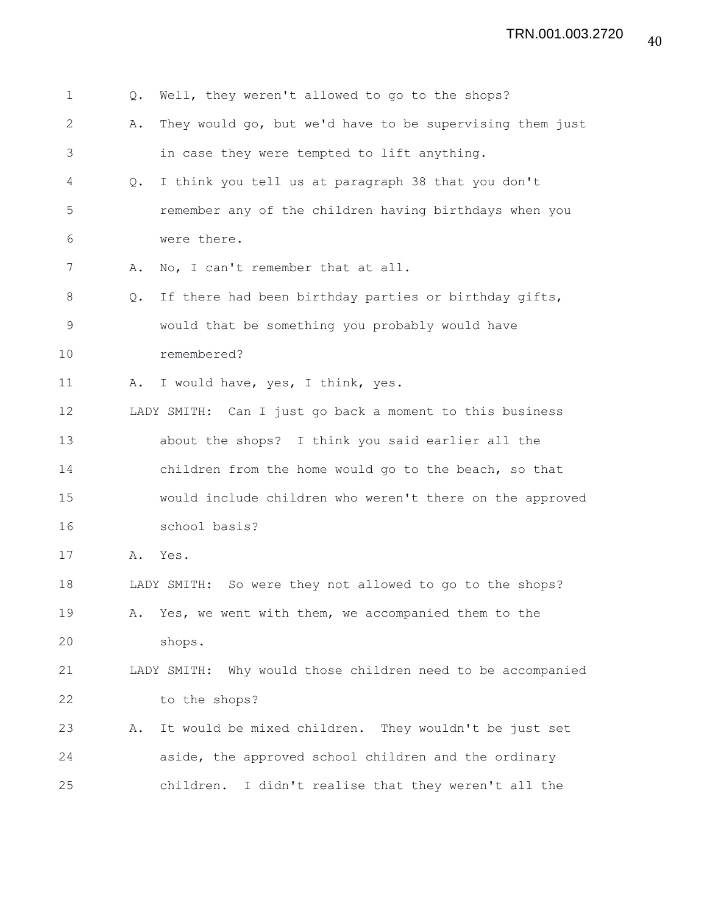| $\mathbf 1$   | Q.            | Well, they weren't allowed to go to the shops?              |
|---------------|---------------|-------------------------------------------------------------|
| 2             | Α.            | They would go, but we'd have to be supervising them just    |
| 3             |               | in case they were tempted to lift anything.                 |
| 4             | Q.            | I think you tell us at paragraph 38 that you don't          |
| 5             |               | remember any of the children having birthdays when you      |
| 6             |               | were there.                                                 |
| 7             | Α.            | No, I can't remember that at all.                           |
| 8             | $Q_{\bullet}$ | If there had been birthday parties or birthday gifts,       |
| $\mathcal{G}$ |               | would that be something you probably would have             |
| 10            |               | remembered?                                                 |
| 11            | Α.            | I would have, yes, I think, yes.                            |
| 12            |               | LADY SMITH: Can I just go back a moment to this business    |
| 13            |               | about the shops? I think you said earlier all the           |
| 14            |               | children from the home would go to the beach, so that       |
| 15            |               | would include children who weren't there on the approved    |
| 16            |               | school basis?                                               |
| 17            | Α.            | Yes.                                                        |
| 18            |               | LADY SMITH: So were they not allowed to go to the shops?    |
| 19            | Α.            | Yes, we went with them, we accompanied them to the          |
| 20            |               | shops.                                                      |
| 21            |               | LADY SMITH: Why would those children need to be accompanied |
| 22            |               | to the shops?                                               |
| 23            | Α.            | It would be mixed children. They wouldn't be just set       |
| 24            |               | aside, the approved school children and the ordinary        |
| 25            |               | children.<br>I didn't realise that they weren't all the     |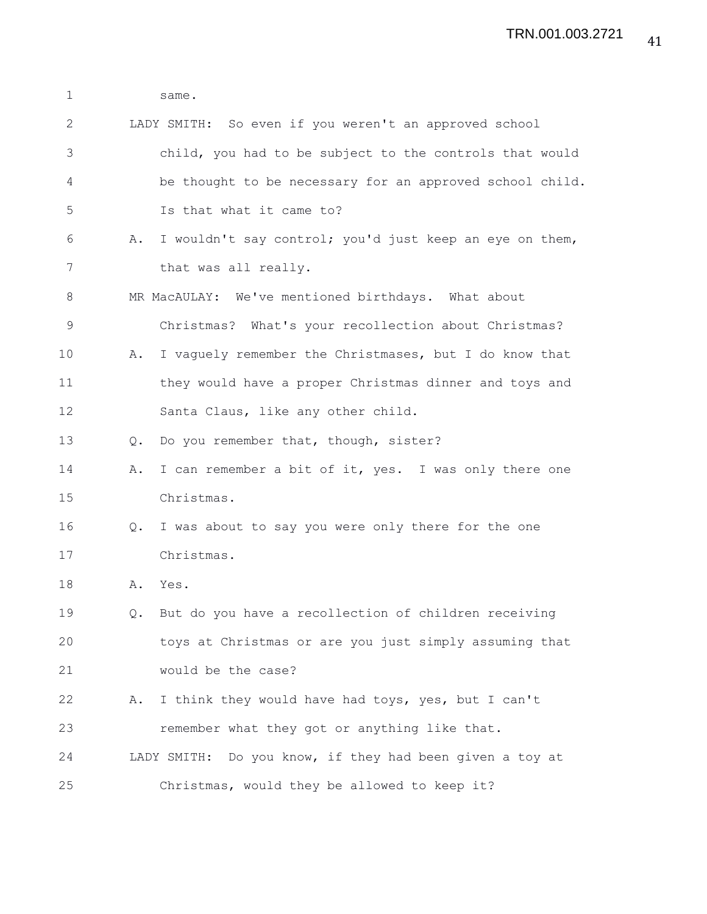| $\mathbf 1$ |               | same.                                                       |
|-------------|---------------|-------------------------------------------------------------|
| 2           |               | LADY SMITH: So even if you weren't an approved school       |
| 3           |               | child, you had to be subject to the controls that would     |
| 4           |               | be thought to be necessary for an approved school child.    |
| 5           |               | Is that what it came to?                                    |
| 6           | Α.            | I wouldn't say control; you'd just keep an eye on them,     |
| 7           |               | that was all really.                                        |
| 8           |               | MR MacAULAY: We've mentioned birthdays. What about          |
| $\mathsf 9$ |               | Christmas? What's your recollection about Christmas?        |
| 10          | Α.            | I vaguely remember the Christmases, but I do know that      |
| 11          |               | they would have a proper Christmas dinner and toys and      |
| 12          |               | Santa Claus, like any other child.                          |
| 13          | $Q_{\bullet}$ | Do you remember that, though, sister?                       |
| 14          | Α.            | I can remember a bit of it, yes. I was only there one       |
| 15          |               | Christmas.                                                  |
| 16          | Q.            | I was about to say you were only there for the one          |
| 17          |               | Christmas.                                                  |
| 18          | Α.            | Yes.                                                        |
| 19          | $Q_{\bullet}$ | But do you have a recollection of children receiving        |
| 20          |               | toys at Christmas or are you just simply assuming that      |
| 21          |               | would be the case?                                          |
| 22          | Α.            | I think they would have had toys, yes, but I can't          |
| 23          |               | remember what they got or anything like that.               |
| 24          |               | Do you know, if they had been given a toy at<br>LADY SMITH: |
| 25          |               | Christmas, would they be allowed to keep it?                |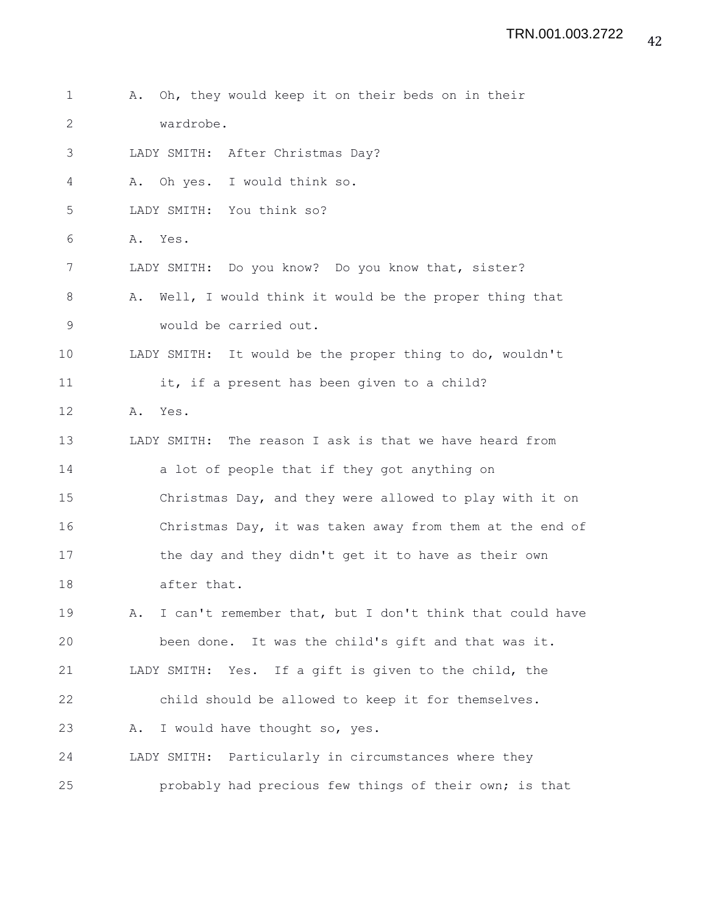2 wardrobe. 3 LADY SMITH: After Christmas Day? 4 A. Oh yes. I would think so. 5 LADY SMITH: You think so? 6 A. Yes. 7 LADY SMITH: Do you know? Do you know that, sister? 8 A. Well, I would think it would be the proper thing that 9 would be carried out. 10 LADY SMITH: It would be the proper thing to do, wouldn't 11 it, if a present has been given to a child? 12 A. Yes. 13 LADY SMITH: The reason I ask is that we have heard from 14 a lot of people that if they got anything on 15 Christmas Day, and they were allowed to play with it on 16 Christmas Day, it was taken away from them at the end of 17 the day and they didn't get it to have as their own 18 after that. 19 A. I can't remember that, but I don't think that could have 20 been done. It was the child's gift and that was it. 21 LADY SMITH: Yes. If a gift is given to the child, the 22 child should be allowed to keep it for themselves. 23 A. I would have thought so, yes. 24 LADY SMITH: Particularly in circumstances where they 25 probably had precious few things of their own; is that

1 A. Oh, they would keep it on their beds on in their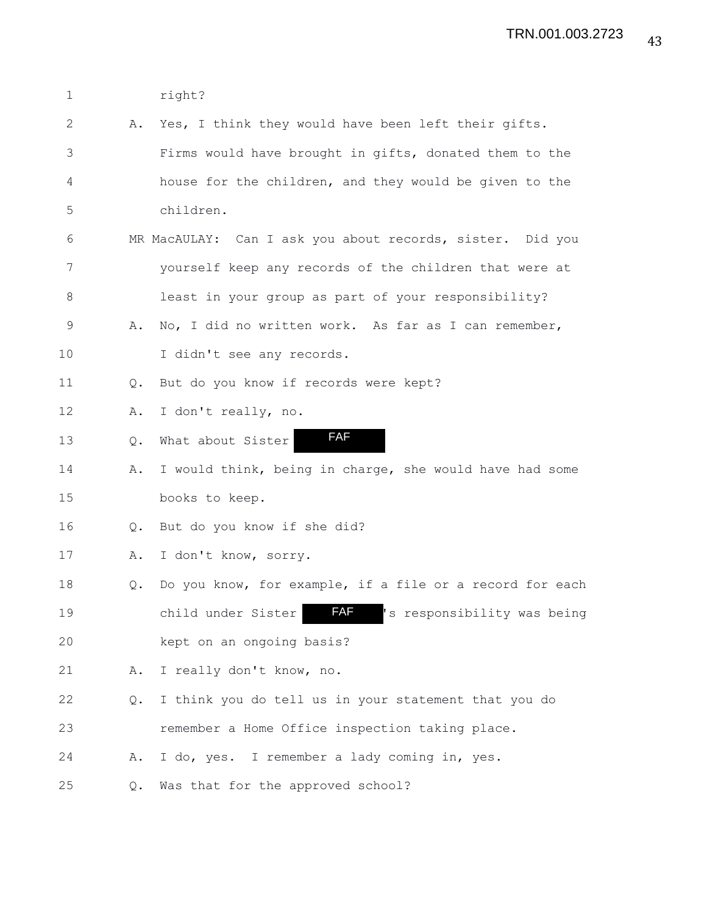1 right?

2 A. Yes, I think they would have been left their gifts. 3 Firms would have brought in gifts, donated them to the 4 house for the children, and they would be given to the 5 children. 6 MR MacAULAY: Can I ask you about records, sister. Did you 7 yourself keep any records of the children that were at 8 least in your group as part of your responsibility? 9 A. No, I did no written work. As far as I can remember, 10 I didn't see any records. 11 Q. But do you know if records were kept? 12 A. I don't really, no. 13 Q. What about Sister 14 A. I would think, being in charge, she would have had some 15 books to keep. 16 Q. But do you know if she did? 17 A. I don't know, sorry. 18 Q. Do you know, for example, if a file or a record for each 19 child under Sister **FAF** 's responsibility was being 20 kept on an ongoing basis? 21 A. I really don't know, no. 22 Q. I think you do tell us in your statement that you do 23 remember a Home Office inspection taking place. 24 A. I do, yes. I remember a lady coming in, yes. 25 Q. Was that for the approved school? FAF FAF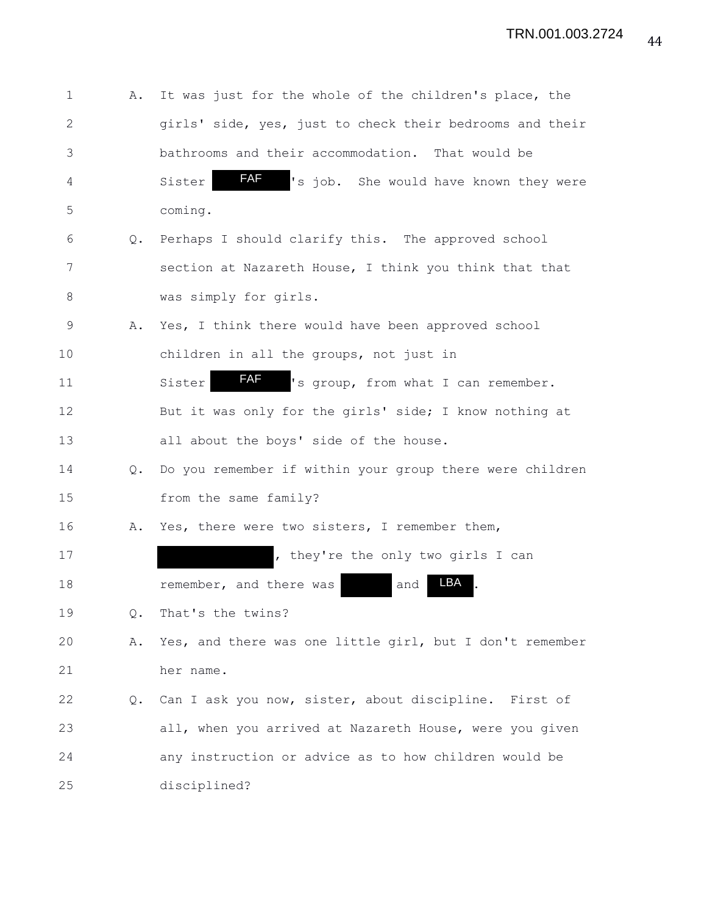| 1            | Α. | It was just for the whole of the children's place, the      |
|--------------|----|-------------------------------------------------------------|
| $\mathbf{2}$ |    | girls' side, yes, just to check their bedrooms and their    |
| 3            |    | bathrooms and their accommodation. That would be            |
| 4            |    | FAF<br>'s job. She would have known they were<br>Sister     |
| 5            |    | coming.                                                     |
| 6            | Q. | Perhaps I should clarify this. The approved school          |
| 7            |    | section at Nazareth House, I think you think that that      |
| 8            |    | was simply for girls.                                       |
| 9            | Α. | Yes, I think there would have been approved school          |
| 10           |    | children in all the groups, not just in                     |
| 11           |    | <b>FAF</b><br>'s group, from what I can remember.<br>Sister |
| 12           |    | But it was only for the girls' side; I know nothing at      |
| 13           |    | all about the boys' side of the house.                      |
| 14           | Q. | Do you remember if within your group there were children    |
| 15           |    | from the same family?                                       |
| 16           | Α. | Yes, there were two sisters, I remember them,               |
| 17           |    | , they're the only two girls I can                          |
| 18           |    | LBA<br>remember, and there was<br>and                       |
| 19           | Q. | That's the twins?                                           |
| 20           | Α. | Yes, and there was one little girl, but I don't remember    |
| 21           |    | her name.                                                   |
| 22           | Q. | Can I ask you now, sister, about discipline. First of       |
| 23           |    | all, when you arrived at Nazareth House, were you given     |
| 24           |    | any instruction or advice as to how children would be       |
| 25           |    | disciplined?                                                |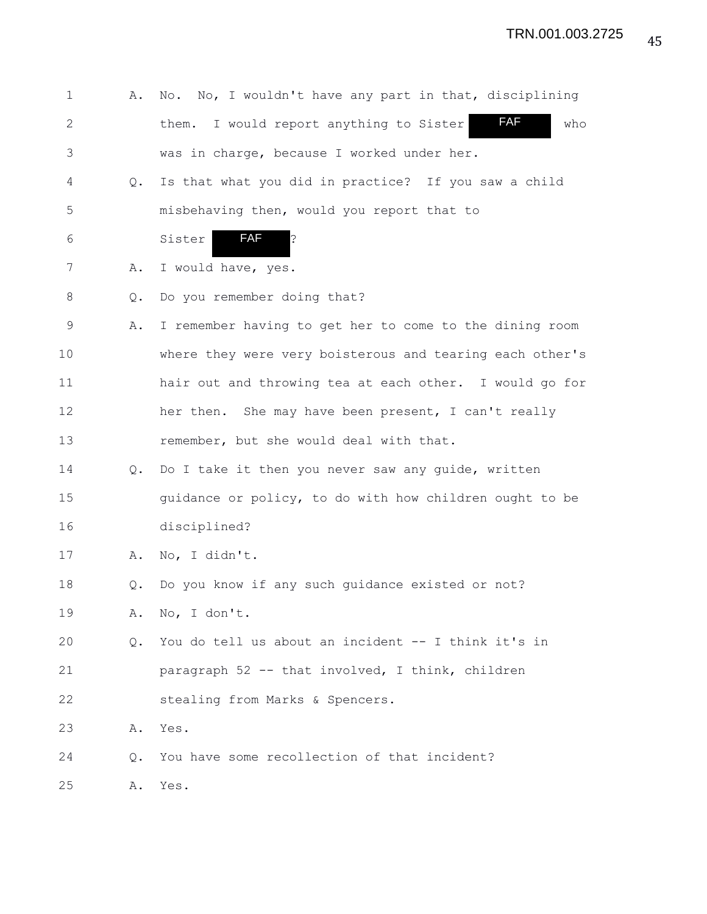| $\mathbf 1$  | Α.            | No. No, I wouldn't have any part in that, disciplining          |
|--------------|---------------|-----------------------------------------------------------------|
| $\mathbf{2}$ |               | <b>FAF</b><br>I would report anything to Sister<br>who<br>them. |
| 3            |               | was in charge, because I worked under her.                      |
| 4            | $Q_{\bullet}$ | Is that what you did in practice? If you saw a child            |
| 5            |               | misbehaving then, would you report that to                      |
| 6            |               | <b>FAF</b><br>İ.<br>Sister                                      |
| 7            | Α.            | I would have, yes.                                              |
| 8            | Q.            | Do you remember doing that?                                     |
| 9            | Α.            | I remember having to get her to come to the dining room         |
| 10           |               | where they were very boisterous and tearing each other's        |
| 11           |               | hair out and throwing tea at each other. I would go for         |
| 12           |               | her then. She may have been present, I can't really             |
| 13           |               | remember, but she would deal with that.                         |
| 14           | $Q_{\bullet}$ | Do I take it then you never saw any guide, written              |
| 15           |               | guidance or policy, to do with how children ought to be         |
| 16           |               | disciplined?                                                    |
| 17           | Α.            | No, I didn't.                                                   |
| 18           | Q.            | Do you know if any such guidance existed or not?                |
| 19           | Α.            | No, I don't.                                                    |
| 20           | Q.            | You do tell us about an incident -- I think it's in             |
| 21           |               | paragraph 52 -- that involved, I think, children                |
| 22           |               | stealing from Marks & Spencers.                                 |
| 23           | Α.            | Yes.                                                            |
| 24           | Q.            | You have some recollection of that incident?                    |
| 25           | Α.            | Yes.                                                            |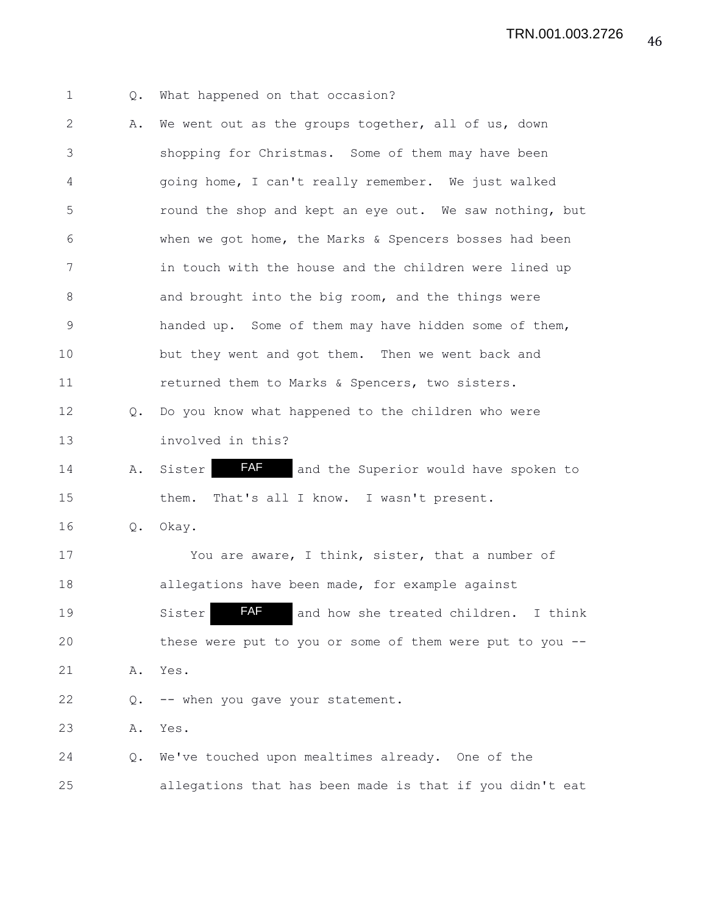1 Q. What happened on that occasion? 2 A. We went out as the groups together, all of us, down 3 shopping for Christmas. Some of them may have been 4 going home, I can't really remember. We just walked 5 round the shop and kept an eye out. We saw nothing, but 6 when we got home, the Marks & Spencers bosses had been 7 in touch with the house and the children were lined up 8 and brought into the big room, and the things were 9 handed up. Some of them may have hidden some of them, 10 but they went and got them. Then we went back and 11 returned them to Marks & Spencers, two sisters. 12 Q. Do you know what happened to the children who were 13 involved in this? 14 A. Sister **FAF** and the Superior would have spoken to 15 them. That's all I know. I wasn't present. 16 Q. Okay. 17 You are aware, I think, sister, that a number of 18 allegations have been made, for example against 19 Sister **AF** and how she treated children. I think 20 these were put to you or some of them were put to you -- 21 A. Yes. 22 Q. -- when you gave your statement. 23 A. Yes. 24 Q. We've touched upon mealtimes already. One of the 25 allegations that has been made is that if you didn't eat FAF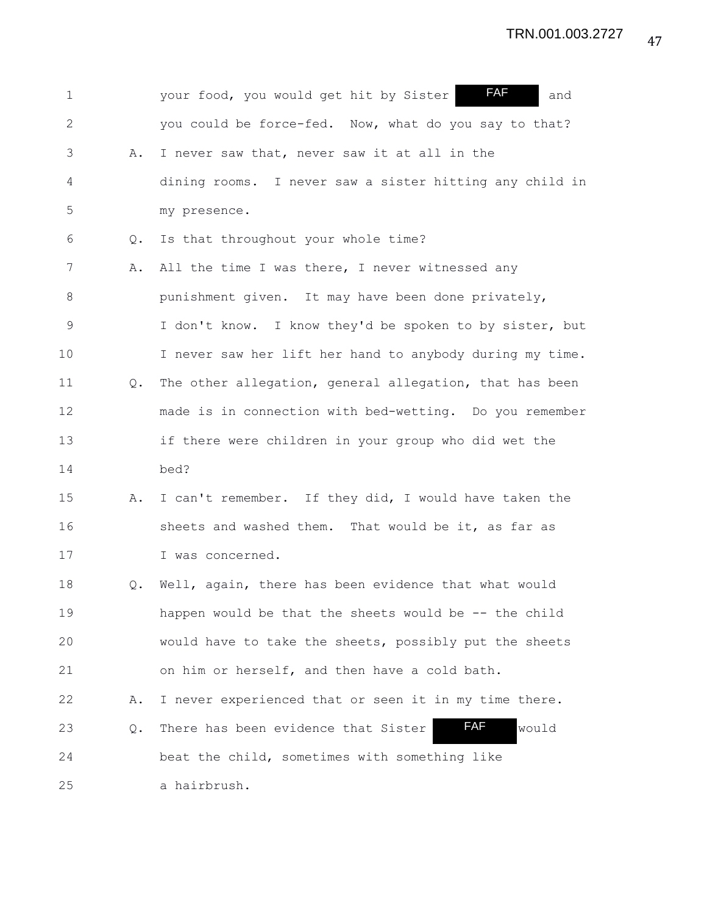| $\mathbf 1$  |               | <b>FAF</b><br>your food, you would get hit by Sister<br>and |
|--------------|---------------|-------------------------------------------------------------|
| $\mathbf{2}$ |               | you could be force-fed. Now, what do you say to that?       |
| 3            | Α.            | I never saw that, never saw it at all in the                |
| 4            |               | dining rooms. I never saw a sister hitting any child in     |
| 5            |               | my presence.                                                |
| 6            | $Q_{\bullet}$ | Is that throughout your whole time?                         |
| 7            | Α.            | All the time I was there, I never witnessed any             |
| $8\,$        |               | punishment given. It may have been done privately,          |
| 9            |               | I don't know. I know they'd be spoken to by sister, but     |
| 10           |               | I never saw her lift her hand to anybody during my time.    |
| 11           | Q.            | The other allegation, general allegation, that has been     |
| 12           |               | made is in connection with bed-wetting. Do you remember     |
| 13           |               | if there were children in your group who did wet the        |
| 14           |               | bed?                                                        |
| 15           | Α.            | I can't remember. If they did, I would have taken the       |
| 16           |               | sheets and washed them. That would be it, as far as         |
| 17           |               | I was concerned.                                            |
| 18           | Q.            | Well, again, there has been evidence that what would        |
| 19           |               | happen would be that the sheets would be -- the child       |
| 20           |               | would have to take the sheets, possibly put the sheets      |
| 21           |               | on him or herself, and then have a cold bath.               |
| 22           | Α.            | I never experienced that or seen it in my time there.       |
| 23           | Q.            | FAF<br>There has been evidence that Sister<br>would         |
| 24           |               | beat the child, sometimes with something like               |
| 25           |               | a hairbrush.                                                |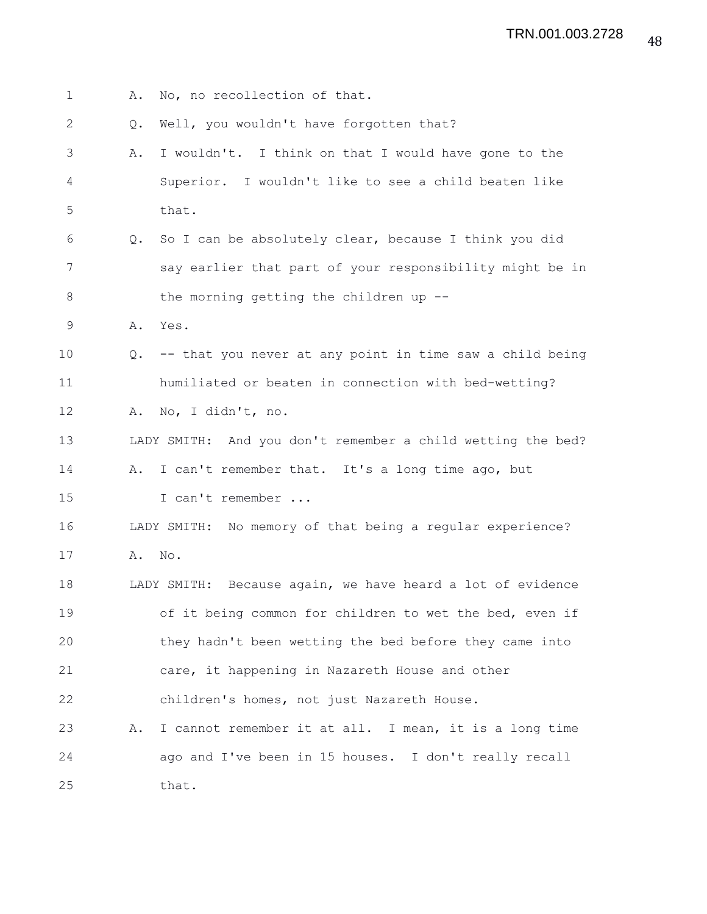| $\mathbf 1$  | Α.            | No, no recollection of that.                                |
|--------------|---------------|-------------------------------------------------------------|
| $\mathbf{2}$ | Q.            | Well, you wouldn't have forgotten that?                     |
| 3            | Α.            | I wouldn't. I think on that I would have gone to the        |
| 4            |               | Superior. I wouldn't like to see a child beaten like        |
| 5            |               | that.                                                       |
| 6            | $Q_{\bullet}$ | So I can be absolutely clear, because I think you did       |
| 7            |               | say earlier that part of your responsibility might be in    |
| 8            |               | the morning getting the children up --                      |
| $\mathsf 9$  | Α.            | Yes.                                                        |
| 10           | $Q_{\bullet}$ | -- that you never at any point in time saw a child being    |
| 11           |               | humiliated or beaten in connection with bed-wetting?        |
| 12           | Α.            | No, I didn't, no.                                           |
| 13           |               | LADY SMITH: And you don't remember a child wetting the bed? |
| 14           |               | A. I can't remember that. It's a long time ago, but         |
| 15           |               | I can't remember                                            |
| 16           |               | LADY SMITH: No memory of that being a regular experience?   |
| 17           | Α.            | No.                                                         |
| 18           |               | LADY SMITH: Because again, we have heard a lot of evidence  |
| 19           |               | of it being common for children to wet the bed, even if     |
| 20           |               | they hadn't been wetting the bed before they came into      |
| 21           |               | care, it happening in Nazareth House and other              |
| 22           |               | children's homes, not just Nazareth House.                  |
| 23           | Α.            | I cannot remember it at all. I mean, it is a long time      |
| 24           |               | ago and I've been in 15 houses. I don't really recall       |
| 25           |               | that.                                                       |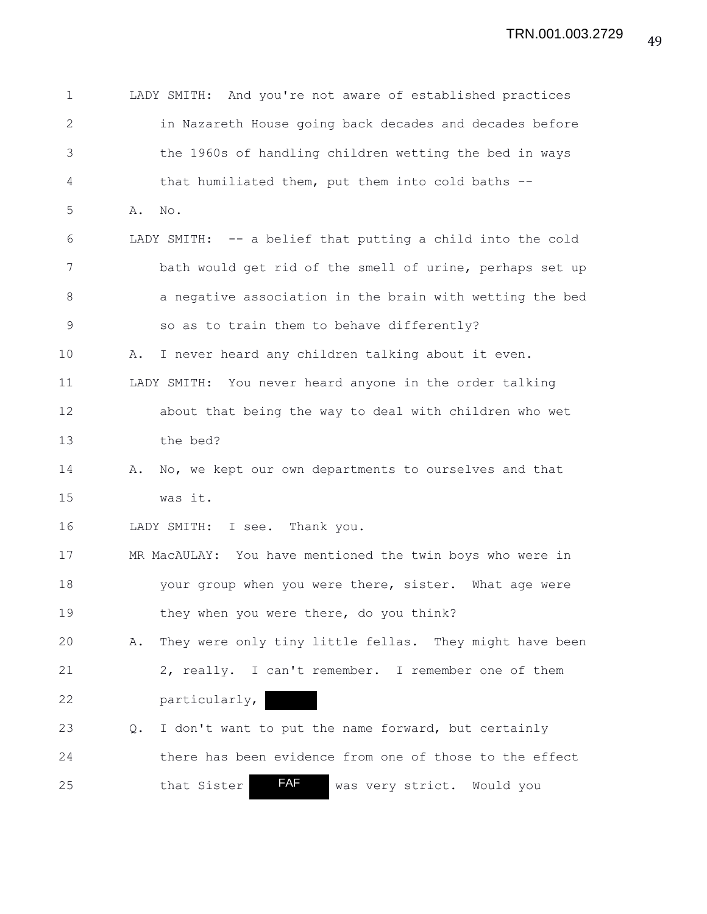| $\mathbf 1$ |    | LADY SMITH: And you're not aware of established practices  |
|-------------|----|------------------------------------------------------------|
| 2           |    | in Nazareth House going back decades and decades before    |
| 3           |    | the 1960s of handling children wetting the bed in ways     |
| 4           |    | that humiliated them, put them into cold baths --          |
| 5           | Α. | No.                                                        |
| 6           |    | LADY SMITH: -- a belief that putting a child into the cold |
| 7           |    | bath would get rid of the smell of urine, perhaps set up   |
| 8           |    | a negative association in the brain with wetting the bed   |
| $\mathsf 9$ |    | so as to train them to behave differently?                 |
| 10          | Α. | I never heard any children talking about it even.          |
| 11          |    | LADY SMITH: You never heard anyone in the order talking    |
| 12          |    | about that being the way to deal with children who wet     |
| 13          |    | the bed?                                                   |
| 14          | Α. | No, we kept our own departments to ourselves and that      |
| 15          |    | was it.                                                    |
| 16          |    | LADY SMITH: I see. Thank you.                              |
| 17          |    | MR MacAULAY: You have mentioned the twin boys who were in  |
| 18          |    | your group when you were there, sister. What age were      |
| 19          |    | they when you were there, do you think?                    |
| 20          | Α. | They were only tiny little fellas. They might have been    |
| 21          |    | 2, really. I can't remember. I remember one of them        |
| 22          |    | particularly,                                              |
| 23          | Q. | I don't want to put the name forward, but certainly        |
| 24          |    | there has been evidence from one of those to the effect    |
| 25          |    | <b>FAF</b><br>that Sister<br>was very strict. Would you    |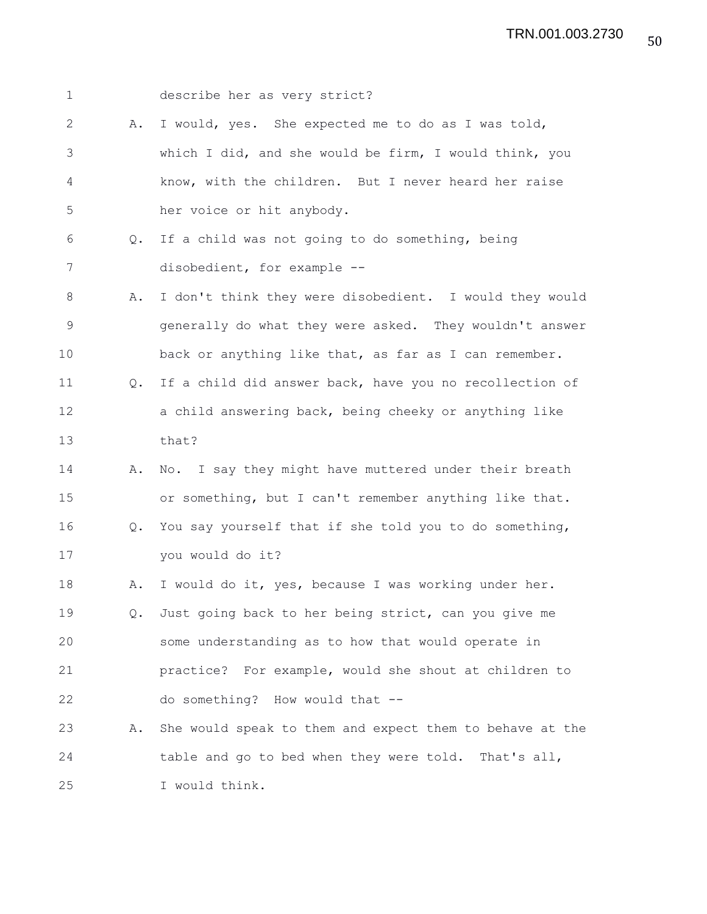1 describe her as very strict? 2 A. I would, yes. She expected me to do as I was told, 3 which I did, and she would be firm, I would think, you 4 know, with the children. But I never heard her raise 5 her voice or hit anybody. 6 Q. If a child was not going to do something, being 7 disobedient, for example -- 8 A. I don't think they were disobedient. I would they would 9 generally do what they were asked. They wouldn't answer 10 back or anything like that, as far as I can remember. 11 Q. If a child did answer back, have you no recollection of 12 a child answering back, being cheeky or anything like 13 that? 14 A. No. I say they might have muttered under their breath 15 or something, but I can't remember anything like that. 16 Q. You say yourself that if she told you to do something, 17 you would do it? 18 A. I would do it, yes, because I was working under her. 19 Q. Just going back to her being strict, can you give me 20 some understanding as to how that would operate in 21 practice? For example, would she shout at children to 22 do something? How would that -- 23 A. She would speak to them and expect them to behave at the 24 table and go to bed when they were told. That's all, 25 I would think.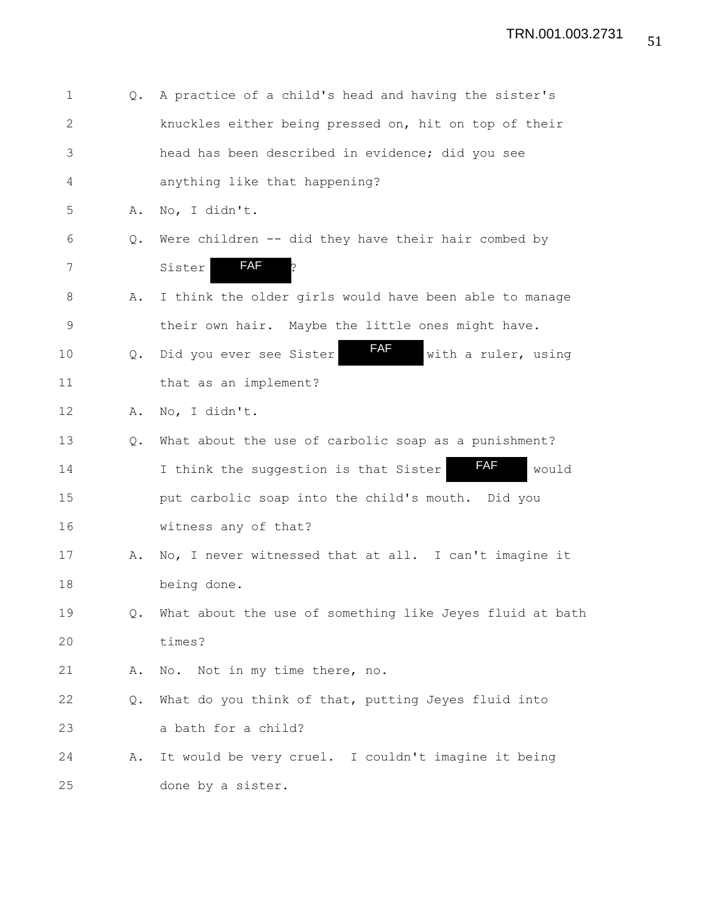| $\mathbf 1$  | $Q_{\bullet}$ | A practice of a child's head and having the sister's         |
|--------------|---------------|--------------------------------------------------------------|
| $\mathbf{2}$ |               | knuckles either being pressed on, hit on top of their        |
| 3            |               | head has been described in evidence; did you see             |
| 4            |               | anything like that happening?                                |
| 5            | Α.            | No, I didn't.                                                |
| 6            | Q.            | Were children -- did they have their hair combed by          |
| 7            |               | <b>FAF</b><br>þ<br>Sister                                    |
| 8            | Α.            | I think the older girls would have been able to manage       |
| $\mathsf 9$  |               | their own hair. Maybe the little ones might have.            |
| 10           | Q.            | <b>FAF</b><br>Did you ever see Sister<br>with a ruler, using |
| 11           |               | that as an implement?                                        |
| 12           | Α.            | No, I didn't.                                                |
| 13           | Q.            | What about the use of carbolic soap as a punishment?         |
| 14           |               | <b>FAF</b><br>I think the suggestion is that Sister<br>would |
| 15           |               | put carbolic soap into the child's mouth. Did you            |
| 16           |               | witness any of that?                                         |
| 17           | Α.            | No, I never witnessed that at all. I can't imagine it        |
| 18           |               | being done.                                                  |
| 19           | Q.            | What about the use of something like Jeyes fluid at bath     |
| 20           |               | times?                                                       |
| 21           | Α.            | Not in my time there, no.<br>No.                             |
| 22           | Q.            | What do you think of that, putting Jeyes fluid into          |
| 23           |               | a bath for a child?                                          |
| 24           | Α.            | It would be very cruel. I couldn't imagine it being          |
| 25           |               | done by a sister.                                            |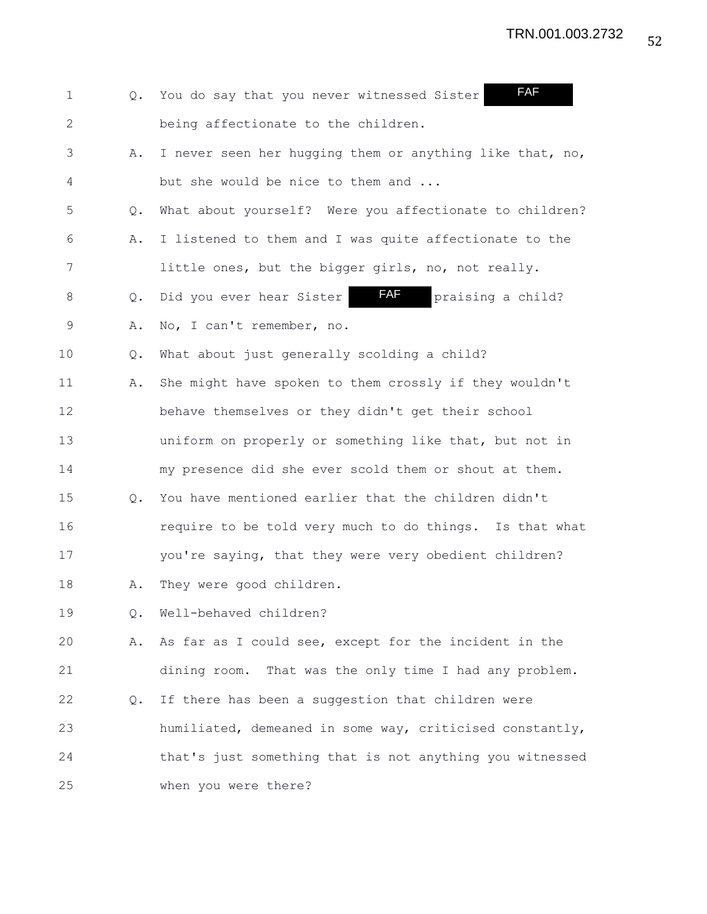1 Q. You do say that you never witnessed Sister 2 being affectionate to the children. 3 A. I never seen her hugging them or anything like that, no, 4 but she would be nice to them and ... 5 Q. What about yourself? Were you affectionate to children? 6 A. I listened to them and I was quite affectionate to the 7 little ones, but the bigger girls, no, not really. 8 Q. Did you ever hear Sister **FAF** praising a child? 9 A. No, I can't remember, no. 10 Q. What about just generally scolding a child? 11 A. She might have spoken to them crossly if they wouldn't 12 behave themselves or they didn't get their school 13 uniform on properly or something like that, but not in 14 my presence did she ever scold them or shout at them. 15 Q. You have mentioned earlier that the children didn't 16 require to be told very much to do things. Is that what 17 you're saying, that they were very obedient children? 18 A. They were good children. 19 Q. Well-behaved children? 20 A. As far as I could see, except for the incident in the 21 dining room. That was the only time I had any problem. 22 Q. If there has been a suggestion that children were 23 humiliated, demeaned in some way, criticised constantly, 24 that's just something that is not anything you witnessed 25 when you were there? FAF FAF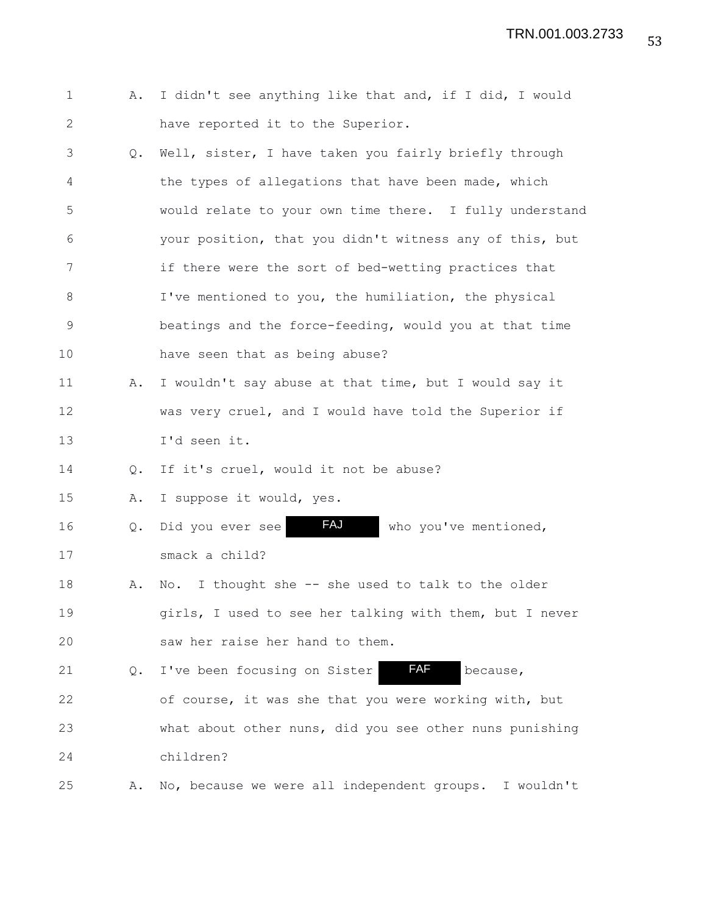53 TRN.001.003.2733

- 1 A. I didn't see anything like that and, if I did, I would 2 have reported it to the Superior.
- 3 Q. Well, sister, I have taken you fairly briefly through 4 the types of allegations that have been made, which 5 would relate to your own time there. I fully understand 6 your position, that you didn't witness any of this, but 7 if there were the sort of bed-wetting practices that 8 I've mentioned to you, the humiliation, the physical 9 beatings and the force-feeding, would you at that time 10 have seen that as being abuse?
- 11 A. I wouldn't say abuse at that time, but I would say it 12 was very cruel, and I would have told the Superior if 13 I'd seen it.

14 Q. If it's cruel, would it not be abuse?

15 A. I suppose it would, yes.

16 Q. Did you ever see FAJ who you've mentioned, 17 smack a child? FAJ

18 A. No. I thought she -- she used to talk to the older 19 girls, I used to see her talking with them, but I never 20 saw her raise her hand to them.

21  $Q.$  I've been focusing on Sister  $FAF$  because, 22 of course, it was she that you were working with, but 23 what about other nuns, did you see other nuns punishing 24 children? FAF

25 A. No, because we were all independent groups. I wouldn't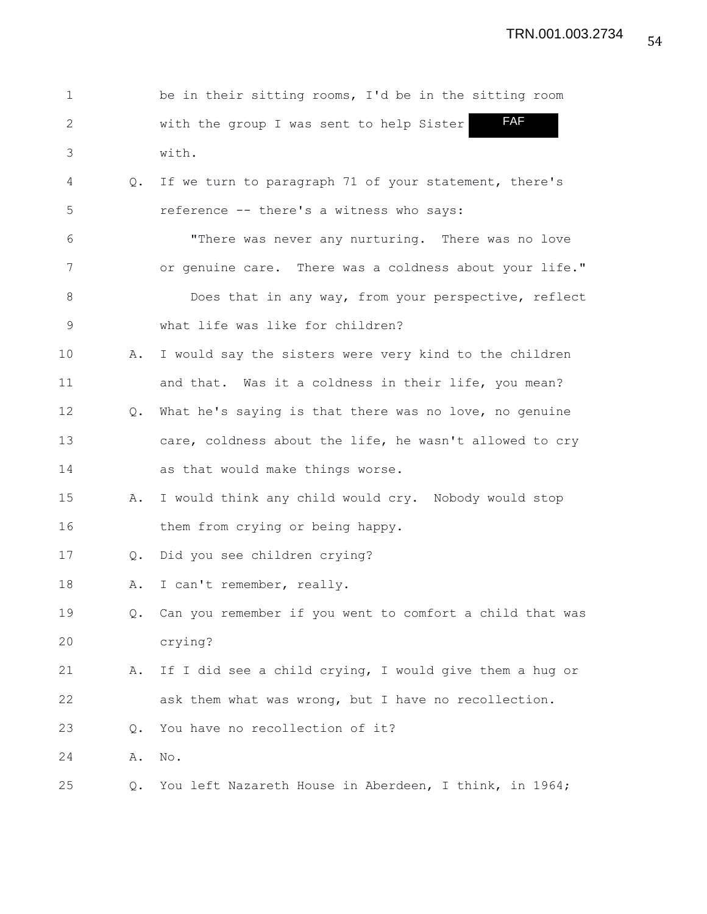| $\mathbf 1$    |               | be in their sitting rooms, I'd be in the sitting room       |
|----------------|---------------|-------------------------------------------------------------|
| $\overline{2}$ |               | <b>FAF</b><br>with the group I was sent to help Sister      |
| 3              |               | with.                                                       |
| 4              | Q.            | If we turn to paragraph 71 of your statement, there's       |
| 5              |               | reference -- there's a witness who says:                    |
| 6              |               | "There was never any nurturing. There was no love           |
| 7              |               | or genuine care. There was a coldness about your life."     |
| $8\,$          |               | Does that in any way, from your perspective, reflect        |
| $\mathsf 9$    |               | what life was like for children?                            |
| 10             | Α.            | I would say the sisters were very kind to the children      |
| 11             |               | and that. Was it a coldness in their life, you mean?        |
| 12             | $Q_{\bullet}$ | What he's saying is that there was no love, no genuine      |
| 13             |               | care, coldness about the life, he wasn't allowed to cry     |
| 14             |               | as that would make things worse.                            |
| 15             | Α.            | I would think any child would cry. Nobody would stop        |
| 16             |               | them from crying or being happy.                            |
| 17             | Q.            | Did you see children crying?                                |
| 18             | Α.            | I can't remember, really.                                   |
| 19             |               | Q. Can you remember if you went to comfort a child that was |
| 20             |               | crying?                                                     |
| 21             | Α.            | If I did see a child crying, I would give them a hug or     |
| 22             |               | ask them what was wrong, but I have no recollection.        |
| 23             | Q.            | You have no recollection of it?                             |
| 24             | Α.            | No.                                                         |
| 25             | Q.            | You left Nazareth House in Aberdeen, I think, in 1964;      |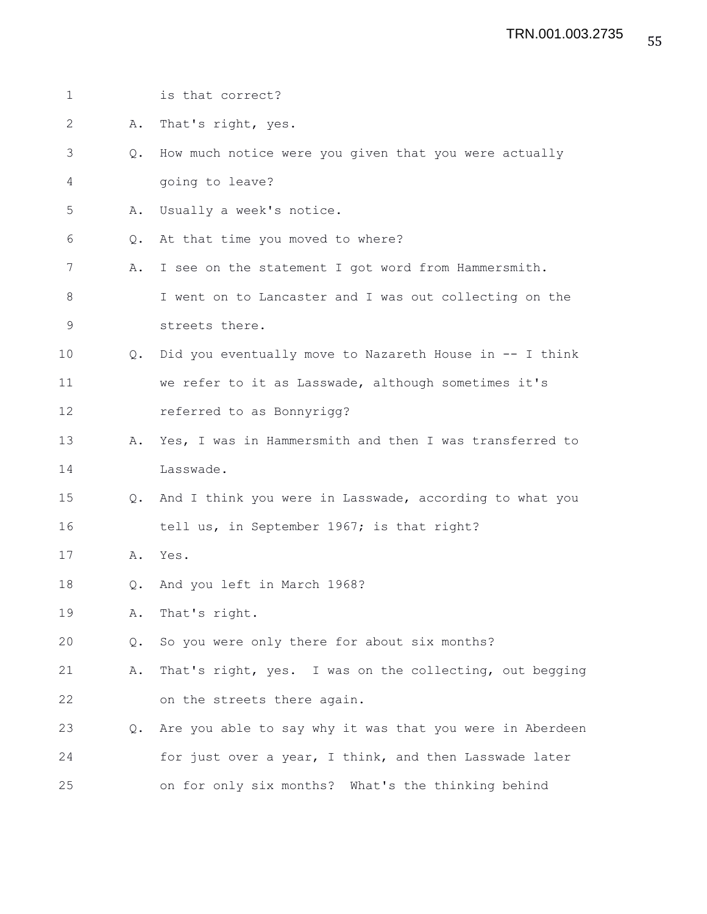| $\mathbf 1$ |               | is that correct?                                           |
|-------------|---------------|------------------------------------------------------------|
| 2           | Α.            | That's right, yes.                                         |
| 3           | $Q_{\bullet}$ | How much notice were you given that you were actually      |
| 4           |               | going to leave?                                            |
| 5           | Α.            | Usually a week's notice.                                   |
| 6           | Q.            | At that time you moved to where?                           |
| 7           | Α.            | I see on the statement I got word from Hammersmith.        |
| 8           |               | I went on to Lancaster and I was out collecting on the     |
| 9           |               | streets there.                                             |
| 10          | $Q_{\bullet}$ | Did you eventually move to Nazareth House in -- I think    |
| 11          |               | we refer to it as Lasswade, although sometimes it's        |
| 12          |               | referred to as Bonnyrigg?                                  |
| 13          | Α.            | Yes, I was in Hammersmith and then I was transferred to    |
| 14          |               | Lasswade.                                                  |
| 15          |               | Q. And I think you were in Lasswade, according to what you |
| 16          |               | tell us, in September 1967; is that right?                 |
| 17          | Α.            | Yes.                                                       |
| 18          | $Q_{\bullet}$ | And you left in March 1968?                                |
| 19          | Α.            | That's right.                                              |
| 20          | Q.            | So you were only there for about six months?               |
| 21          | Α.            | That's right, yes. I was on the collecting, out begging    |
| 22          |               | on the streets there again.                                |
| 23          | $Q_{\bullet}$ | Are you able to say why it was that you were in Aberdeen   |
| 24          |               | for just over a year, I think, and then Lasswade later     |
| 25          |               | on for only six months? What's the thinking behind         |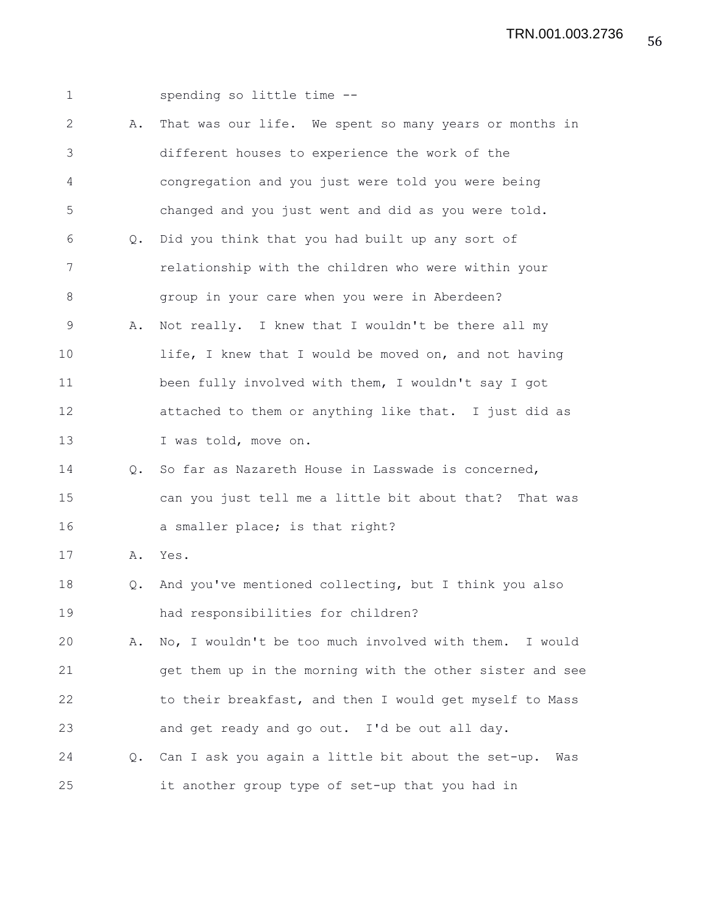| $\mathbf 1$ |               | spending so little time --                                   |
|-------------|---------------|--------------------------------------------------------------|
| 2           | Α.            | That was our life. We spent so many years or months in       |
| 3           |               | different houses to experience the work of the               |
| 4           |               | congregation and you just were told you were being           |
| 5           |               | changed and you just went and did as you were told.          |
| 6           | Q.            | Did you think that you had built up any sort of              |
| 7           |               | relationship with the children who were within your          |
| 8           |               | group in your care when you were in Aberdeen?                |
| 9           | Α.            | Not really. I knew that I wouldn't be there all my           |
| 10          |               | life, I knew that I would be moved on, and not having        |
| 11          |               | been fully involved with them, I wouldn't say I got          |
| 12          |               | attached to them or anything like that. I just did as        |
| 13          |               | I was told, move on.                                         |
| 14          | $Q_{\bullet}$ | So far as Nazareth House in Lasswade is concerned,           |
| 15          |               | can you just tell me a little bit about that? That was       |
| 16          |               | a smaller place; is that right?                              |
| 17          | Α.            | Yes.                                                         |
| 18          | Q.            | And you've mentioned collecting, but I think you also        |
| 19          |               | had responsibilities for children?                           |
| 20          | Α.            | No, I wouldn't be too much involved with them. I would       |
| 21          |               | get them up in the morning with the other sister and see     |
| 22          |               | to their breakfast, and then I would get myself to Mass      |
| 23          |               | and get ready and go out. I'd be out all day.                |
| 24          |               | Q. Can I ask you again a little bit about the set-up.<br>Was |
| 25          |               | it another group type of set-up that you had in              |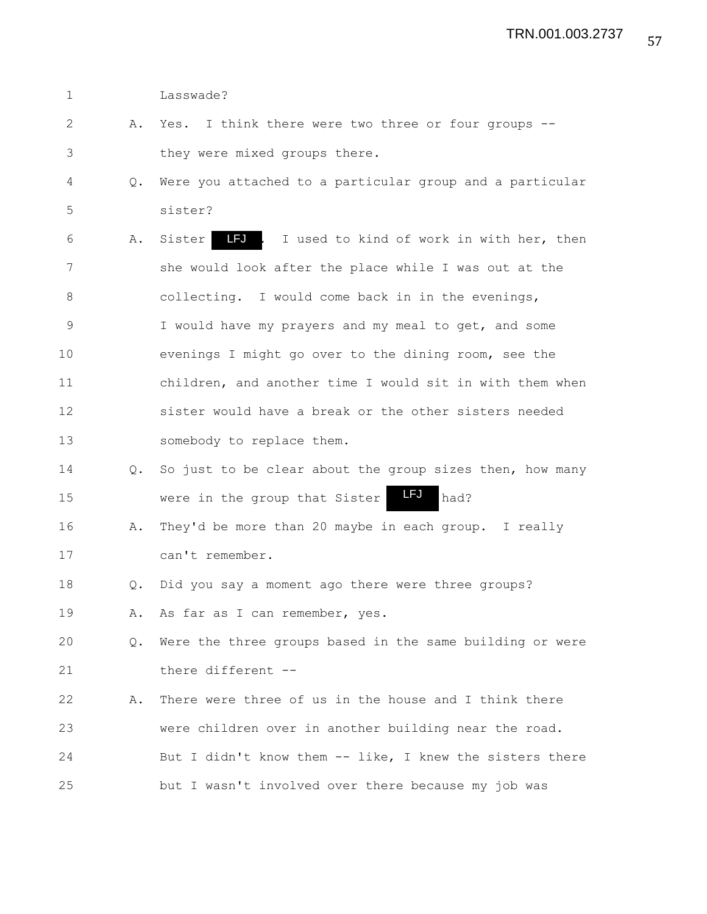1 Lasswade?

- 2 A. Yes. I think there were two three or four groups -- 3 they were mixed groups there.
- 4 Q. Were you attached to a particular group and a particular 5 sister?
- 6 A. Sister LFJ. I used to kind of work in with her, then 7 she would look after the place while I was out at the 8 collecting. I would come back in in the evenings, 9 I would have my prayers and my meal to get, and some 10 evenings I might go over to the dining room, see the 11 children, and another time I would sit in with them when 12 sister would have a break or the other sisters needed 13 somebody to replace them.
- 14 Q. So just to be clear about the group sizes then, how many 15 were in the group that Sister **LFU** had? LFJ
- 16 A. They'd be more than 20 maybe in each group. I really 17 can't remember.
- 18 Q. Did you say a moment ago there were three groups?
- 19 A. As far as I can remember, yes.
- 20 Q. Were the three groups based in the same building or were 21 there different --
- 22 A. There were three of us in the house and I think there 23 were children over in another building near the road. 24 But I didn't know them -- like, I knew the sisters there 25 but I wasn't involved over there because my job was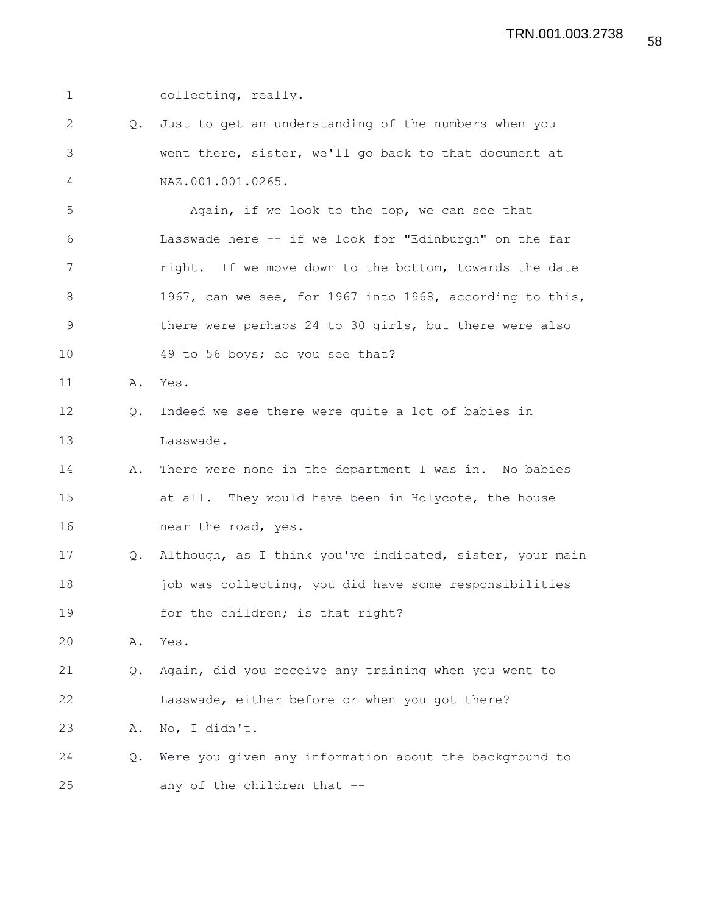1 collecting, really. 2 Q. Just to get an understanding of the numbers when you 3 went there, sister, we'll go back to that document at 4 NAZ.001.001.0265. 5 Again, if we look to the top, we can see that 6 Lasswade here -- if we look for "Edinburgh" on the far 7 right. If we move down to the bottom, towards the date 8 1967, can we see, for 1967 into 1968, according to this, 9 there were perhaps 24 to 30 girls, but there were also 10 49 to 56 boys; do you see that? 11 A. Yes. 12 Q. Indeed we see there were quite a lot of babies in 13 Lasswade. 14 A. There were none in the department I was in. No babies 15 at all. They would have been in Holycote, the house 16 near the road, yes. 17 Q. Although, as I think you've indicated, sister, your main 18 iob was collecting, you did have some responsibilities 19 for the children; is that right? 20 A. Yes. 21 Q. Again, did you receive any training when you went to 22 Lasswade, either before or when you got there? 23 A. No, I didn't. 24 Q. Were you given any information about the background to 25 any of the children that --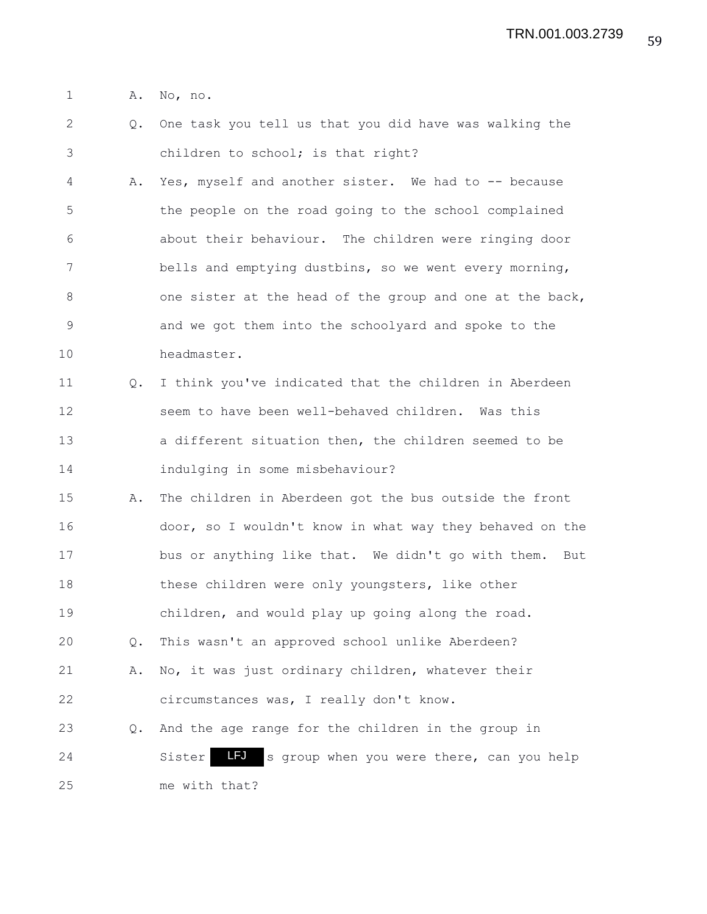1 A. No, no.

2 Q. One task you tell us that you did have was walking the 3 children to school; is that right?

4 A. Yes, myself and another sister. We had to -- because 5 the people on the road going to the school complained 6 about their behaviour. The children were ringing door 7 bells and emptying dustbins, so we went every morning, 8 one sister at the head of the group and one at the back, 9 and we got them into the schoolyard and spoke to the 10 headmaster.

11 Q. I think you've indicated that the children in Aberdeen 12 seem to have been well-behaved children. Was this 13 a different situation then, the children seemed to be 14 indulging in some misbehaviour?

15 A. The children in Aberdeen got the bus outside the front 16 door, so I wouldn't know in what way they behaved on the 17 bus or anything like that. We didn't go with them. But 18 these children were only youngsters, like other 19 children, and would play up going along the road. 20 Q. This wasn't an approved school unlike Aberdeen? 21 A. No, it was just ordinary children, whatever their 22 circumstances was, I really don't know. 23 Q. And the age range for the children in the group in

24 Sister Lides group when you were there, can you help 25 me with that?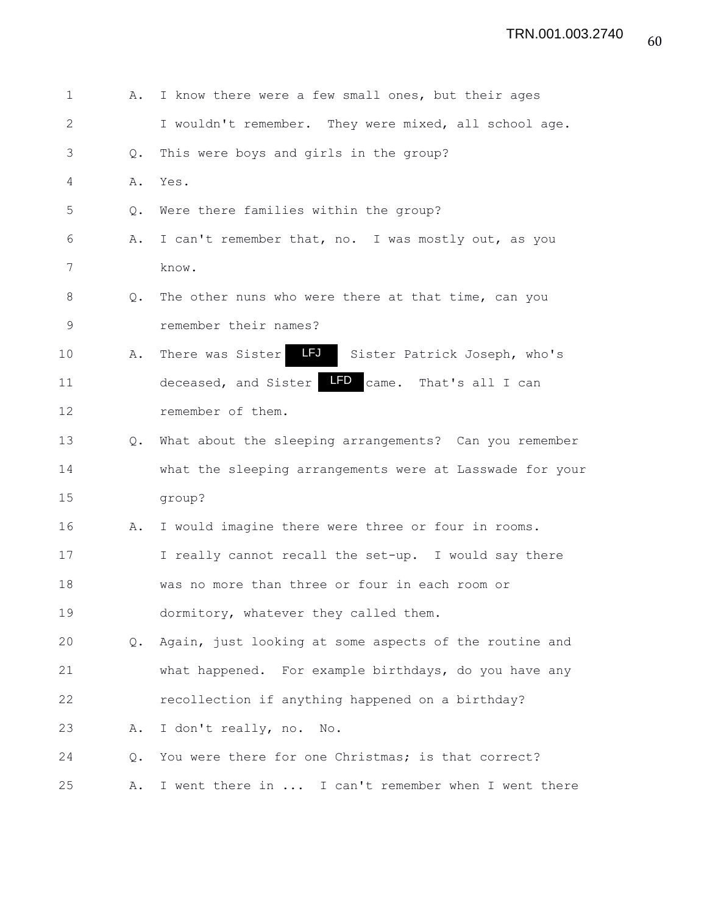| $\mathbf 1$  | Α.            | I know there were a few small ones, but their ages             |
|--------------|---------------|----------------------------------------------------------------|
| $\mathbf{2}$ |               | I wouldn't remember. They were mixed, all school age.          |
| 3            | Q.            | This were boys and girls in the group?                         |
| 4            | Α.            | Yes.                                                           |
| 5            | Q.            | Were there families within the group?                          |
| 6            | Α.            | I can't remember that, no. I was mostly out, as you            |
| 7            |               | know.                                                          |
| 8            | Q.            | The other nuns who were there at that time, can you            |
| 9            |               | remember their names?                                          |
| 10           | Α.            | <b>LFJ</b><br>There was Sister<br>Sister Patrick Joseph, who's |
| 11           |               | LFD came. That's all I can<br>deceased, and Sister             |
| 12           |               | remember of them.                                              |
| 13           | $Q_{\bullet}$ | What about the sleeping arrangements? Can you remember         |
| 14           |               | what the sleeping arrangements were at Lasswade for your       |
| 15           |               | group?                                                         |
| 16           | Α.            | I would imagine there were three or four in rooms.             |
| 17           |               | I really cannot recall the set-up. I would say there           |
| 18           |               | was no more than three or four in each room or                 |
| 19           |               | dormitory, whatever they called them.                          |
| 20           | $Q_{\bullet}$ | Again, just looking at some aspects of the routine and         |
| 21           |               | what happened. For example birthdays, do you have any          |
| 22           |               | recollection if anything happened on a birthday?               |
| 23           | Α.            | I don't really, no.<br>$N \circ$ .                             |
| 24           | Q.            | You were there for one Christmas; is that correct?             |
| 25           | Α.            | I went there in  I can't remember when I went there            |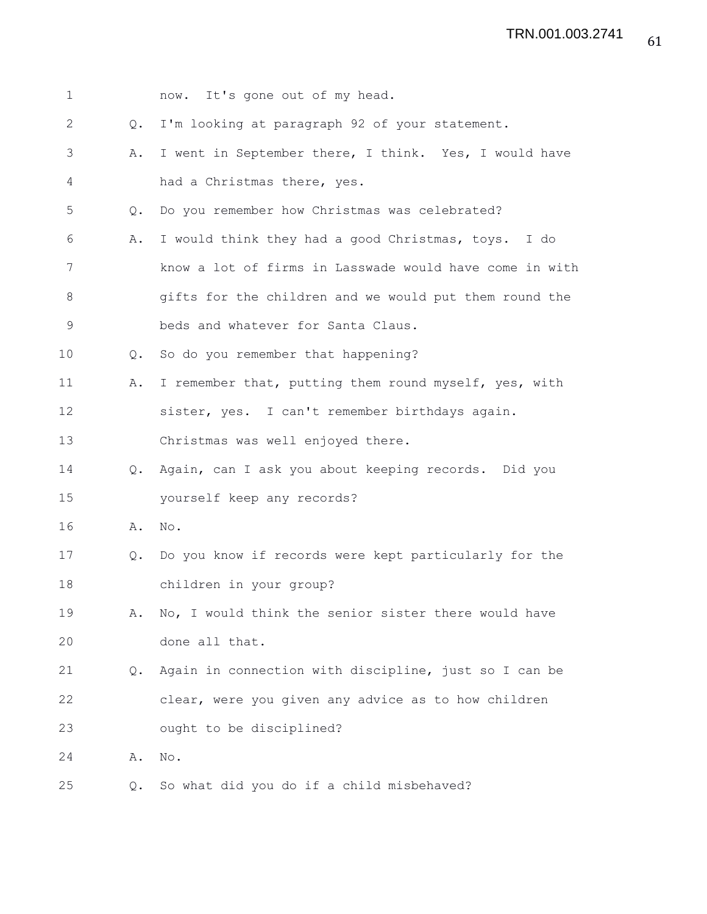| 1           |               | now. It's gone out of my head.                          |
|-------------|---------------|---------------------------------------------------------|
| 2           | Q.            | I'm looking at paragraph 92 of your statement.          |
| 3           | Α.            | I went in September there, I think. Yes, I would have   |
| 4           |               | had a Christmas there, yes.                             |
| 5           | Q.            | Do you remember how Christmas was celebrated?           |
| 6           | Α.            | I would think they had a good Christmas, toys. I do     |
| 7           |               | know a lot of firms in Lasswade would have come in with |
| 8           |               | gifts for the children and we would put them round the  |
| $\mathsf 9$ |               | beds and whatever for Santa Claus.                      |
| 10          | Q.            | So do you remember that happening?                      |
| 11          | Α.            | I remember that, putting them round myself, yes, with   |
| 12          |               | sister, yes. I can't remember birthdays again.          |
| 13          |               | Christmas was well enjoyed there.                       |
| 14          | Q.            | Again, can I ask you about keeping records. Did you     |
| 15          |               | yourself keep any records?                              |
| 16          | Α.            | No.                                                     |
| 17          | $Q_{\bullet}$ | Do you know if records were kept particularly for the   |
| 18          |               | children in your group?                                 |
| 19          | Α.            | No, I would think the senior sister there would have    |
| 20          |               | done all that.                                          |
| 21          | Q.            | Again in connection with discipline, just so I can be   |
| 22          |               | clear, were you given any advice as to how children     |
| 23          |               | ought to be disciplined?                                |
| 24          | Α.            | $\mathrm{No}$ .                                         |
| 25          | Q.            | So what did you do if a child misbehaved?               |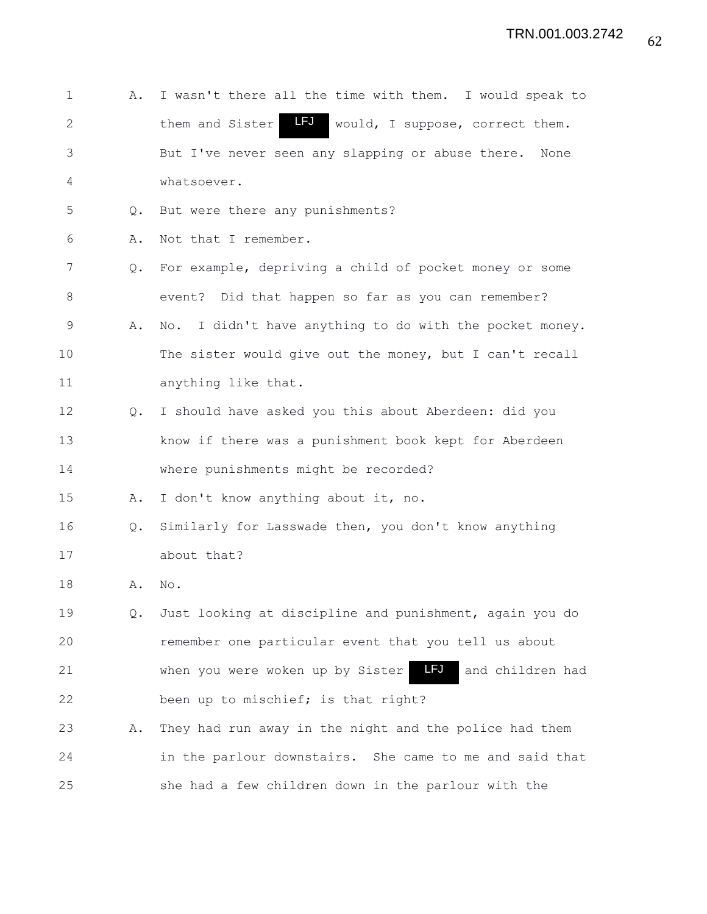| $\mathbf 1$  | Α.            | I wasn't there all the time with them. I would speak to                     |
|--------------|---------------|-----------------------------------------------------------------------------|
| $\mathbf{2}$ |               | <b>LFJ</b><br>would, I suppose, correct them.<br>them and Sister            |
| 3            |               | But I've never seen any slapping or abuse there. None                       |
| 4            |               | whatsoever.                                                                 |
| 5            | Q.            | But were there any punishments?                                             |
| 6            | Α.            | Not that I remember.                                                        |
| 7            | Q.            | For example, depriving a child of pocket money or some                      |
| 8            |               | event? Did that happen so far as you can remember?                          |
| 9            | Α.            | I didn't have anything to do with the pocket money.<br>$\mathbb{N} \circ$ . |
| 10           |               | The sister would give out the money, but I can't recall                     |
| 11           |               | anything like that.                                                         |
| 12           | $Q_{\bullet}$ | I should have asked you this about Aberdeen: did you                        |
| 13           |               | know if there was a punishment book kept for Aberdeen                       |
| 14           |               | where punishments might be recorded?                                        |
| 15           | Α.            | I don't know anything about it, no.                                         |
| 16           | Q.            | Similarly for Lasswade then, you don't know anything                        |
| 17           |               | about that?                                                                 |
| 18           | Α.            | No.                                                                         |
| 19           | Q.            | Just looking at discipline and punishment, again you do                     |
| 20           |               | remember one particular event that you tell us about                        |
| 21           |               | LFJ<br>when you were woken up by Sister<br>and children had                 |
| 22           |               | been up to mischief; is that right?                                         |
| 23           | Α.            | They had run away in the night and the police had them                      |
| 24           |               | in the parlour downstairs. She came to me and said that                     |
| 25           |               | she had a few children down in the parlour with the                         |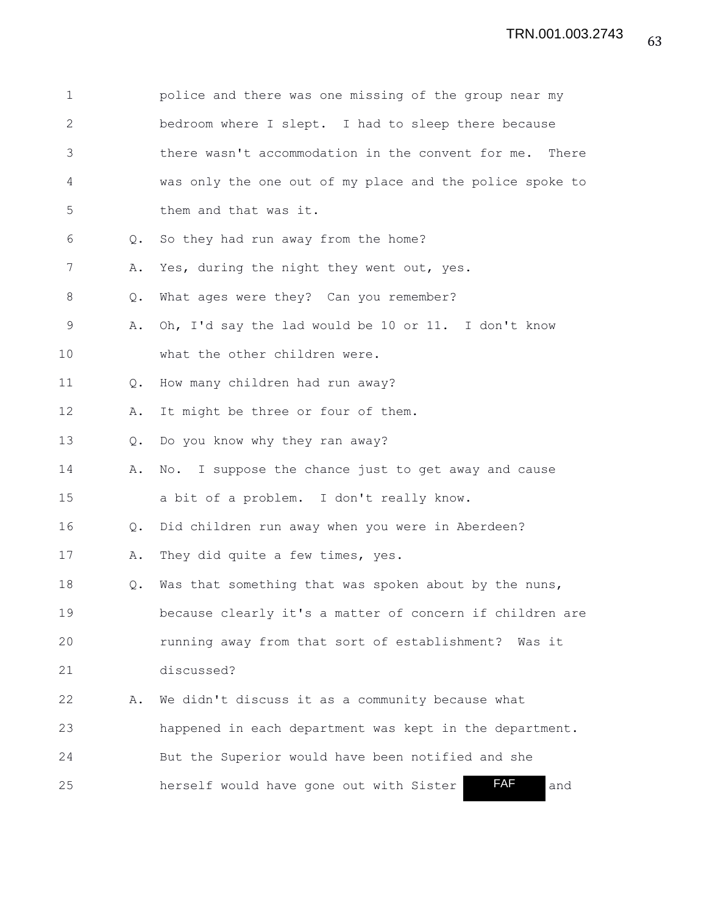| $\mathbf 1$  |               | police and there was one missing of the group near my    |
|--------------|---------------|----------------------------------------------------------|
| $\mathbf{2}$ |               | bedroom where I slept. I had to sleep there because      |
| 3            |               | there wasn't accommodation in the convent for me. There  |
| 4            |               | was only the one out of my place and the police spoke to |
| 5            |               | them and that was it.                                    |
| 6            | Q.            | So they had run away from the home?                      |
| 7            | Α.            | Yes, during the night they went out, yes.                |
| 8            | $Q_{\bullet}$ | What ages were they? Can you remember?                   |
| $\mathsf 9$  | Α.            | Oh, I'd say the lad would be 10 or 11. I don't know      |
| 10           |               | what the other children were.                            |
| 11           | Q.            | How many children had run away?                          |
| 12           | Α.            | It might be three or four of them.                       |
| 13           | Q.            | Do you know why they ran away?                           |
| 14           | Α.            | No. I suppose the chance just to get away and cause      |
| 15           |               | a bit of a problem. I don't really know.                 |
| 16           | Q.            | Did children run away when you were in Aberdeen?         |
| 17           | Α.            | They did quite a few times, yes.                         |
| 18           | Q.            | Was that something that was spoken about by the nuns,    |
| 19           |               | because clearly it's a matter of concern if children are |
| 20           |               | running away from that sort of establishment? Was it     |
| 21           |               | discussed?                                               |
| 22           | Α.            | We didn't discuss it as a community because what         |
| 23           |               | happened in each department was kept in the department.  |
| 24           |               | But the Superior would have been notified and she        |
| 25           |               | FAF<br>herself would have gone out with Sister<br>and    |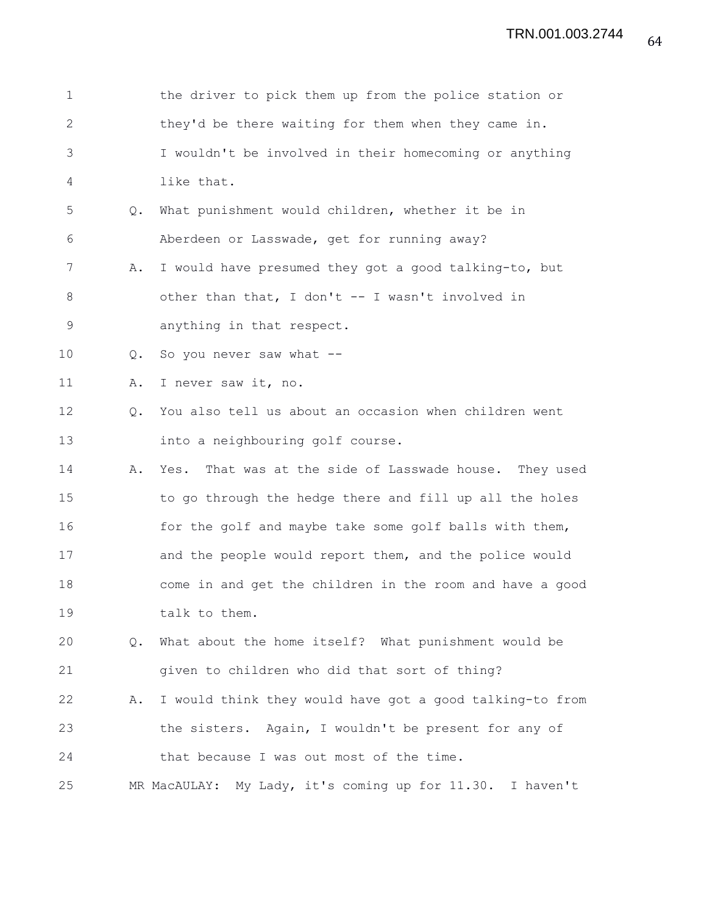| $\mathbf 1$  |               | the driver to pick them up from the police station or     |
|--------------|---------------|-----------------------------------------------------------|
| $\mathbf{2}$ |               | they'd be there waiting for them when they came in.       |
| 3            |               | I wouldn't be involved in their homecoming or anything    |
| 4            |               | like that.                                                |
| 5            | Q.            | What punishment would children, whether it be in          |
| 6            |               | Aberdeen or Lasswade, get for running away?               |
| 7            | Α.            | I would have presumed they got a good talking-to, but     |
| $\,8\,$      |               | other than that, I don't -- I wasn't involved in          |
| $\mathsf 9$  |               | anything in that respect.                                 |
| 10           | Q.            | So you never saw what --                                  |
| 11           | Α.            | I never saw it, no.                                       |
| 12           | Q.            | You also tell us about an occasion when children went     |
| 13           |               | into a neighbouring golf course.                          |
| 14           | Α.            | That was at the side of Lasswade house. They used<br>Yes. |
| 15           |               | to go through the hedge there and fill up all the holes   |
| 16           |               | for the golf and maybe take some golf balls with them,    |
| 17           |               | and the people would report them, and the police would    |
| 18           |               | come in and get the children in the room and have a good  |
| 19           |               | talk to them.                                             |
| 20           | $Q_{\bullet}$ | What about the home itself? What punishment would be      |
| 21           |               | given to children who did that sort of thing?             |
| 22           | Α.            | I would think they would have got a good talking-to from  |
| 23           |               | the sisters. Again, I wouldn't be present for any of      |
| 24           |               | that because I was out most of the time.                  |
| 25           |               | MR MacAULAY: My Lady, it's coming up for 11.30. I haven't |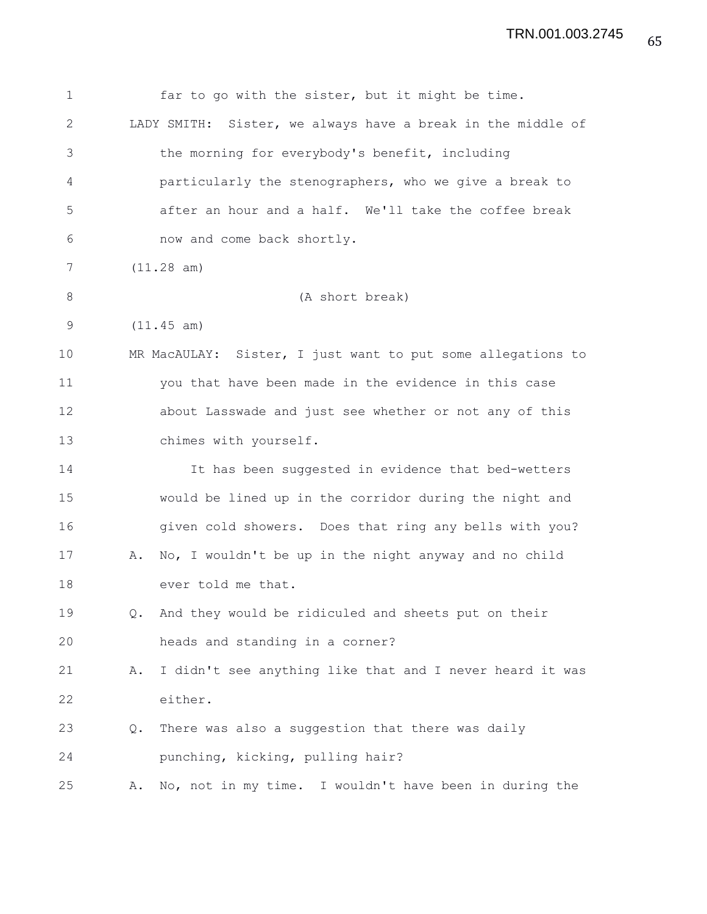| $\mathbf 1$ |    | far to go with the sister, but it might be time.               |
|-------------|----|----------------------------------------------------------------|
| 2           |    | Sister, we always have a break in the middle of<br>LADY SMITH: |
| 3           |    | the morning for everybody's benefit, including                 |
| 4           |    | particularly the stenographers, who we give a break to         |
| 5           |    | after an hour and a half. We'll take the coffee break          |
| 6           |    | now and come back shortly.                                     |
| 7           |    | (11.28 am)                                                     |
| $8\,$       |    | (A short break)                                                |
| 9           |    | (11.45 am)                                                     |
| 10          |    | MR MacAULAY: Sister, I just want to put some allegations to    |
| 11          |    | you that have been made in the evidence in this case           |
| 12          |    | about Lasswade and just see whether or not any of this         |
| 13          |    | chimes with yourself.                                          |
| 14          |    | It has been suggested in evidence that bed-wetters             |
| 15          |    | would be lined up in the corridor during the night and         |
| 16          |    | given cold showers. Does that ring any bells with you?         |
| 17          | Α. | No, I wouldn't be up in the night anyway and no child          |
| 18          |    | ever told me that.                                             |
| 19          | Q. | And they would be ridiculed and sheets put on their            |
| 20          |    | heads and standing in a corner?                                |
| 21          | Α. | I didn't see anything like that and I never heard it was       |
| 22          |    | either.                                                        |
| 23          | Q. | There was also a suggestion that there was daily               |
| 24          |    | punching, kicking, pulling hair?                               |
| 25          | Α. | No, not in my time. I wouldn't have been in during the         |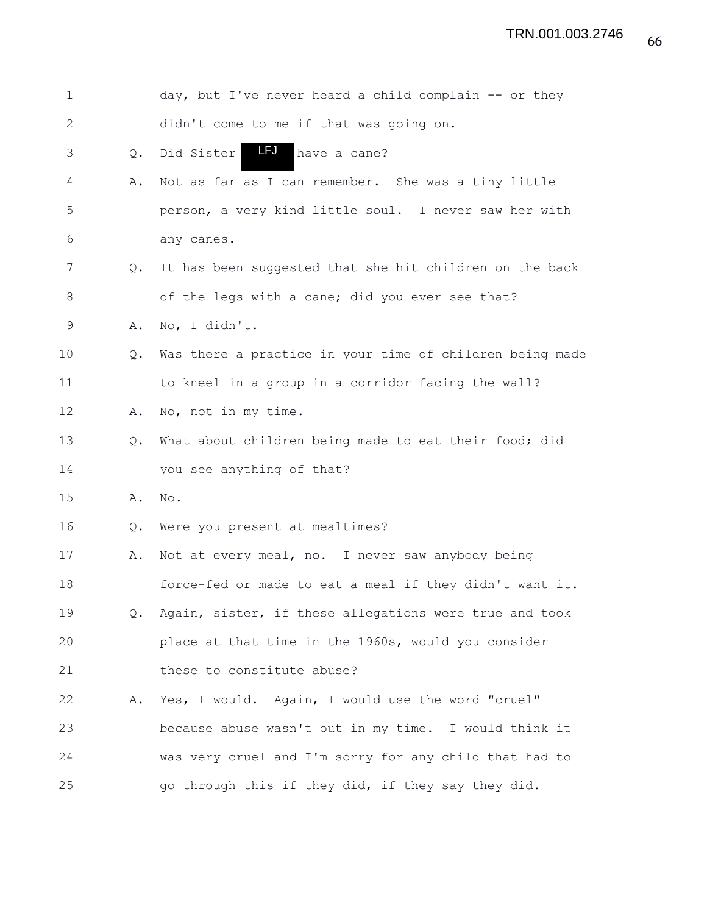| $\mathbf 1$  |               | day, but I've never heard a child complain -- or they     |
|--------------|---------------|-----------------------------------------------------------|
| $\mathbf{2}$ |               | didn't come to me if that was going on.                   |
| 3            | Q.            | LFJ<br>Did Sister<br>have a cane?                         |
| 4            | Α.            | Not as far as I can remember. She was a tiny little       |
| 5            |               | person, a very kind little soul. I never saw her with     |
| 6            |               | any canes.                                                |
| 7            | $Q_{\bullet}$ | It has been suggested that she hit children on the back   |
| 8            |               | of the legs with a cane; did you ever see that?           |
| 9            | Α.            | No, I didn't.                                             |
| 10           | $Q_{\bullet}$ | Was there a practice in your time of children being made  |
| 11           |               | to kneel in a group in a corridor facing the wall?        |
| 12           | Α.            | No, not in my time.                                       |
| 13           | $Q_{\bullet}$ | What about children being made to eat their food; did     |
| 14           |               | you see anything of that?                                 |
| 15           | Α.            | No.                                                       |
| 16           | Q.            | Were you present at mealtimes?                            |
| 17           | Α.            | Not at every meal, no. I never saw anybody being          |
| 18           |               | force-fed or made to eat a meal if they didn't want it.   |
| 19           |               | Q. Again, sister, if these allegations were true and took |
| 20           |               | place at that time in the 1960s, would you consider       |
| 21           |               | these to constitute abuse?                                |
| 22           | Α.            | Yes, I would. Again, I would use the word "cruel"         |
| 23           |               | because abuse wasn't out in my time. I would think it     |
| 24           |               | was very cruel and I'm sorry for any child that had to    |
| 25           |               | go through this if they did, if they say they did.        |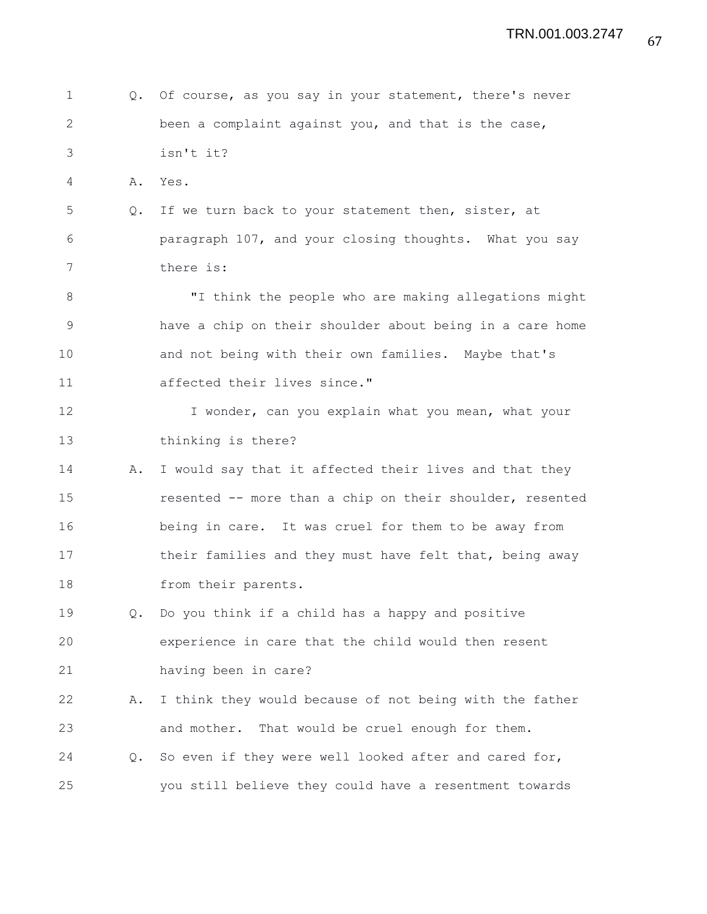1 Q. Of course, as you say in your statement, there's never 2 been a complaint against you, and that is the case, 3 isn't it? 4 A. Yes. 5 Q. If we turn back to your statement then, sister, at 6 paragraph 107, and your closing thoughts. What you say 7 there is: 8 "I think the people who are making allegations might 9 have a chip on their shoulder about being in a care home 10 and not being with their own families. Maybe that's 11 affected their lives since." 12 I wonder, can you explain what you mean, what your 13 thinking is there? 14 A. I would say that it affected their lives and that they 15 resented -- more than a chip on their shoulder, resented 16 being in care. It was cruel for them to be away from 17 their families and they must have felt that, being away 18 from their parents. 19 Q. Do you think if a child has a happy and positive 20 experience in care that the child would then resent 21 having been in care? 22 A. I think they would because of not being with the father 23 and mother. That would be cruel enough for them. 24 Q. So even if they were well looked after and cared for, 25 you still believe they could have a resentment towards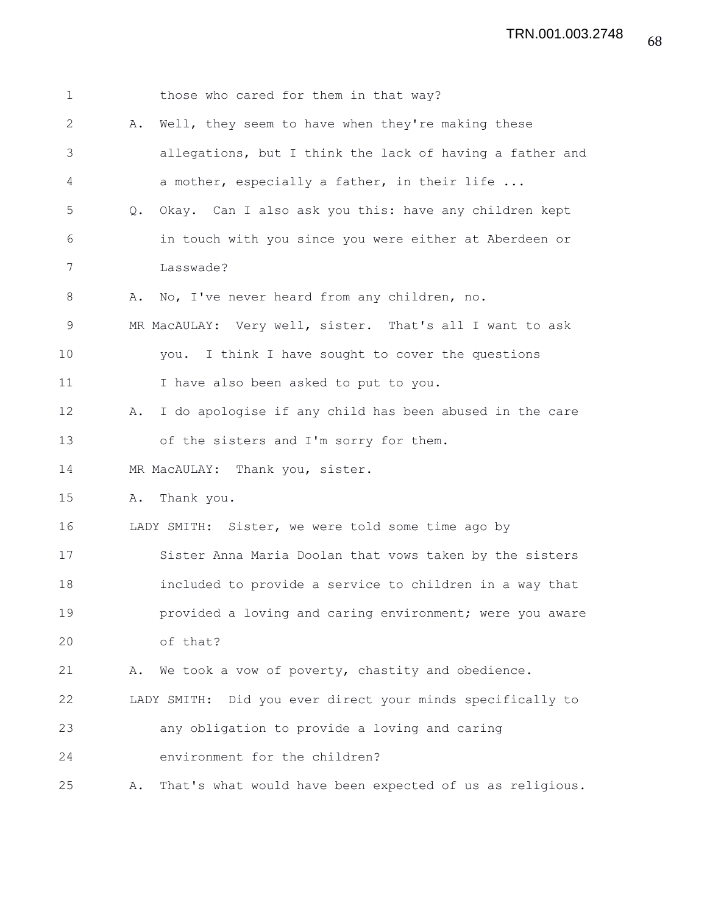| $\mathbf 1$  | those who cared for them in that way?                          |
|--------------|----------------------------------------------------------------|
| $\mathbf{2}$ | Well, they seem to have when they're making these<br>Α.        |
| 3            | allegations, but I think the lack of having a father and       |
| 4            | a mother, especially a father, in their life                   |
| 5            | Okay. Can I also ask you this: have any children kept<br>Q.    |
| 6            | in touch with you since you were either at Aberdeen or         |
| 7            | Lasswade?                                                      |
| 8            | A. No, I've never heard from any children, no.                 |
| $\mathsf 9$  | MR MacAULAY: Very well, sister. That's all I want to ask       |
| 10           | I think I have sought to cover the questions<br>you.           |
| 11           | I have also been asked to put to you.                          |
| 12           | I do apologise if any child has been abused in the care<br>Α.  |
| 13           | of the sisters and I'm sorry for them.                         |
| 14           | MR MacAULAY: Thank you, sister.                                |
| 15           | Thank you.<br>Α.                                               |
| 16           | LADY SMITH: Sister, we were told some time ago by              |
| 17           | Sister Anna Maria Doolan that vows taken by the sisters        |
| 18           | included to provide a service to children in a way that        |
| 19           | provided a loving and caring environment; were you aware       |
| 20           | of that?                                                       |
| 21           | A. We took a vow of poverty, chastity and obedience.           |
| 22           | LADY SMITH: Did you ever direct your minds specifically to     |
| 23           | any obligation to provide a loving and caring                  |
| 24           | environment for the children?                                  |
| 25           | That's what would have been expected of us as religious.<br>Α. |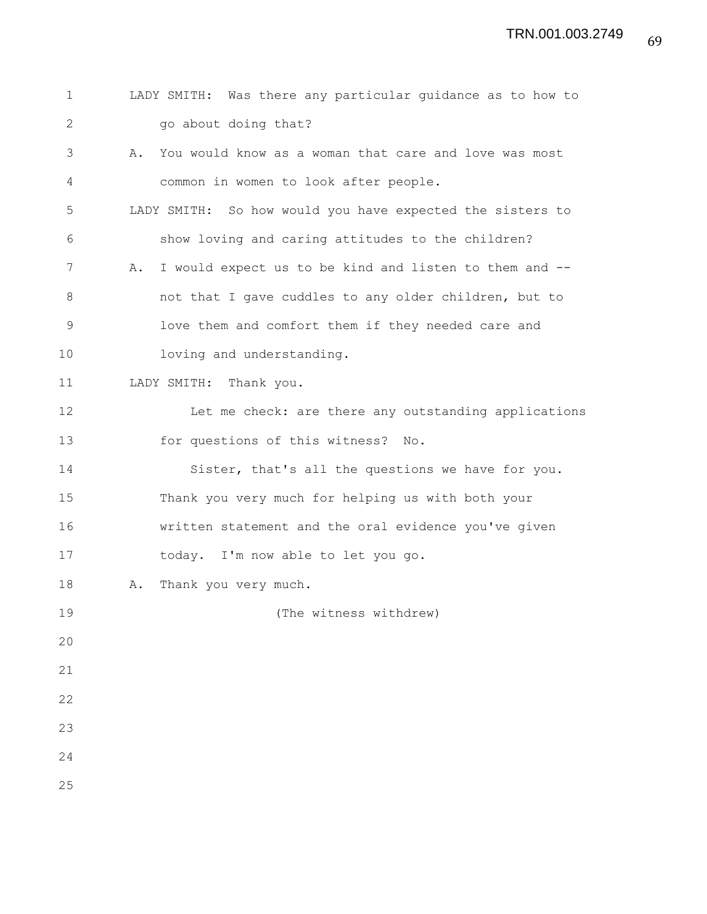| $\mathbf 1$  | LADY SMITH: Was there any particular guidance as to how to   |
|--------------|--------------------------------------------------------------|
| $\mathbf{2}$ | go about doing that?                                         |
| 3            | You would know as a woman that care and love was most<br>Α.  |
| 4            | common in women to look after people.                        |
| 5            | LADY SMITH: So how would you have expected the sisters to    |
| 6            | show loving and caring attitudes to the children?            |
| 7            | I would expect us to be kind and listen to them and --<br>Α. |
| 8            | not that I gave cuddles to any older children, but to        |
| 9            | love them and comfort them if they needed care and           |
| 10           | loving and understanding.                                    |
| 11           | LADY SMITH: Thank you.                                       |
| 12           | Let me check: are there any outstanding applications         |
| 13           | for questions of this witness? No.                           |
| 14           | Sister, that's all the questions we have for you.            |
| 15           | Thank you very much for helping us with both your            |
| 16           | written statement and the oral evidence you've given         |
| 17           | today. I'm now able to let you go.                           |
| 18           | Thank you very much.<br>Α.                                   |
| 19           | (The witness withdrew)                                       |
| 20           |                                                              |
| 21           |                                                              |
| 22           |                                                              |
| 23           |                                                              |
| 24           |                                                              |
| 25           |                                                              |